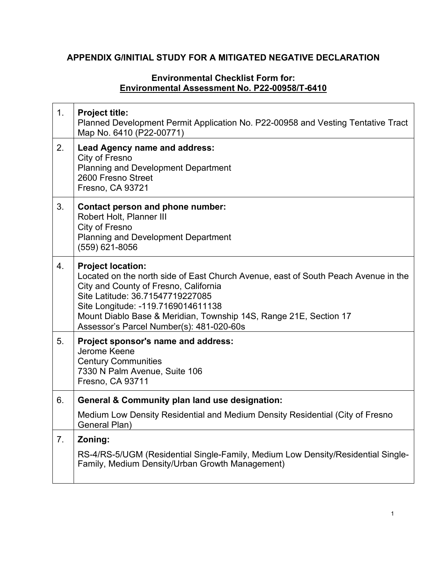# **APPENDIX G/INITIAL STUDY FOR A MITIGATED NEGATIVE DECLARATION**

## **Environmental Checklist Form for: Environmental Assessment No. P22-00958/T-6410**

| 1. | <b>Project title:</b><br>Planned Development Permit Application No. P22-00958 and Vesting Tentative Tract<br>Map No. 6410 (P22-00771)                                                                                                                                                                                                              |
|----|----------------------------------------------------------------------------------------------------------------------------------------------------------------------------------------------------------------------------------------------------------------------------------------------------------------------------------------------------|
| 2. | <b>Lead Agency name and address:</b><br>City of Fresno<br><b>Planning and Development Department</b><br>2600 Fresno Street<br>Fresno, CA 93721                                                                                                                                                                                                     |
| 3. | <b>Contact person and phone number:</b><br>Robert Holt, Planner III<br>City of Fresno<br><b>Planning and Development Department</b><br>(559) 621-8056                                                                                                                                                                                              |
| 4. | <b>Project location:</b><br>Located on the north side of East Church Avenue, east of South Peach Avenue in the<br>City and County of Fresno, California<br>Site Latitude: 36.71547719227085<br>Site Longitude: -119.7169014611138<br>Mount Diablo Base & Meridian, Township 14S, Range 21E, Section 17<br>Assessor's Parcel Number(s): 481-020-60s |
| 5. | Project sponsor's name and address:<br>Jerome Keene<br><b>Century Communities</b><br>7330 N Palm Avenue, Suite 106<br>Fresno, CA 93711                                                                                                                                                                                                             |
| 6. | <b>General &amp; Community plan land use designation:</b><br>Medium Low Density Residential and Medium Density Residential (City of Fresno<br>General Plan)                                                                                                                                                                                        |
| 7. | Zoning:<br>RS-4/RS-5/UGM (Residential Single-Family, Medium Low Density/Residential Single-<br>Family, Medium Density/Urban Growth Management)                                                                                                                                                                                                     |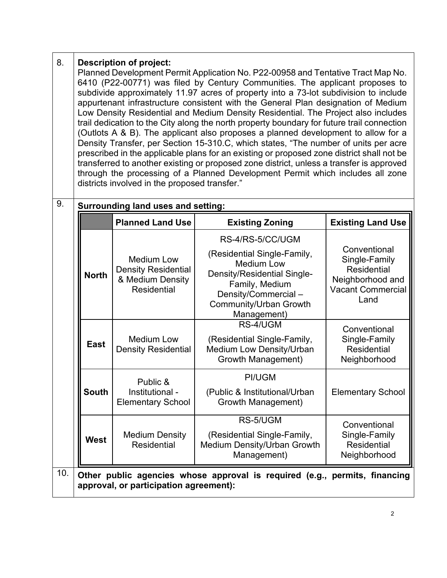# 8. **Description of project:**

Planned Development Permit Application No. P22-00958 and Tentative Tract Map No. 6410 (P22-00771) was filed by Century Communities. The applicant proposes to subdivide approximately 11.97 acres of property into a 73-lot subdivision to include appurtenant infrastructure consistent with the General Plan designation of Medium Low Density Residential and Medium Density Residential. The Project also includes trail dedication to the City along the north property boundary for future trail connection (Outlots A & B). The applicant also proposes a planned development to allow for a Density Transfer, per Section 15-310.C, which states, "The number of units per acre prescribed in the applicable plans for an existing or proposed zone district shall not be transferred to another existing or proposed zone district, unless a transfer is approved through the processing of a Planned Development Permit which includes all zone districts involved in the proposed transfer."

| 9.  |                                                                                                                      | <b>Surrounding land uses and setting:</b>               |                                                                                                                                                                                               |                                                                                                             |  |  |  |
|-----|----------------------------------------------------------------------------------------------------------------------|---------------------------------------------------------|-----------------------------------------------------------------------------------------------------------------------------------------------------------------------------------------------|-------------------------------------------------------------------------------------------------------------|--|--|--|
|     |                                                                                                                      | <b>Planned Land Use</b>                                 | <b>Existing Zoning</b>                                                                                                                                                                        | <b>Existing Land Use</b>                                                                                    |  |  |  |
|     | <b>Medium Low</b><br><b>Density Residential</b><br><b>North</b><br>& Medium Density<br><b>Residential</b>            |                                                         | RS-4/RS-5/CC/UGM<br>(Residential Single-Family,<br><b>Medium Low</b><br><b>Density/Residential Single-</b><br>Family, Medium<br>Density/Commercial -<br>Community/Urban Growth<br>Management) | Conventional<br>Single-Family<br><b>Residential</b><br>Neighborhood and<br><b>Vacant Commercial</b><br>Land |  |  |  |
|     | <b>East</b>                                                                                                          | <b>Medium Low</b><br><b>Density Residential</b>         | RS-4/UGM<br>(Residential Single-Family,<br>Medium Low Density/Urban<br>Growth Management)                                                                                                     | Conventional<br>Single-Family<br><b>Residential</b><br>Neighborhood                                         |  |  |  |
|     | <b>South</b>                                                                                                         | Public &<br>Institutional -<br><b>Elementary School</b> | <b>PI/UGM</b><br>(Public & Institutional/Urban<br>Growth Management)                                                                                                                          | <b>Elementary School</b>                                                                                    |  |  |  |
|     | <b>West</b>                                                                                                          | <b>Medium Density</b><br><b>Residential</b>             | RS-5/UGM<br>(Residential Single-Family,<br>Medium Density/Urban Growth<br>Management)                                                                                                         | Conventional<br>Single-Family<br><b>Residential</b><br>Neighborhood                                         |  |  |  |
| 10. | Other public agencies whose approval is required (e.g., permits, financing<br>approval, or participation agreement): |                                                         |                                                                                                                                                                                               |                                                                                                             |  |  |  |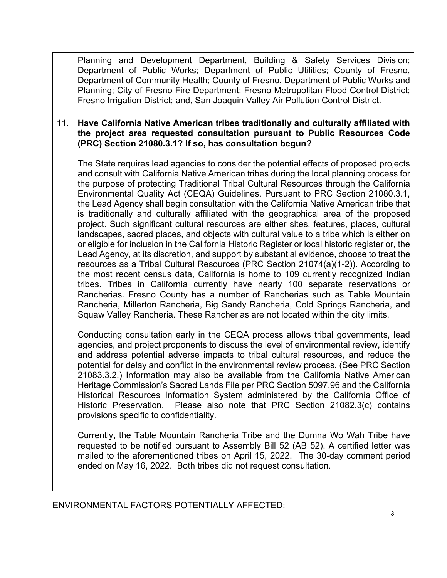|     | Planning and Development Department, Building & Safety Services Division;<br>Department of Public Works; Department of Public Utilities; County of Fresno,<br>Department of Community Health; County of Fresno, Department of Public Works and<br>Planning; City of Fresno Fire Department; Fresno Metropolitan Flood Control District;<br>Fresno Irrigation District; and, San Joaquin Valley Air Pollution Control District.                                                                                                                                                                                                                                                                                                                                                                                                                                                                                                                                                                                                                                                                                                                                                                                                                                                                                                                                                                                                                                      |
|-----|---------------------------------------------------------------------------------------------------------------------------------------------------------------------------------------------------------------------------------------------------------------------------------------------------------------------------------------------------------------------------------------------------------------------------------------------------------------------------------------------------------------------------------------------------------------------------------------------------------------------------------------------------------------------------------------------------------------------------------------------------------------------------------------------------------------------------------------------------------------------------------------------------------------------------------------------------------------------------------------------------------------------------------------------------------------------------------------------------------------------------------------------------------------------------------------------------------------------------------------------------------------------------------------------------------------------------------------------------------------------------------------------------------------------------------------------------------------------|
| 11. | Have California Native American tribes traditionally and culturally affiliated with<br>the project area requested consultation pursuant to Public Resources Code<br>(PRC) Section 21080.3.1? If so, has consultation begun?                                                                                                                                                                                                                                                                                                                                                                                                                                                                                                                                                                                                                                                                                                                                                                                                                                                                                                                                                                                                                                                                                                                                                                                                                                         |
|     | The State requires lead agencies to consider the potential effects of proposed projects<br>and consult with California Native American tribes during the local planning process for<br>the purpose of protecting Traditional Tribal Cultural Resources through the California<br>Environmental Quality Act (CEQA) Guidelines. Pursuant to PRC Section 21080.3.1,<br>the Lead Agency shall begin consultation with the California Native American tribe that<br>is traditionally and culturally affiliated with the geographical area of the proposed<br>project. Such significant cultural resources are either sites, features, places, cultural<br>landscapes, sacred places, and objects with cultural value to a tribe which is either on<br>or eligible for inclusion in the California Historic Register or local historic register or, the<br>Lead Agency, at its discretion, and support by substantial evidence, choose to treat the<br>resources as a Tribal Cultural Resources (PRC Section 21074(a)(1-2)). According to<br>the most recent census data, California is home to 109 currently recognized Indian<br>tribes. Tribes in California currently have nearly 100 separate reservations or<br>Rancherias. Fresno County has a number of Rancherias such as Table Mountain<br>Rancheria, Millerton Rancheria, Big Sandy Rancheria, Cold Springs Rancheria, and<br>Squaw Valley Rancheria. These Rancherias are not located within the city limits. |
|     | Conducting consultation early in the CEQA process allows tribal governments, lead<br>agencies, and project proponents to discuss the level of environmental review, identify<br>and address potential adverse impacts to tribal cultural resources, and reduce the<br>potential for delay and conflict in the environmental review process. (See PRC Section<br>21083.3.2.) Information may also be available from the California Native American<br>Heritage Commission's Sacred Lands File per PRC Section 5097.96 and the California<br>Historical Resources Information System administered by the California Office of<br>Historic Preservation. Please also note that PRC Section 21082.3(c) contains<br>provisions specific to confidentiality.                                                                                                                                                                                                                                                                                                                                                                                                                                                                                                                                                                                                                                                                                                              |
|     | Currently, the Table Mountain Rancheria Tribe and the Dumna Wo Wah Tribe have<br>requested to be notified pursuant to Assembly Bill 52 (AB 52). A certified letter was<br>mailed to the aforementioned tribes on April 15, 2022. The 30-day comment period<br>ended on May 16, 2022. Both tribes did not request consultation.                                                                                                                                                                                                                                                                                                                                                                                                                                                                                                                                                                                                                                                                                                                                                                                                                                                                                                                                                                                                                                                                                                                                      |

ENVIRONMENTAL FACTORS POTENTIALLY AFFECTED: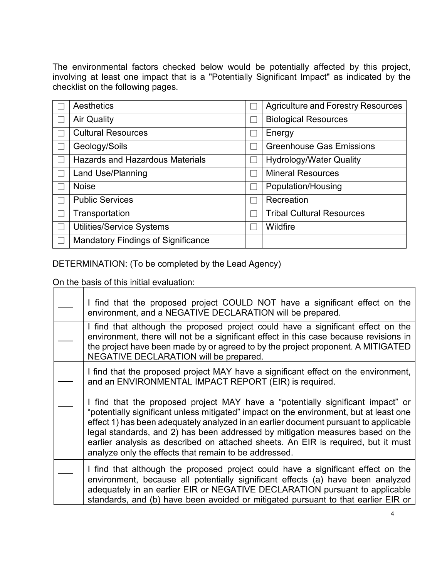The environmental factors checked below would be potentially affected by this project, involving at least one impact that is a "Potentially Significant Impact" as indicated by the checklist on the following pages.

| Aesthetics                                |    | <b>Agriculture and Forestry Resources</b> |
|-------------------------------------------|----|-------------------------------------------|
| <b>Air Quality</b>                        |    | <b>Biological Resources</b>               |
| <b>Cultural Resources</b>                 | L  | Energy                                    |
| Geology/Soils                             |    | <b>Greenhouse Gas Emissions</b>           |
| <b>Hazards and Hazardous Materials</b>    |    | <b>Hydrology/Water Quality</b>            |
| Land Use/Planning                         | r. | <b>Mineral Resources</b>                  |
| <b>Noise</b>                              |    | Population/Housing                        |
| <b>Public Services</b>                    |    | Recreation                                |
| Transportation                            |    | <b>Tribal Cultural Resources</b>          |
| Utilities/Service Systems                 |    | Wildfire                                  |
| <b>Mandatory Findings of Significance</b> |    |                                           |

DETERMINATION: (To be completed by the Lead Agency)

On the basis of this initial evaluation:

| I find that the proposed project COULD NOT have a significant effect on the<br>environment, and a NEGATIVE DECLARATION will be prepared.                                                                                                                                                                                                                                                                                                                                                          |
|---------------------------------------------------------------------------------------------------------------------------------------------------------------------------------------------------------------------------------------------------------------------------------------------------------------------------------------------------------------------------------------------------------------------------------------------------------------------------------------------------|
| I find that although the proposed project could have a significant effect on the<br>environment, there will not be a significant effect in this case because revisions in<br>the project have been made by or agreed to by the project proponent. A MITIGATED<br>NEGATIVE DECLARATION will be prepared.                                                                                                                                                                                           |
| I find that the proposed project MAY have a significant effect on the environment,<br>and an ENVIRONMENTAL IMPACT REPORT (EIR) is required.                                                                                                                                                                                                                                                                                                                                                       |
| I find that the proposed project MAY have a "potentially significant impact" or<br>"potentially significant unless mitigated" impact on the environment, but at least one<br>effect 1) has been adequately analyzed in an earlier document pursuant to applicable<br>legal standards, and 2) has been addressed by mitigation measures based on the<br>earlier analysis as described on attached sheets. An EIR is required, but it must<br>analyze only the effects that remain to be addressed. |
| I find that although the proposed project could have a significant effect on the<br>environment, because all potentially significant effects (a) have been analyzed<br>adequately in an earlier EIR or NEGATIVE DECLARATION pursuant to applicable<br>standards, and (b) have been avoided or mitigated pursuant to that earlier EIR or                                                                                                                                                           |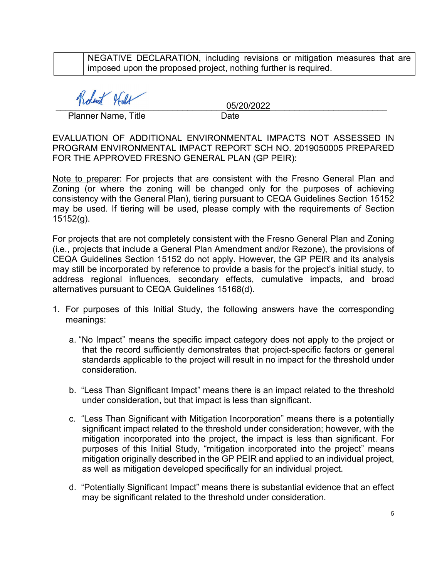NEGATIVE DECLARATION, including revisions or mitigation measures that are imposed upon the proposed project, nothing further is required.

 $05/20/2022$ 

Planner Name, Title Date

EVALUATION OF ADDITIONAL ENVIRONMENTAL IMPACTS NOT ASSESSED IN PROGRAM ENVIRONMENTAL IMPACT REPORT SCH NO. 2019050005 PREPARED FOR THE APPROVED FRESNO GENERAL PLAN (GP PEIR):

Note to preparer: For projects that are consistent with the Fresno General Plan and Zoning (or where the zoning will be changed only for the purposes of achieving consistency with the General Plan), tiering pursuant to CEQA Guidelines Section 15152 may be used. If tiering will be used, please comply with the requirements of Section 15152(g).

For projects that are not completely consistent with the Fresno General Plan and Zoning (i.e., projects that include a General Plan Amendment and/or Rezone), the provisions of CEQA Guidelines Section 15152 do not apply. However, the GP PEIR and its analysis may still be incorporated by reference to provide a basis for the project's initial study, to address regional influences, secondary effects, cumulative impacts, and broad alternatives pursuant to CEQA Guidelines 15168(d).

- 1. For purposes of this Initial Study, the following answers have the corresponding meanings:
	- a. "No Impact" means the specific impact category does not apply to the project or that the record sufficiently demonstrates that project-specific factors or general standards applicable to the project will result in no impact for the threshold under consideration.
	- b. "Less Than Significant Impact" means there is an impact related to the threshold under consideration, but that impact is less than significant.
	- c. "Less Than Significant with Mitigation Incorporation" means there is a potentially significant impact related to the threshold under consideration; however, with the mitigation incorporated into the project, the impact is less than significant. For purposes of this Initial Study, "mitigation incorporated into the project" means mitigation originally described in the GP PEIR and applied to an individual project, as well as mitigation developed specifically for an individual project.
	- d. "Potentially Significant Impact" means there is substantial evidence that an effect may be significant related to the threshold under consideration.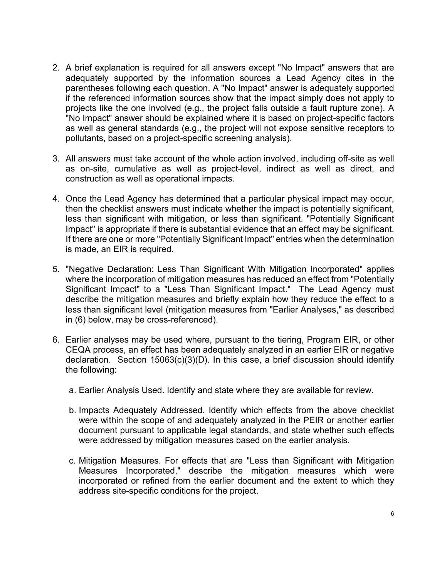- 2. A brief explanation is required for all answers except "No Impact" answers that are adequately supported by the information sources a Lead Agency cites in the parentheses following each question. A "No Impact" answer is adequately supported if the referenced information sources show that the impact simply does not apply to projects like the one involved (e.g., the project falls outside a fault rupture zone). A "No Impact" answer should be explained where it is based on project-specific factors as well as general standards (e.g., the project will not expose sensitive receptors to pollutants, based on a project-specific screening analysis).
- 3. All answers must take account of the whole action involved, including off-site as well as on-site, cumulative as well as project-level, indirect as well as direct, and construction as well as operational impacts.
- 4. Once the Lead Agency has determined that a particular physical impact may occur, then the checklist answers must indicate whether the impact is potentially significant, less than significant with mitigation, or less than significant. "Potentially Significant Impact" is appropriate if there is substantial evidence that an effect may be significant. If there are one or more "Potentially Significant Impact" entries when the determination is made, an EIR is required.
- 5. "Negative Declaration: Less Than Significant With Mitigation Incorporated" applies where the incorporation of mitigation measures has reduced an effect from "Potentially Significant Impact" to a "Less Than Significant Impact." The Lead Agency must describe the mitigation measures and briefly explain how they reduce the effect to a less than significant level (mitigation measures from "Earlier Analyses," as described in (6) below, may be cross-referenced).
- 6. Earlier analyses may be used where, pursuant to the tiering, Program EIR, or other CEQA process, an effect has been adequately analyzed in an earlier EIR or negative declaration. Section 15063(c)(3)(D). In this case, a brief discussion should identify the following:
	- a. Earlier Analysis Used. Identify and state where they are available for review.
	- b. Impacts Adequately Addressed. Identify which effects from the above checklist were within the scope of and adequately analyzed in the PEIR or another earlier document pursuant to applicable legal standards, and state whether such effects were addressed by mitigation measures based on the earlier analysis.
	- c. Mitigation Measures. For effects that are "Less than Significant with Mitigation Measures Incorporated," describe the mitigation measures which were incorporated or refined from the earlier document and the extent to which they address site-specific conditions for the project.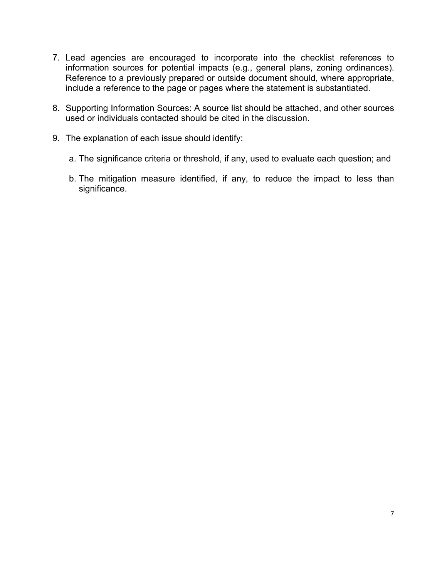- 7. Lead agencies are encouraged to incorporate into the checklist references to information sources for potential impacts (e.g., general plans, zoning ordinances). Reference to a previously prepared or outside document should, where appropriate, include a reference to the page or pages where the statement is substantiated.
- 8. Supporting Information Sources: A source list should be attached, and other sources used or individuals contacted should be cited in the discussion.
- 9. The explanation of each issue should identify:
	- a. The significance criteria or threshold, if any, used to evaluate each question; and
	- b. The mitigation measure identified, if any, to reduce the impact to less than significance.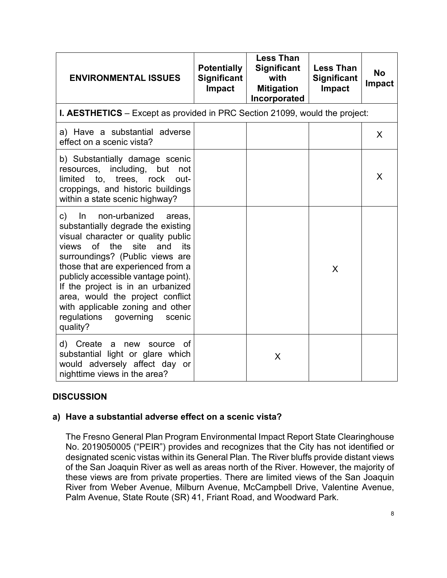| <b>ENVIRONMENTAL ISSUES</b>                                                                                                                                                                                                                                                                                                                                                                                                               | <b>Potentially</b><br><b>Significant</b><br>Impact | <b>Less Than</b><br><b>Significant</b><br>with<br><b>Mitigation</b><br>Incorporated | <b>Less Than</b><br><b>Significant</b><br>Impact | <b>No</b><br><b>Impact</b> |
|-------------------------------------------------------------------------------------------------------------------------------------------------------------------------------------------------------------------------------------------------------------------------------------------------------------------------------------------------------------------------------------------------------------------------------------------|----------------------------------------------------|-------------------------------------------------------------------------------------|--------------------------------------------------|----------------------------|
| <b>I. AESTHETICS</b> – Except as provided in PRC Section 21099, would the project:                                                                                                                                                                                                                                                                                                                                                        |                                                    |                                                                                     |                                                  |                            |
| a) Have a substantial adverse<br>effect on a scenic vista?                                                                                                                                                                                                                                                                                                                                                                                |                                                    |                                                                                     |                                                  | X                          |
| b) Substantially damage scenic<br>resources, including, but<br>not<br>limited to,<br>trees,<br>rock<br>out-<br>croppings, and historic buildings<br>within a state scenic highway?                                                                                                                                                                                                                                                        |                                                    |                                                                                     |                                                  | X                          |
| c)<br>non-urbanized<br>In<br>areas,<br>substantially degrade the existing<br>visual character or quality public<br>of<br>the<br>site<br>views<br>and<br>its<br>surroundings? (Public views are<br>those that are experienced from a<br>publicly accessible vantage point).<br>If the project is in an urbanized<br>area, would the project conflict<br>with applicable zoning and other<br>regulations<br>governing<br>scenic<br>quality? |                                                    |                                                                                     | X                                                |                            |
| d)<br>Create<br>a<br>new<br>0f<br>source<br>substantial light or glare which<br>would adversely affect day or<br>nighttime views in the area?                                                                                                                                                                                                                                                                                             |                                                    | X                                                                                   |                                                  |                            |

# **DISCUSSION**

## **a) Have a substantial adverse effect on a scenic vista?**

The Fresno General Plan Program Environmental Impact Report State Clearinghouse No. 2019050005 ("PEIR") provides and recognizes that the City has not identified or designated scenic vistas within its General Plan. The River bluffs provide distant views of the San Joaquin River as well as areas north of the River. However, the majority of these views are from private properties. There are limited views of the San Joaquin River from Weber Avenue, Milburn Avenue, McCampbell Drive, Valentine Avenue, Palm Avenue, State Route (SR) 41, Friant Road, and Woodward Park.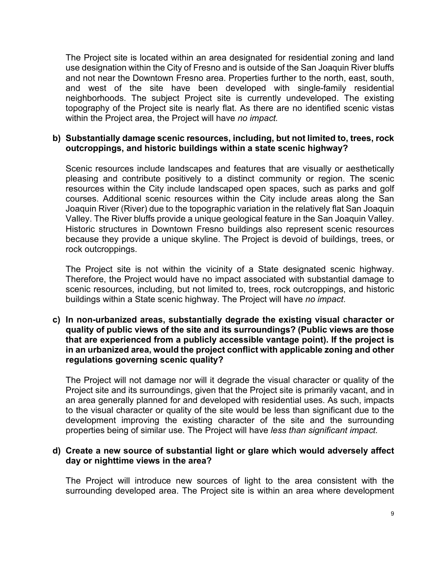The Project site is located within an area designated for residential zoning and land use designation within the City of Fresno and is outside of the San Joaquin River bluffs and not near the Downtown Fresno area. Properties further to the north, east, south, and west of the site have been developed with single-family residential neighborhoods. The subject Project site is currently undeveloped. The existing topography of the Project site is nearly flat. As there are no identified scenic vistas within the Project area, the Project will have *no impact.*

#### **b) Substantially damage scenic resources, including, but not limited to, trees, rock outcroppings, and historic buildings within a state scenic highway?**

Scenic resources include landscapes and features that are visually or aesthetically pleasing and contribute positively to a distinct community or region. The scenic resources within the City include landscaped open spaces, such as parks and golf courses. Additional scenic resources within the City include areas along the San Joaquin River (River) due to the topographic variation in the relatively flat San Joaquin Valley. The River bluffs provide a unique geological feature in the San Joaquin Valley. Historic structures in Downtown Fresno buildings also represent scenic resources because they provide a unique skyline. The Project is devoid of buildings, trees, or rock outcroppings.

The Project site is not within the vicinity of a State designated scenic highway. Therefore, the Project would have no impact associated with substantial damage to scenic resources, including, but not limited to, trees, rock outcroppings, and historic buildings within a State scenic highway. The Project will have *no impact*.

**c) In non-urbanized areas, substantially degrade the existing visual character or quality of public views of the site and its surroundings? (Public views are those that are experienced from a publicly accessible vantage point). If the project is in an urbanized area, would the project conflict with applicable zoning and other regulations governing scenic quality?**

The Project will not damage nor will it degrade the visual character or quality of the Project site and its surroundings, given that the Project site is primarily vacant, and in an area generally planned for and developed with residential uses. As such, impacts to the visual character or quality of the site would be less than significant due to the development improving the existing character of the site and the surrounding properties being of similar use*.* The Project will have *less than significant impact.*

#### **d) Create a new source of substantial light or glare which would adversely affect day or nighttime views in the area?**

The Project will introduce new sources of light to the area consistent with the surrounding developed area. The Project site is within an area where development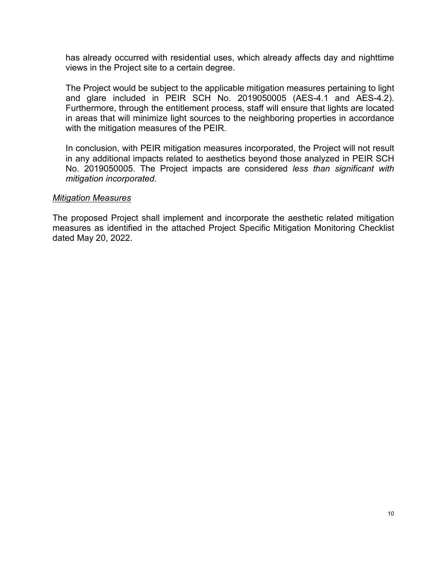has already occurred with residential uses, which already affects day and nighttime views in the Project site to a certain degree.

The Project would be subject to the applicable mitigation measures pertaining to light and glare included in PEIR SCH No. 2019050005 (AES-4.1 and AES-4.2). Furthermore, through the entitlement process, staff will ensure that lights are located in areas that will minimize light sources to the neighboring properties in accordance with the mitigation measures of the PEIR.

In conclusion, with PEIR mitigation measures incorporated, the Project will not result in any additional impacts related to aesthetics beyond those analyzed in PEIR SCH No. 2019050005. The Project impacts are considered *less than significant with mitigation incorporated*.

#### *Mitigation Measures*

The proposed Project shall implement and incorporate the aesthetic related mitigation measures as identified in the attached Project Specific Mitigation Monitoring Checklist dated May 20, 2022.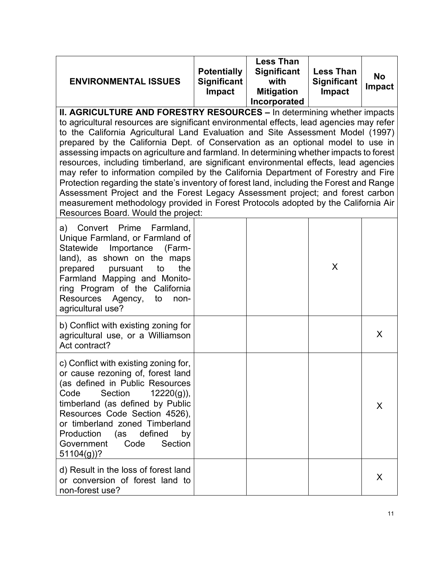| <b>ENVIRONMENTAL ISSUES</b>                                                                                                                                                                                                                                                                                                                                                                                                                                                                                                                                                                                                                                                                                                                                                                                                                                                                                                      | <b>Potentially</b><br><b>Significant</b><br>Impact | <b>Less Than</b><br><b>Significant</b><br>with<br><b>Mitigation</b><br>Incorporated | <b>Less Than</b><br><b>Significant</b><br>Impact | <b>No</b><br><b>Impact</b> |  |  |
|----------------------------------------------------------------------------------------------------------------------------------------------------------------------------------------------------------------------------------------------------------------------------------------------------------------------------------------------------------------------------------------------------------------------------------------------------------------------------------------------------------------------------------------------------------------------------------------------------------------------------------------------------------------------------------------------------------------------------------------------------------------------------------------------------------------------------------------------------------------------------------------------------------------------------------|----------------------------------------------------|-------------------------------------------------------------------------------------|--------------------------------------------------|----------------------------|--|--|
| II. AGRICULTURE AND FORESTRY RESOURCES - In determining whether impacts<br>to agricultural resources are significant environmental effects, lead agencies may refer<br>to the California Agricultural Land Evaluation and Site Assessment Model (1997)<br>prepared by the California Dept. of Conservation as an optional model to use in<br>assessing impacts on agriculture and farmland. In determining whether impacts to forest<br>resources, including timberland, are significant environmental effects, lead agencies<br>may refer to information compiled by the California Department of Forestry and Fire<br>Protection regarding the state's inventory of forest land, including the Forest and Range<br>Assessment Project and the Forest Legacy Assessment project; and forest carbon<br>measurement methodology provided in Forest Protocols adopted by the California Air<br>Resources Board. Would the project: |                                                    |                                                                                     |                                                  |                            |  |  |
| a) Convert Prime Farmland,<br>Unique Farmland, or Farmland of<br>Importance (Farm-<br><b>Statewide</b><br>land), as shown on the maps<br>pursuant<br>to<br>the<br>prepared<br>Farmland Mapping and Monito-<br>ring Program of the California<br>Resources Agency,<br>to<br>non-<br>agricultural use?                                                                                                                                                                                                                                                                                                                                                                                                                                                                                                                                                                                                                             |                                                    |                                                                                     | X                                                |                            |  |  |
| b) Conflict with existing zoning for<br>agricultural use, or a Williamson<br>Act contract?                                                                                                                                                                                                                                                                                                                                                                                                                                                                                                                                                                                                                                                                                                                                                                                                                                       |                                                    |                                                                                     |                                                  | X                          |  |  |
| c) Conflict with existing zoning for,<br>or cause rezoning of, forest land<br>(as defined in Public Resources<br>Section<br>$12220(g)$ ,<br>Code<br>timberland (as defined by Public<br>Resources Code Section 4526),<br>or timberland zoned Timberland<br>Production<br>(as defined<br>by<br>Code<br>Government<br>Section<br>$51104(g)$ ?                                                                                                                                                                                                                                                                                                                                                                                                                                                                                                                                                                                      |                                                    |                                                                                     |                                                  | X                          |  |  |
| d) Result in the loss of forest land<br>or conversion of forest land to<br>non-forest use?                                                                                                                                                                                                                                                                                                                                                                                                                                                                                                                                                                                                                                                                                                                                                                                                                                       |                                                    |                                                                                     |                                                  | X                          |  |  |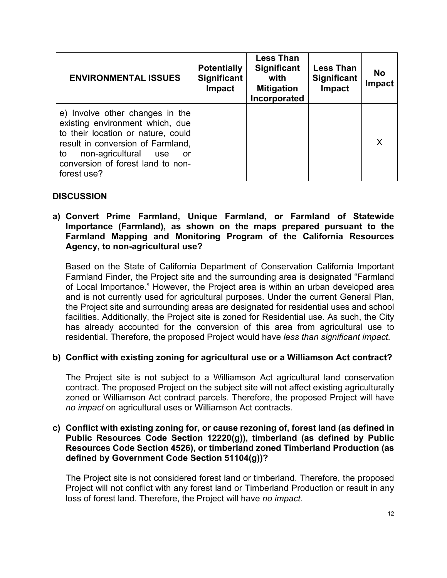| <b>ENVIRONMENTAL ISSUES</b>                                                                                                                                                                                                           | <b>Potentially</b><br><b>Significant</b><br>Impact | <b>Less Than</b><br><b>Significant</b><br>with<br><b>Mitigation</b><br>Incorporated | <b>Less Than</b><br><b>Significant</b><br>Impact | <b>No</b><br><b>Impact</b> |
|---------------------------------------------------------------------------------------------------------------------------------------------------------------------------------------------------------------------------------------|----------------------------------------------------|-------------------------------------------------------------------------------------|--------------------------------------------------|----------------------------|
| e) Involve other changes in the<br>existing environment which, due<br>to their location or nature, could<br>result in conversion of Farmland,<br>non-agricultural use<br>to<br>or<br>conversion of forest land to non-<br>forest use? |                                                    |                                                                                     |                                                  |                            |

## **DISCUSSION**

### **a) Convert Prime Farmland, Unique Farmland, or Farmland of Statewide Importance (Farmland), as shown on the maps prepared pursuant to the Farmland Mapping and Monitoring Program of the California Resources Agency, to non-agricultural use?**

Based on the State of California Department of Conservation California Important Farmland Finder, the Project site and the surrounding area is designated "Farmland of Local Importance." However, the Project area is within an urban developed area and is not currently used for agricultural purposes. Under the current General Plan, the Project site and surrounding areas are designated for residential uses and school facilities. Additionally, the Project site is zoned for Residential use. As such, the City has already accounted for the conversion of this area from agricultural use to residential. Therefore, the proposed Project would have *less than significant impact.*

## **b) Conflict with existing zoning for agricultural use or a Williamson Act contract?**

The Project site is not subject to a Williamson Act agricultural land conservation contract. The proposed Project on the subject site will not affect existing agriculturally zoned or Williamson Act contract parcels. Therefore, the proposed Project will have *no impact* on agricultural uses or Williamson Act contracts.

#### **c) Conflict with existing zoning for, or cause rezoning of, forest land (as defined in Public Resources Code Section 12220(g)), timberland (as defined by Public Resources Code Section 4526), or timberland zoned Timberland Production (as defined by Government Code Section 51104(g))?**

The Project site is not considered forest land or timberland. Therefore, the proposed Project will not conflict with any forest land or Timberland Production or result in any loss of forest land. Therefore, the Project will have *no impact*.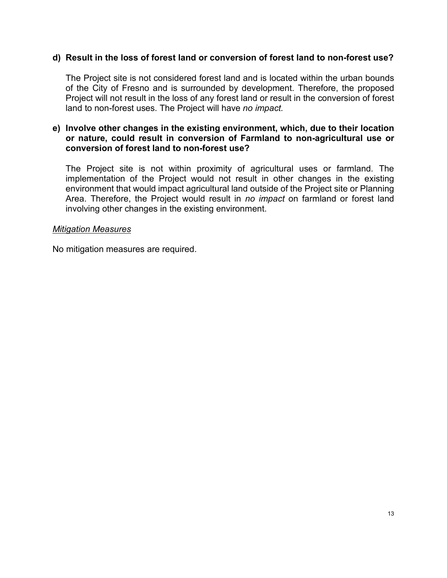#### **d) Result in the loss of forest land or conversion of forest land to non-forest use?**

The Project site is not considered forest land and is located within the urban bounds of the City of Fresno and is surrounded by development. Therefore, the proposed Project will not result in the loss of any forest land or result in the conversion of forest land to non-forest uses. The Project will have *no impact.*

#### **e) Involve other changes in the existing environment, which, due to their location or nature, could result in conversion of Farmland to non-agricultural use or conversion of forest land to non-forest use?**

The Project site is not within proximity of agricultural uses or farmland. The implementation of the Project would not result in other changes in the existing environment that would impact agricultural land outside of the Project site or Planning Area. Therefore, the Project would result in *no impact* on farmland or forest land involving other changes in the existing environment.

#### *Mitigation Measures*

No mitigation measures are required.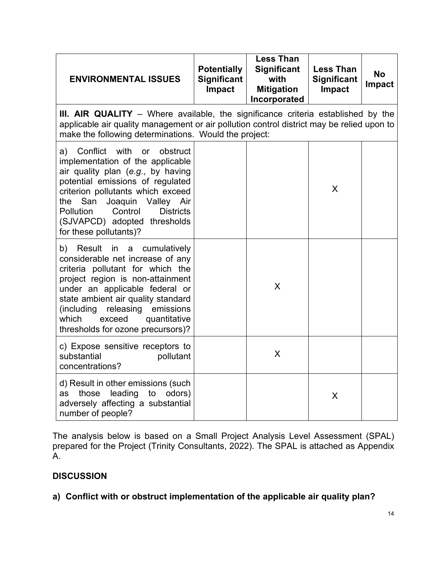| <b>ENVIRONMENTAL ISSUES</b>                                                                                                                                                                                                                                                                                                                    | <b>Potentially</b><br><b>Significant</b><br>Impact | <b>Less Than</b><br><b>Significant</b><br>with<br><b>Mitigation</b><br>Incorporated | <b>Less Than</b><br><b>Significant</b><br>Impact | <b>No</b><br><b>Impact</b> |
|------------------------------------------------------------------------------------------------------------------------------------------------------------------------------------------------------------------------------------------------------------------------------------------------------------------------------------------------|----------------------------------------------------|-------------------------------------------------------------------------------------|--------------------------------------------------|----------------------------|
| <b>III. AIR QUALITY</b> – Where available, the significance criteria established by the<br>applicable air quality management or air pollution control district may be relied upon to<br>make the following determinations. Would the project:                                                                                                  |                                                    |                                                                                     |                                                  |                            |
| a)<br>Conflict<br>with<br>obstruct<br>or<br>implementation of the applicable<br>air quality plan (e.g., by having<br>potential emissions of regulated<br>criterion pollutants which exceed<br>the<br>San<br>Joaquin<br>Valley Air<br>Control<br><b>Pollution</b><br><b>Districts</b><br>(SJVAPCD) adopted thresholds<br>for these pollutants)? |                                                    |                                                                                     | X                                                |                            |
| b)<br>Result in<br>cumulatively<br>a<br>considerable net increase of any<br>criteria pollutant for which the<br>project region is non-attainment<br>under an applicable federal or<br>state ambient air quality standard<br>(including<br>releasing<br>emissions<br>which<br>exceed<br>quantitative<br>thresholds for ozone precursors)?       |                                                    | $\sf X$                                                                             |                                                  |                            |
| c) Expose sensitive receptors to<br>substantial<br>pollutant<br>concentrations?                                                                                                                                                                                                                                                                |                                                    | X                                                                                   |                                                  |                            |
| d) Result in other emissions (such<br>leading<br>odors)<br>those<br>to<br>as<br>adversely affecting a substantial<br>number of people?                                                                                                                                                                                                         |                                                    |                                                                                     | X                                                |                            |

The analysis below is based on a Small Project Analysis Level Assessment (SPAL) prepared for the Project (Trinity Consultants, 2022). The SPAL is attached as Appendix A.

## **DISCUSSION**

**a) Conflict with or obstruct implementation of the applicable air quality plan?**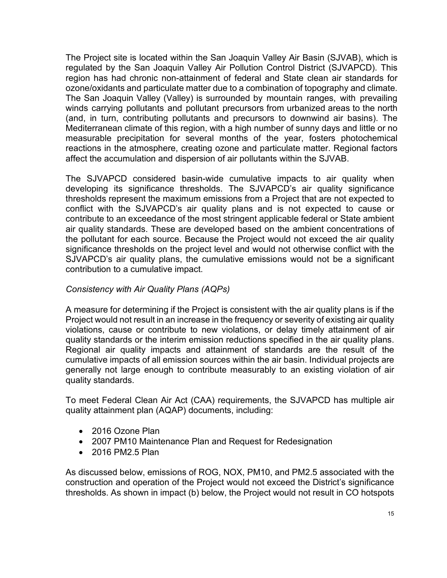The Project site is located within the San Joaquin Valley Air Basin (SJVAB), which is regulated by the San Joaquin Valley Air Pollution Control District (SJVAPCD). This region has had chronic non-attainment of federal and State clean air standards for ozone/oxidants and particulate matter due to a combination of topography and climate. The San Joaquin Valley (Valley) is surrounded by mountain ranges, with prevailing winds carrying pollutants and pollutant precursors from urbanized areas to the north (and, in turn, contributing pollutants and precursors to downwind air basins). The Mediterranean climate of this region, with a high number of sunny days and little or no measurable precipitation for several months of the year, fosters photochemical reactions in the atmosphere, creating ozone and particulate matter. Regional factors affect the accumulation and dispersion of air pollutants within the SJVAB.

The SJVAPCD considered basin-wide cumulative impacts to air quality when developing its significance thresholds. The SJVAPCD's air quality significance thresholds represent the maximum emissions from a Project that are not expected to conflict with the SJVAPCD's air quality plans and is not expected to cause or contribute to an exceedance of the most stringent applicable federal or State ambient air quality standards. These are developed based on the ambient concentrations of the pollutant for each source. Because the Project would not exceed the air quality significance thresholds on the project level and would not otherwise conflict with the SJVAPCD's air quality plans, the cumulative emissions would not be a significant contribution to a cumulative impact.

### *Consistency with Air Quality Plans (AQPs)*

A measure for determining if the Project is consistent with the air quality plans is if the Project would not result in an increase in the frequency or severity of existing air quality violations, cause or contribute to new violations, or delay timely attainment of air quality standards or the interim emission reductions specified in the air quality plans. Regional air quality impacts and attainment of standards are the result of the cumulative impacts of all emission sources within the air basin. Individual projects are generally not large enough to contribute measurably to an existing violation of air quality standards.

To meet Federal Clean Air Act (CAA) requirements, the SJVAPCD has multiple air quality attainment plan (AQAP) documents, including:

- 2016 Ozone Plan
- 2007 PM10 Maintenance Plan and Request for Redesignation
- 2016 PM2.5 Plan

As discussed below, emissions of ROG, NOX, PM10, and PM2.5 associated with the construction and operation of the Project would not exceed the District's significance thresholds. As shown in impact (b) below, the Project would not result in CO hotspots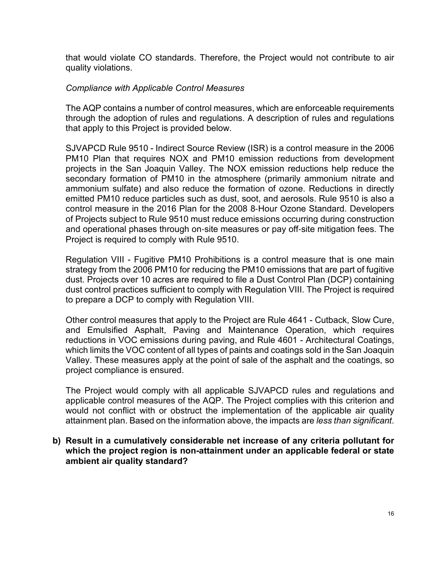that would violate CO standards. Therefore, the Project would not contribute to air quality violations.

#### *Compliance with Applicable Control Measures*

The AQP contains a number of control measures, which are enforceable requirements through the adoption of rules and regulations. A description of rules and regulations that apply to this Project is provided below.

SJVAPCD Rule 9510 - Indirect Source Review (ISR) is a control measure in the 2006 PM10 Plan that requires NOX and PM10 emission reductions from development projects in the San Joaquin Valley. The NOX emission reductions help reduce the secondary formation of PM10 in the atmosphere (primarily ammonium nitrate and ammonium sulfate) and also reduce the formation of ozone. Reductions in directly emitted PM10 reduce particles such as dust, soot, and aerosols. Rule 9510 is also a control measure in the 2016 Plan for the 2008 8‐Hour Ozone Standard. Developers of Projects subject to Rule 9510 must reduce emissions occurring during construction and operational phases through on‐site measures or pay off‐site mitigation fees. The Project is required to comply with Rule 9510.

Regulation VIII - Fugitive PM10 Prohibitions is a control measure that is one main strategy from the 2006 PM10 for reducing the PM10 emissions that are part of fugitive dust. Projects over 10 acres are required to file a Dust Control Plan (DCP) containing dust control practices sufficient to comply with Regulation VIII. The Project is required to prepare a DCP to comply with Regulation VIII.

Other control measures that apply to the Project are Rule 4641 - Cutback, Slow Cure, and Emulsified Asphalt, Paving and Maintenance Operation, which requires reductions in VOC emissions during paving, and Rule 4601 - Architectural Coatings, which limits the VOC content of all types of paints and coatings sold in the San Joaquin Valley. These measures apply at the point of sale of the asphalt and the coatings, so project compliance is ensured.

The Project would comply with all applicable SJVAPCD rules and regulations and applicable control measures of the AQP. The Project complies with this criterion and would not conflict with or obstruct the implementation of the applicable air quality attainment plan. Based on the information above, the impacts are *less than significant*.

#### **b) Result in a cumulatively considerable net increase of any criteria pollutant for which the project region is non-attainment under an applicable federal or state ambient air quality standard?**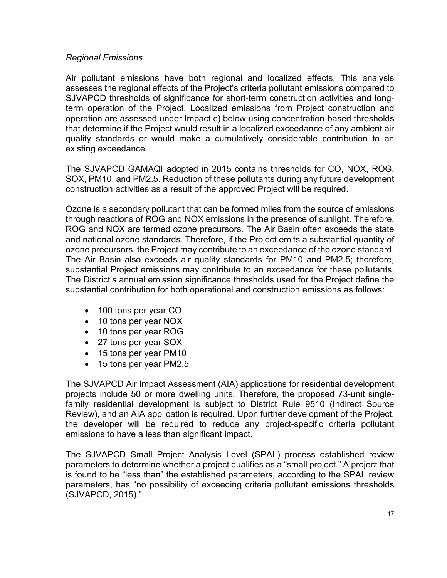### *Regional Emissions*

Air pollutant emissions have both regional and localized effects. This analysis assesses the regional effects of the Project's criteria pollutant emissions compared to SJVAPCD thresholds of significance for short‐term construction activities and long‐ term operation of the Project. Localized emissions from Project construction and operation are assessed under Impact c) below using concentration‐based thresholds that determine if the Project would result in a localized exceedance of any ambient air quality standards or would make a cumulatively considerable contribution to an existing exceedance.

The SJVAPCD GAMAQI adopted in 2015 contains thresholds for CO, NOX, ROG, SOX, PM10, and PM2.5. Reduction of these pollutants during any future development construction activities as a result of the approved Project will be required.

Ozone is a secondary pollutant that can be formed miles from the source of emissions through reactions of ROG and NOX emissions in the presence of sunlight. Therefore, ROG and NOX are termed ozone precursors. The Air Basin often exceeds the state and national ozone standards. Therefore, if the Project emits a substantial quantity of ozone precursors, the Project may contribute to an exceedance of the ozone standard. The Air Basin also exceeds air quality standards for PM10 and PM2.5; therefore, substantial Project emissions may contribute to an exceedance for these pollutants. The District's annual emission significance thresholds used for the Project define the substantial contribution for both operational and construction emissions as follows:

- 100 tons per year CO
- 10 tons per year NOX
- 10 tons per year ROG
- 27 tons per year SOX
- 15 tons per year PM10
- 15 tons per year PM2.5

The SJVAPCD Air Impact Assessment (AIA) applications for residential development projects include 50 or more dwelling units. Therefore, the proposed 73-unit singlefamily residential development is subject to District Rule 9510 (Indirect Source Review), and an AIA application is required. Upon further development of the Project, the developer will be required to reduce any project-specific criteria pollutant emissions to have a less than significant impact.

The SJVAPCD Small Project Analysis Level (SPAL) process established review parameters to determine whether a project qualifies as a "small project." A project that is found to be "less than" the established parameters, according to the SPAL review parameters, has "no possibility of exceeding criteria pollutant emissions thresholds (SJVAPCD, 2015)."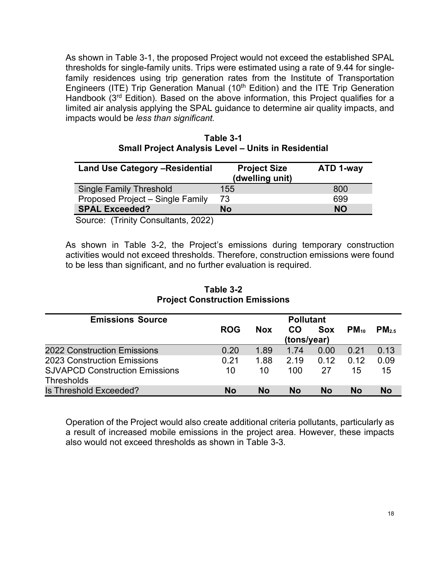As shown in Table 3-1, the proposed Project would not exceed the established SPAL thresholds for single-family units. Trips were estimated using a rate of 9.44 for singlefamily residences using trip generation rates from the Institute of Transportation Engineers (ITE) Trip Generation Manual (10<sup>th</sup> Edition) and the ITE Trip Generation Handbook (3<sup>rd</sup> Edition). Based on the above information, this Project qualifies for a limited air analysis applying the SPAL guidance to determine air quality impacts, and impacts would be *less than significant.*

| Table 3-1                                                  |  |
|------------------------------------------------------------|--|
| <b>Small Project Analysis Level - Units in Residential</b> |  |

| <b>Project Size</b><br>(dwelling unit) | ATD 1-way |
|----------------------------------------|-----------|
| 155                                    | 800       |
| 73                                     | 699       |
| No                                     | <b>NO</b> |
|                                        |           |

Source: (Trinity Consultants, 2022)

As shown in Table 3-2, the Project's emissions during temporary construction activities would not exceed thresholds. Therefore, construction emissions were found to be less than significant, and no further evaluation is required.

| <b>Emissions Source</b>               | <b>Pollutant</b> |            |             |            |           |            |
|---------------------------------------|------------------|------------|-------------|------------|-----------|------------|
|                                       | <b>ROG</b>       | <b>Nox</b> | <b>CO</b>   | <b>Sox</b> | $PM_{10}$ | $PM_{2.5}$ |
|                                       |                  |            | (tons/year) |            |           |            |
| <b>2022 Construction Emissions</b>    | 0.20             | 1.89       | 1.74        | 0.00       | 0.21      | 0.13       |
| 2023 Construction Emissions           | 0.21             | 1.88       | 2 19        | 0.12       | 0.12      | 0.09       |
| <b>SJVAPCD Construction Emissions</b> | 10               | 10         | 100         | 27         | 15        | 15         |
| <b>Thresholds</b>                     |                  |            |             |            |           |            |
| Is Threshold Exceeded?                | No               | No         | <b>No</b>   | Nο         | Nο        | Nο         |

### **Table 3-2 Project Construction Emissions**

Operation of the Project would also create additional criteria pollutants, particularly as a result of increased mobile emissions in the project area. However, these impacts also would not exceed thresholds as shown in Table 3-3.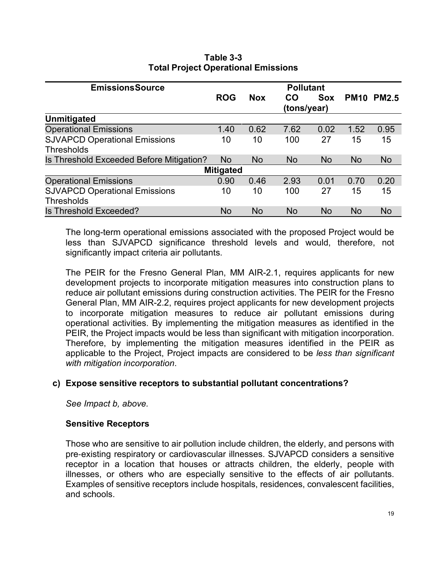| <b>EmissionsSource</b>                   |                  | <b>Pollutant</b> |             |            |             |              |
|------------------------------------------|------------------|------------------|-------------|------------|-------------|--------------|
|                                          | <b>ROG</b>       | <b>Nox</b>       | <b>CO</b>   | <b>Sox</b> | <b>PM10</b> | <b>PM2.5</b> |
|                                          |                  |                  | (tons/year) |            |             |              |
| <b>Unmitigated</b>                       |                  |                  |             |            |             |              |
| <b>Operational Emissions</b>             | 1.40             | 0.62             | 7.62        | 0.02       | 1.52        | 0.95         |
| <b>SJVAPCD Operational Emissions</b>     | 10               | 10               | 100         | 27         | 15          | 15           |
| <b>Thresholds</b>                        |                  |                  |             |            |             |              |
| Is Threshold Exceeded Before Mitigation? | <b>No</b>        | <b>No</b>        | <b>No</b>   | <b>No</b>  | <b>No</b>   | <b>No</b>    |
|                                          | <b>Mitigated</b> |                  |             |            |             |              |
| <b>Operational Emissions</b>             | 0.90             | 0.46             | 2.93        | 0.01       | 0.70        | 0.20         |
| <b>SJVAPCD Operational Emissions</b>     | 10               | 10               | 100         | 27         | 15          | 15           |
| <b>Thresholds</b>                        |                  |                  |             |            |             |              |
| Is Threshold Exceeded?                   | <b>No</b>        | <b>No</b>        | <b>No</b>   | No         | No          | <b>No</b>    |

### **Table 3-3 Total Project Operational Emissions**

The long-term operational emissions associated with the proposed Project would be less than SJVAPCD significance threshold levels and would, therefore, not significantly impact criteria air pollutants.

The PEIR for the Fresno General Plan, MM AIR-2.1, requires applicants for new development projects to incorporate mitigation measures into construction plans to reduce air pollutant emissions during construction activities. The PEIR for the Fresno General Plan, MM AIR-2.2, requires project applicants for new development projects to incorporate mitigation measures to reduce air pollutant emissions during operational activities. By implementing the mitigation measures as identified in the PEIR, the Project impacts would be less than significant with mitigation incorporation. Therefore, by implementing the mitigation measures identified in the PEIR as applicable to the Project, Project impacts are considered to be *less than significant with mitigation incorporation*.

## **c) Expose sensitive receptors to substantial pollutant concentrations?**

*See Impact b, above.* 

### **Sensitive Receptors**

Those who are sensitive to air pollution include children, the elderly, and persons with pre‐existing respiratory or cardiovascular illnesses. SJVAPCD considers a sensitive receptor in a location that houses or attracts children, the elderly, people with illnesses, or others who are especially sensitive to the effects of air pollutants. Examples of sensitive receptors include hospitals, residences, convalescent facilities, and schools.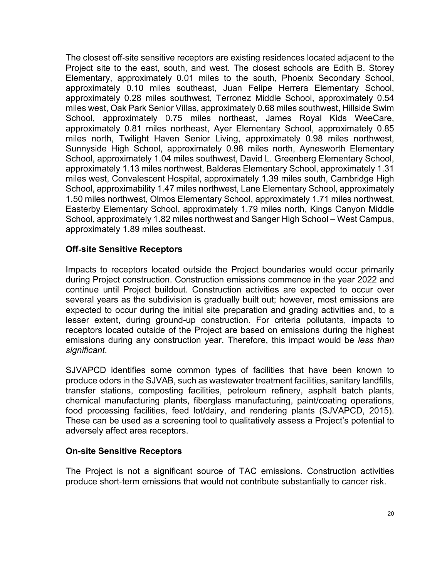The closest off‐site sensitive receptors are existing residences located adjacent to the Project site to the east, south, and west. The closest schools are Edith B. Storey Elementary, approximately 0.01 miles to the south, Phoenix Secondary School, approximately 0.10 miles southeast, Juan Felipe Herrera Elementary School, approximately 0.28 miles southwest, Terronez Middle School, approximately 0.54 miles west, Oak Park Senior Villas, approximately 0.68 miles southwest, Hillside Swim School, approximately 0.75 miles northeast, James Royal Kids WeeCare, approximately 0.81 miles northeast, Ayer Elementary School, approximately 0.85 miles north, Twilight Haven Senior Living, approximately 0.98 miles northwest, Sunnyside High School, approximately 0.98 miles north, Aynesworth Elementary School, approximately 1.04 miles southwest, David L. Greenberg Elementary School, approximately 1.13 miles northwest, Balderas Elementary School, approximately 1.31 miles west, Convalescent Hospital, approximately 1.39 miles south, Cambridge High School, approximability 1.47 miles northwest, Lane Elementary School, approximately 1.50 miles northwest, Olmos Elementary School, approximately 1.71 miles northwest, Easterby Elementary School, approximately 1.79 miles north, Kings Canyon Middle School, approximately 1.82 miles northwest and Sanger High School – West Campus, approximately 1.89 miles southeast.

## **Off**‐**site Sensitive Receptors**

Impacts to receptors located outside the Project boundaries would occur primarily during Project construction. Construction emissions commence in the year 2022 and continue until Project buildout. Construction activities are expected to occur over several years as the subdivision is gradually built out; however, most emissions are expected to occur during the initial site preparation and grading activities and, to a lesser extent, during ground-up construction. For criteria pollutants, impacts to receptors located outside of the Project are based on emissions during the highest emissions during any construction year. Therefore, this impact would be *less than significant*.

SJVAPCD identifies some common types of facilities that have been known to produce odors in the SJVAB, such as wastewater treatment facilities, sanitary landfills, transfer stations, composting facilities, petroleum refinery, asphalt batch plants, chemical manufacturing plants, fiberglass manufacturing, paint/coating operations, food processing facilities, feed lot/dairy, and rendering plants (SJVAPCD, 2015). These can be used as a screening tool to qualitatively assess a Project's potential to adversely affect area receptors.

### **On**‐**site Sensitive Receptors**

The Project is not a significant source of TAC emissions. Construction activities produce short‐term emissions that would not contribute substantially to cancer risk.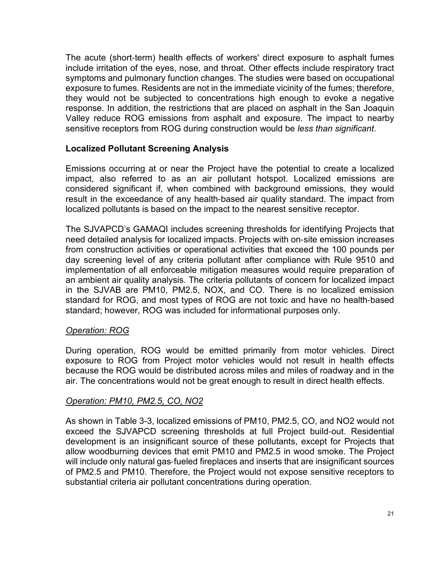The acute (short‐term) health effects of workers' direct exposure to asphalt fumes include irritation of the eyes, nose, and throat. Other effects include respiratory tract symptoms and pulmonary function changes. The studies were based on occupational exposure to fumes. Residents are not in the immediate vicinity of the fumes; therefore, they would not be subjected to concentrations high enough to evoke a negative response. In addition, the restrictions that are placed on asphalt in the San Joaquin Valley reduce ROG emissions from asphalt and exposure. The impact to nearby sensitive receptors from ROG during construction would be *less than significant*.

### **Localized Pollutant Screening Analysis**

Emissions occurring at or near the Project have the potential to create a localized impact, also referred to as an air pollutant hotspot. Localized emissions are considered significant if, when combined with background emissions, they would result in the exceedance of any health‐based air quality standard. The impact from localized pollutants is based on the impact to the nearest sensitive receptor.

The SJVAPCD's GAMAQI includes screening thresholds for identifying Projects that need detailed analysis for localized impacts. Projects with on‐site emission increases from construction activities or operational activities that exceed the 100 pounds per day screening level of any criteria pollutant after compliance with Rule 9510 and implementation of all enforceable mitigation measures would require preparation of an ambient air quality analysis. The criteria pollutants of concern for localized impact in the SJVAB are PM10, PM2.5, NOX, and CO. There is no localized emission standard for ROG, and most types of ROG are not toxic and have no health‐based standard; however, ROG was included for informational purposes only.

### *Operation: ROG*

During operation, ROG would be emitted primarily from motor vehicles. Direct exposure to ROG from Project motor vehicles would not result in health effects because the ROG would be distributed across miles and miles of roadway and in the air. The concentrations would not be great enough to result in direct health effects.

### *Operation: PM10, PM2.5, CO, NO2*

As shown in Table 3-3, localized emissions of PM10, PM2.5, CO, and NO2 would not exceed the SJVAPCD screening thresholds at full Project build‐out. Residential development is an insignificant source of these pollutants, except for Projects that allow woodburning devices that emit PM10 and PM2.5 in wood smoke. The Project will include only natural gas-fueled fireplaces and inserts that are insignificant sources of PM2.5 and PM10. Therefore, the Project would not expose sensitive receptors to substantial criteria air pollutant concentrations during operation.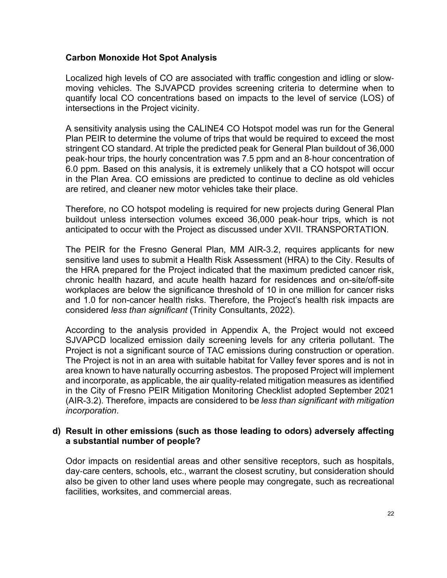#### **Carbon Monoxide Hot Spot Analysis**

Localized high levels of CO are associated with traffic congestion and idling or slow‐ moving vehicles. The SJVAPCD provides screening criteria to determine when to quantify local CO concentrations based on impacts to the level of service (LOS) of intersections in the Project vicinity.

A sensitivity analysis using the CALINE4 CO Hotspot model was run for the General Plan PEIR to determine the volume of trips that would be required to exceed the most stringent CO standard. At triple the predicted peak for General Plan buildout of 36,000 peak‐hour trips, the hourly concentration was 7.5 ppm and an 8‐hour concentration of 6.0 ppm. Based on this analysis, it is extremely unlikely that a CO hotspot will occur in the Plan Area. CO emissions are predicted to continue to decline as old vehicles are retired, and cleaner new motor vehicles take their place.

Therefore, no CO hotspot modeling is required for new projects during General Plan buildout unless intersection volumes exceed 36,000 peak‐hour trips, which is not anticipated to occur with the Project as discussed under XVII. TRANSPORTATION.

The PEIR for the Fresno General Plan, MM AIR-3.2, requires applicants for new sensitive land uses to submit a Health Risk Assessment (HRA) to the City. Results of the HRA prepared for the Project indicated that the maximum predicted cancer risk, chronic health hazard, and acute health hazard for residences and on-site/off-site workplaces are below the significance threshold of 10 in one million for cancer risks and 1.0 for non-cancer health risks. Therefore, the Project's health risk impacts are considered *less than significant* (Trinity Consultants, 2022).

According to the analysis provided in Appendix A, the Project would not exceed SJVAPCD localized emission daily screening levels for any criteria pollutant. The Project is not a significant source of TAC emissions during construction or operation. The Project is not in an area with suitable habitat for Valley fever spores and is not in area known to have naturally occurring asbestos. The proposed Project will implement and incorporate, as applicable, the air quality-related mitigation measures as identified in the City of Fresno PEIR Mitigation Monitoring Checklist adopted September 2021 (AIR-3.2). Therefore, impacts are considered to be *less than significant with mitigation incorporation*.

#### **d) Result in other emissions (such as those leading to odors) adversely affecting a substantial number of people?**

Odor impacts on residential areas and other sensitive receptors, such as hospitals, day‐care centers, schools, etc., warrant the closest scrutiny, but consideration should also be given to other land uses where people may congregate, such as recreational facilities, worksites, and commercial areas.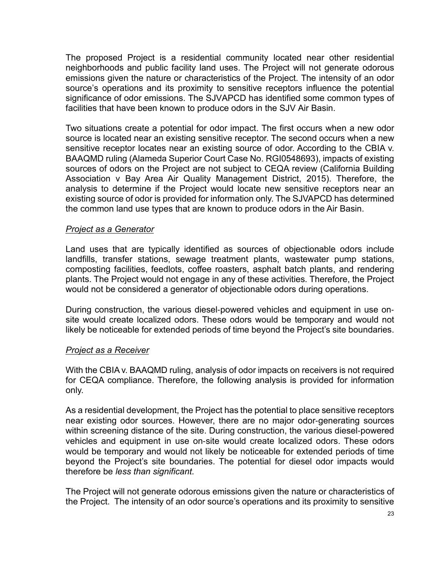The proposed Project is a residential community located near other residential neighborhoods and public facility land uses. The Project will not generate odorous emissions given the nature or characteristics of the Project. The intensity of an odor source's operations and its proximity to sensitive receptors influence the potential significance of odor emissions. The SJVAPCD has identified some common types of facilities that have been known to produce odors in the SJV Air Basin.

Two situations create a potential for odor impact. The first occurs when a new odor source is located near an existing sensitive receptor. The second occurs when a new sensitive receptor locates near an existing source of odor. According to the CBIA v. BAAQMD ruling (Alameda Superior Court Case No. RGI0548693), impacts of existing sources of odors on the Project are not subject to CEQA review (California Building Association v Bay Area Air Quality Management District, 2015). Therefore, the analysis to determine if the Project would locate new sensitive receptors near an existing source of odor is provided for information only. The SJVAPCD has determined the common land use types that are known to produce odors in the Air Basin.

#### *Project as a Generator*

Land uses that are typically identified as sources of objectionable odors include landfills, transfer stations, sewage treatment plants, wastewater pump stations, composting facilities, feedlots, coffee roasters, asphalt batch plants, and rendering plants. The Project would not engage in any of these activities. Therefore, the Project would not be considered a generator of objectionable odors during operations.

During construction, the various diesel-powered vehicles and equipment in use onsite would create localized odors. These odors would be temporary and would not likely be noticeable for extended periods of time beyond the Project's site boundaries.

#### *Project as a Receiver*

With the CBIA v. BAAQMD ruling, analysis of odor impacts on receivers is not required for CEQA compliance. Therefore, the following analysis is provided for information only.

As a residential development, the Project has the potential to place sensitive receptors near existing odor sources. However, there are no major odor-generating sources within screening distance of the site. During construction, the various diesel-powered vehicles and equipment in use on-site would create localized odors. These odors would be temporary and would not likely be noticeable for extended periods of time beyond the Project's site boundaries. The potential for diesel odor impacts would therefore be *less than significant*.

The Project will not generate odorous emissions given the nature or characteristics of the Project. The intensity of an odor source's operations and its proximity to sensitive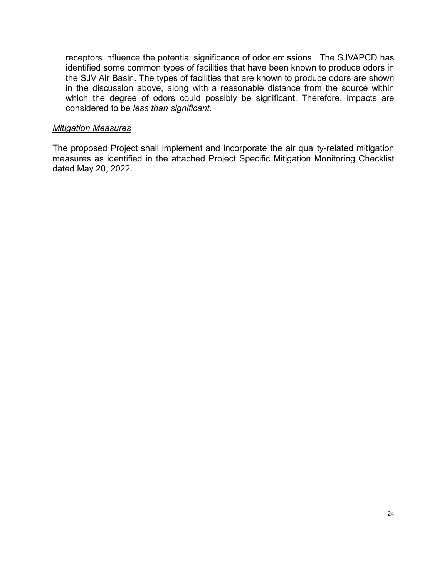receptors influence the potential significance of odor emissions. The SJVAPCD has identified some common types of facilities that have been known to produce odors in the SJV Air Basin. The types of facilities that are known to produce odors are shown in the discussion above, along with a reasonable distance from the source within which the degree of odors could possibly be significant. Therefore, impacts are considered to be *less than significant*.

#### *Mitigation Measures*

The proposed Project shall implement and incorporate the air quality-related mitigation measures as identified in the attached Project Specific Mitigation Monitoring Checklist dated May 20, 2022.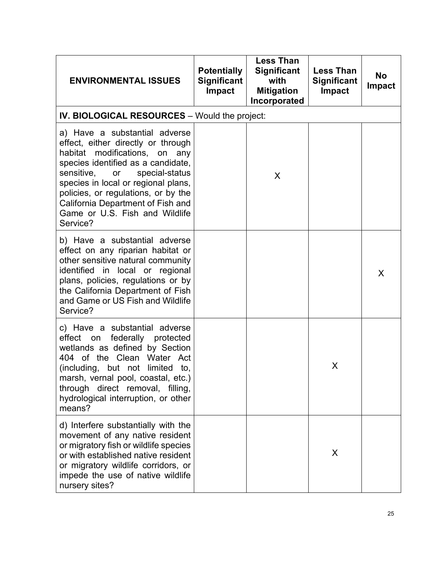| <b>ENVIRONMENTAL ISSUES</b>                                                                                                                                                                                                                                                                                                                       | <b>Potentially</b><br><b>Significant</b><br>Impact | <b>Less Than</b><br><b>Significant</b><br>with<br><b>Mitigation</b><br>Incorporated | <b>Less Than</b><br>Significant<br><b>Impact</b> | <b>No</b><br><b>Impact</b> |
|---------------------------------------------------------------------------------------------------------------------------------------------------------------------------------------------------------------------------------------------------------------------------------------------------------------------------------------------------|----------------------------------------------------|-------------------------------------------------------------------------------------|--------------------------------------------------|----------------------------|
| <b>IV. BIOLOGICAL RESOURCES</b> - Would the project:                                                                                                                                                                                                                                                                                              |                                                    |                                                                                     |                                                  |                            |
| a) Have a substantial adverse<br>effect, either directly or through<br>habitat modifications, on any<br>species identified as a candidate,<br>sensitive,<br>special-status<br>or<br>species in local or regional plans,<br>policies, or regulations, or by the<br>California Department of Fish and<br>Game or U.S. Fish and Wildlife<br>Service? |                                                    | X                                                                                   |                                                  |                            |
| b) Have a substantial adverse<br>effect on any riparian habitat or<br>other sensitive natural community<br>identified in local or regional<br>plans, policies, regulations or by<br>the California Department of Fish<br>and Game or US Fish and Wildlife<br>Service?                                                                             |                                                    |                                                                                     |                                                  | X                          |
| c) Have a substantial adverse<br>federally protected<br>effect on<br>wetlands as defined by Section<br>404 of the Clean Water Act<br>(including, but not limited to,<br>marsh, vernal pool, coastal, etc.)<br>through direct removal, filling,<br>hydrological interruption, or other<br>means?                                                   |                                                    |                                                                                     | X                                                |                            |
| d) Interfere substantially with the<br>movement of any native resident<br>or migratory fish or wildlife species<br>or with established native resident<br>or migratory wildlife corridors, or<br>impede the use of native wildlife<br>nursery sites?                                                                                              |                                                    |                                                                                     | X                                                |                            |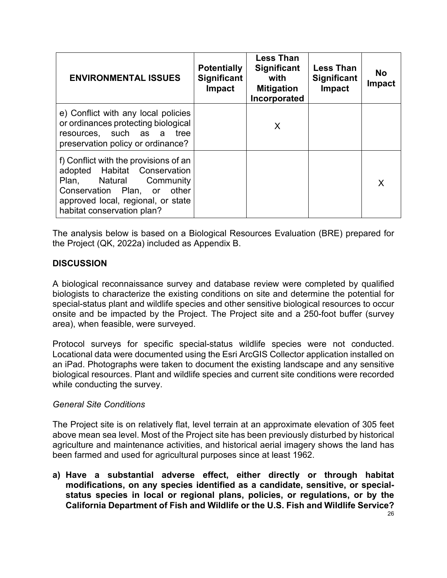| <b>ENVIRONMENTAL ISSUES</b>                                                                                                                                                                         | <b>Potentially</b><br><b>Significant</b><br>Impact | <b>Less Than</b><br><b>Significant</b><br>with<br><b>Mitigation</b><br>Incorporated | <b>Less Than</b><br><b>Significant</b><br>Impact | No.<br>Impact |
|-----------------------------------------------------------------------------------------------------------------------------------------------------------------------------------------------------|----------------------------------------------------|-------------------------------------------------------------------------------------|--------------------------------------------------|---------------|
| e) Conflict with any local policies<br>or ordinances protecting biological<br>resources, such as a tree<br>preservation policy or ordinance?                                                        |                                                    | X                                                                                   |                                                  |               |
| f) Conflict with the provisions of an<br>adopted Habitat Conservation<br>Plan, Natural Community<br>Conservation Plan, or other<br>approved local, regional, or state<br>habitat conservation plan? |                                                    |                                                                                     |                                                  | X             |

The analysis below is based on a Biological Resources Evaluation (BRE) prepared for the Project (QK, 2022a) included as Appendix B.

## **DISCUSSION**

A biological reconnaissance survey and database review were completed by qualified biologists to characterize the existing conditions on site and determine the potential for special-status plant and wildlife species and other sensitive biological resources to occur onsite and be impacted by the Project. The Project site and a 250-foot buffer (survey area), when feasible, were surveyed.

Protocol surveys for specific special-status wildlife species were not conducted. Locational data were documented using the Esri ArcGIS Collector application installed on an iPad. Photographs were taken to document the existing landscape and any sensitive biological resources. Plant and wildlife species and current site conditions were recorded while conducting the survey.

### *General Site Conditions*

The Project site is on relatively flat, level terrain at an approximate elevation of 305 feet above mean sea level. Most of the Project site has been previously disturbed by historical agriculture and maintenance activities, and historical aerial imagery shows the land has been farmed and used for agricultural purposes since at least 1962.

**a) Have a substantial adverse effect, either directly or through habitat modifications, on any species identified as a candidate, sensitive, or specialstatus species in local or regional plans, policies, or regulations, or by the California Department of Fish and Wildlife or the U.S. Fish and Wildlife Service?**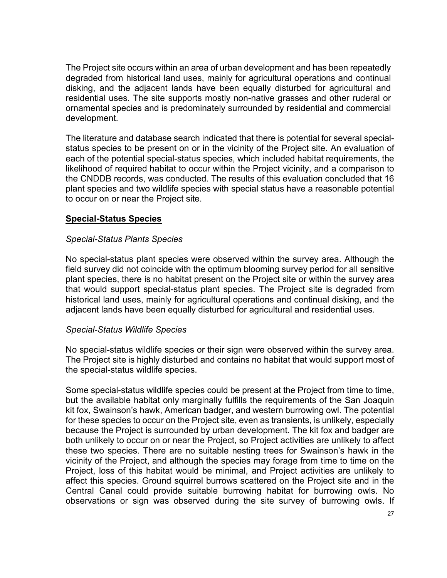The Project site occurs within an area of urban development and has been repeatedly degraded from historical land uses, mainly for agricultural operations and continual disking, and the adjacent lands have been equally disturbed for agricultural and residential uses. The site supports mostly non-native grasses and other ruderal or ornamental species and is predominately surrounded by residential and commercial development.

The literature and database search indicated that there is potential for several specialstatus species to be present on or in the vicinity of the Project site. An evaluation of each of the potential special-status species, which included habitat requirements, the likelihood of required habitat to occur within the Project vicinity, and a comparison to the CNDDB records, was conducted. The results of this evaluation concluded that 16 plant species and two wildlife species with special status have a reasonable potential to occur on or near the Project site.

### **Special-Status Species**

### *Special-Status Plants Species*

No special-status plant species were observed within the survey area. Although the field survey did not coincide with the optimum blooming survey period for all sensitive plant species, there is no habitat present on the Project site or within the survey area that would support special-status plant species. The Project site is degraded from historical land uses, mainly for agricultural operations and continual disking, and the adjacent lands have been equally disturbed for agricultural and residential uses.

### *Special-Status Wildlife Species*

No special-status wildlife species or their sign were observed within the survey area. The Project site is highly disturbed and contains no habitat that would support most of the special-status wildlife species.

Some special-status wildlife species could be present at the Project from time to time, but the available habitat only marginally fulfills the requirements of the San Joaquin kit fox, Swainson's hawk, American badger, and western burrowing owl. The potential for these species to occur on the Project site, even as transients, is unlikely, especially because the Project is surrounded by urban development. The kit fox and badger are both unlikely to occur on or near the Project, so Project activities are unlikely to affect these two species. There are no suitable nesting trees for Swainson's hawk in the vicinity of the Project, and although the species may forage from time to time on the Project, loss of this habitat would be minimal, and Project activities are unlikely to affect this species. Ground squirrel burrows scattered on the Project site and in the Central Canal could provide suitable burrowing habitat for burrowing owls. No observations or sign was observed during the site survey of burrowing owls. If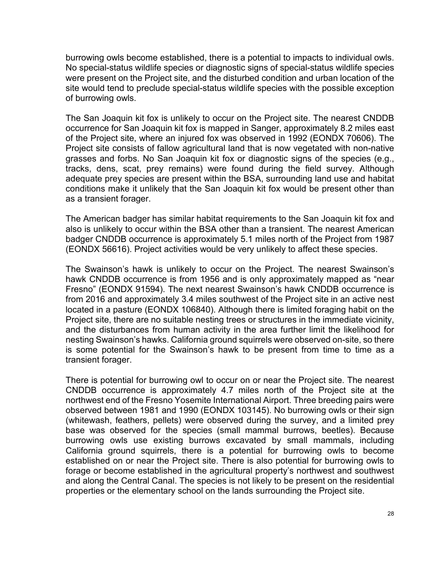burrowing owls become established, there is a potential to impacts to individual owls. No special-status wildlife species or diagnostic signs of special-status wildlife species were present on the Project site, and the disturbed condition and urban location of the site would tend to preclude special-status wildlife species with the possible exception of burrowing owls.

The San Joaquin kit fox is unlikely to occur on the Project site. The nearest CNDDB occurrence for San Joaquin kit fox is mapped in Sanger, approximately 8.2 miles east of the Project site, where an injured fox was observed in 1992 (EONDX 70606). The Project site consists of fallow agricultural land that is now vegetated with non-native grasses and forbs. No San Joaquin kit fox or diagnostic signs of the species (e.g., tracks, dens, scat, prey remains) were found during the field survey. Although adequate prey species are present within the BSA, surrounding land use and habitat conditions make it unlikely that the San Joaquin kit fox would be present other than as a transient forager.

The American badger has similar habitat requirements to the San Joaquin kit fox and also is unlikely to occur within the BSA other than a transient. The nearest American badger CNDDB occurrence is approximately 5.1 miles north of the Project from 1987 (EONDX 56616). Project activities would be very unlikely to affect these species.

The Swainson's hawk is unlikely to occur on the Project. The nearest Swainson's hawk CNDDB occurrence is from 1956 and is only approximately mapped as "near Fresno" (EONDX 91594). The next nearest Swainson's hawk CNDDB occurrence is from 2016 and approximately 3.4 miles southwest of the Project site in an active nest located in a pasture (EONDX 106840). Although there is limited foraging habit on the Project site, there are no suitable nesting trees or structures in the immediate vicinity, and the disturbances from human activity in the area further limit the likelihood for nesting Swainson's hawks. California ground squirrels were observed on-site, so there is some potential for the Swainson's hawk to be present from time to time as a transient forager.

There is potential for burrowing owl to occur on or near the Project site. The nearest CNDDB occurrence is approximately 4.7 miles north of the Project site at the northwest end of the Fresno Yosemite International Airport. Three breeding pairs were observed between 1981 and 1990 (EONDX 103145). No burrowing owls or their sign (whitewash, feathers, pellets) were observed during the survey, and a limited prey base was observed for the species (small mammal burrows, beetles). Because burrowing owls use existing burrows excavated by small mammals, including California ground squirrels, there is a potential for burrowing owls to become established on or near the Project site. There is also potential for burrowing owls to forage or become established in the agricultural property's northwest and southwest and along the Central Canal. The species is not likely to be present on the residential properties or the elementary school on the lands surrounding the Project site.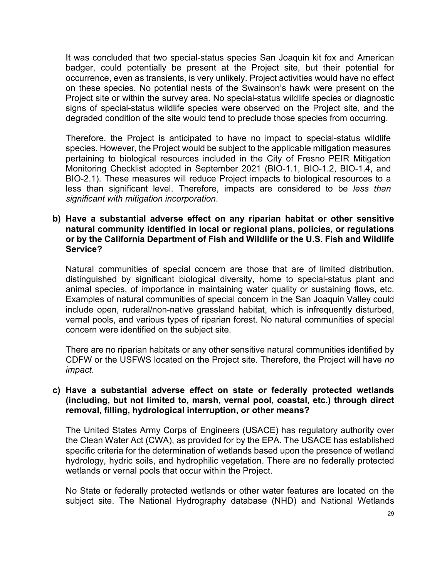It was concluded that two special-status species San Joaquin kit fox and American badger, could potentially be present at the Project site, but their potential for occurrence, even as transients, is very unlikely. Project activities would have no effect on these species. No potential nests of the Swainson's hawk were present on the Project site or within the survey area. No special-status wildlife species or diagnostic signs of special-status wildlife species were observed on the Project site, and the degraded condition of the site would tend to preclude those species from occurring.

Therefore, the Project is anticipated to have no impact to special-status wildlife species. However, the Project would be subject to the applicable mitigation measures pertaining to biological resources included in the City of Fresno PEIR Mitigation Monitoring Checklist adopted in September 2021 (BIO-1.1, BIO-1.2, BIO-1.4, and BIO-2.1). These measures will reduce Project impacts to biological resources to a less than significant level. Therefore, impacts are considered to be *less than significant with mitigation incorporation*.

#### **b) Have a substantial adverse effect on any riparian habitat or other sensitive natural community identified in local or regional plans, policies, or regulations or by the California Department of Fish and Wildlife or the U.S. Fish and Wildlife Service?**

Natural communities of special concern are those that are of limited distribution, distinguished by significant biological diversity, home to special-status plant and animal species, of importance in maintaining water quality or sustaining flows, etc. Examples of natural communities of special concern in the San Joaquin Valley could include open, ruderal/non-native grassland habitat, which is infrequently disturbed, vernal pools, and various types of riparian forest. No natural communities of special concern were identified on the subject site.

There are no riparian habitats or any other sensitive natural communities identified by CDFW or the USFWS located on the Project site. Therefore, the Project will have *no impact*.

#### **c) Have a substantial adverse effect on state or federally protected wetlands (including, but not limited to, marsh, vernal pool, coastal, etc.) through direct removal, filling, hydrological interruption, or other means?**

The United States Army Corps of Engineers (USACE) has regulatory authority over the Clean Water Act (CWA), as provided for by the EPA. The USACE has established specific criteria for the determination of wetlands based upon the presence of wetland hydrology, hydric soils, and hydrophilic vegetation. There are no federally protected wetlands or vernal pools that occur within the Project.

No State or federally protected wetlands or other water features are located on the subject site. The National Hydrography database (NHD) and National Wetlands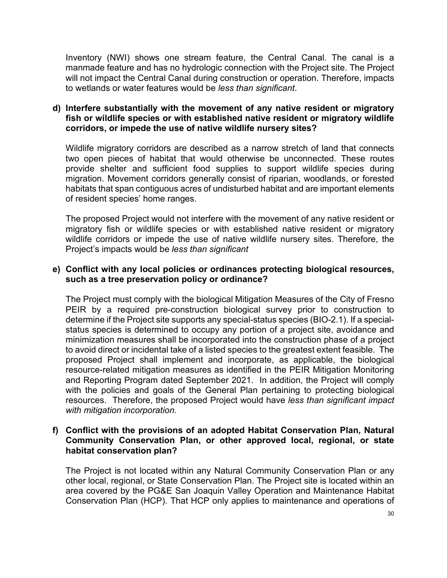Inventory (NWI) shows one stream feature, the Central Canal. The canal is a manmade feature and has no hydrologic connection with the Project site. The Project will not impact the Central Canal during construction or operation. Therefore, impacts to wetlands or water features would be *less than significant*.

### **d) Interfere substantially with the movement of any native resident or migratory fish or wildlife species or with established native resident or migratory wildlife corridors, or impede the use of native wildlife nursery sites?**

Wildlife migratory corridors are described as a narrow stretch of land that connects two open pieces of habitat that would otherwise be unconnected. These routes provide shelter and sufficient food supplies to support wildlife species during migration. Movement corridors generally consist of riparian, woodlands, or forested habitats that span contiguous acres of undisturbed habitat and are important elements of resident species' home ranges.

The proposed Project would not interfere with the movement of any native resident or migratory fish or wildlife species or with established native resident or migratory wildlife corridors or impede the use of native wildlife nursery sites. Therefore, the Project's impacts would be *less than significant*

### **e) Conflict with any local policies or ordinances protecting biological resources, such as a tree preservation policy or ordinance?**

The Project must comply with the biological Mitigation Measures of the City of Fresno PEIR by a required pre-construction biological survey prior to construction to determine if the Project site supports any special-status species (BIO-2.1). If a specialstatus species is determined to occupy any portion of a project site, avoidance and minimization measures shall be incorporated into the construction phase of a project to avoid direct or incidental take of a listed species to the greatest extent feasible. The proposed Project shall implement and incorporate, as applicable, the biological resource-related mitigation measures as identified in the PEIR Mitigation Monitoring and Reporting Program dated September 2021. In addition, the Project will comply with the policies and goals of the General Plan pertaining to protecting biological resources. Therefore, the proposed Project would have *less than significant impact with mitigation incorporation.*

### **f) Conflict with the provisions of an adopted Habitat Conservation Plan, Natural Community Conservation Plan, or other approved local, regional, or state habitat conservation plan?**

The Project is not located within any Natural Community Conservation Plan or any other local, regional, or State Conservation Plan. The Project site is located within an area covered by the PG&E San Joaquin Valley Operation and Maintenance Habitat Conservation Plan (HCP). That HCP only applies to maintenance and operations of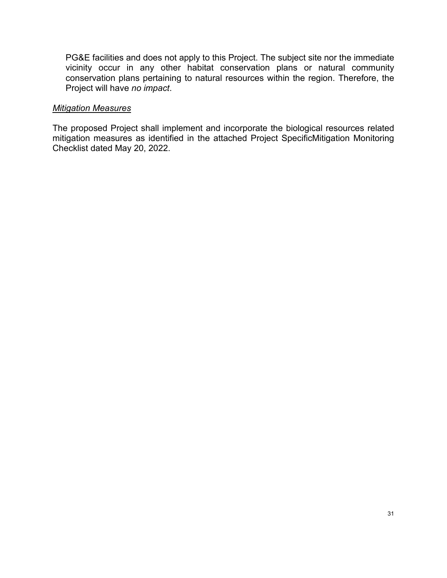PG&E facilities and does not apply to this Project. The subject site nor the immediate vicinity occur in any other habitat conservation plans or natural community conservation plans pertaining to natural resources within the region. Therefore, the Project will have *no impact*.

#### *Mitigation Measures*

The proposed Project shall implement and incorporate the biological resources related mitigation measures as identified in the attached Project SpecificMitigation Monitoring Checklist dated May 20, 2022.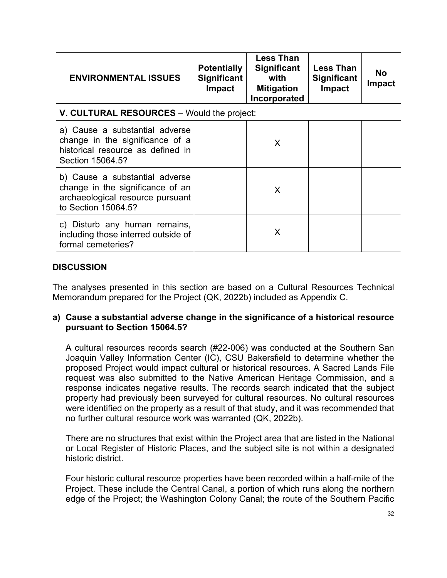| <b>ENVIRONMENTAL ISSUES</b>                                                                                                   | <b>Potentially</b><br>Significant<br>Impact | <b>Less Than</b><br><b>Significant</b><br>with<br><b>Mitigation</b><br>Incorporated | <b>Less Than</b><br><b>Significant</b><br>Impact | <b>No</b><br><b>Impact</b> |
|-------------------------------------------------------------------------------------------------------------------------------|---------------------------------------------|-------------------------------------------------------------------------------------|--------------------------------------------------|----------------------------|
| V. CULTURAL RESOURCES - Would the project:                                                                                    |                                             |                                                                                     |                                                  |                            |
| a) Cause a substantial adverse<br>change in the significance of a<br>historical resource as defined in<br>Section 15064.5?    |                                             | X                                                                                   |                                                  |                            |
| b) Cause a substantial adverse<br>change in the significance of an<br>archaeological resource pursuant<br>to Section 15064.5? |                                             | X                                                                                   |                                                  |                            |
| c) Disturb any human remains,<br>including those interred outside of<br>formal cemeteries?                                    |                                             | X                                                                                   |                                                  |                            |

### **DISCUSSION**

The analyses presented in this section are based on a Cultural Resources Technical Memorandum prepared for the Project (QK, 2022b) included as Appendix C.

### **a) Cause a substantial adverse change in the significance of a historical resource pursuant to Section 15064.5?**

A cultural resources records search (#22-006) was conducted at the Southern San Joaquin Valley Information Center (IC), CSU Bakersfield to determine whether the proposed Project would impact cultural or historical resources. A Sacred Lands File request was also submitted to the Native American Heritage Commission, and a response indicates negative results. The records search indicated that the subject property had previously been surveyed for cultural resources. No cultural resources were identified on the property as a result of that study, and it was recommended that no further cultural resource work was warranted (QK, 2022b).

There are no structures that exist within the Project area that are listed in the National or Local Register of Historic Places, and the subject site is not within a designated historic district.

Four historic cultural resource properties have been recorded within a half-mile of the Project. These include the Central Canal, a portion of which runs along the northern edge of the Project; the Washington Colony Canal; the route of the Southern Pacific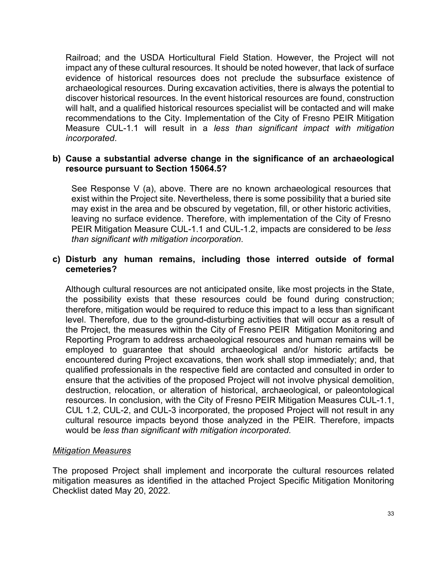Railroad; and the USDA Horticultural Field Station. However, the Project will not impact any of these cultural resources. It should be noted however, that lack of surface evidence of historical resources does not preclude the subsurface existence of archaeological resources. During excavation activities, there is always the potential to discover historical resources. In the event historical resources are found, construction will halt, and a qualified historical resources specialist will be contacted and will make recommendations to the City. Implementation of the City of Fresno PEIR Mitigation Measure CUL-1.1 will result in a *less than significant impact with mitigation incorporated*.

#### **b) Cause a substantial adverse change in the significance of an archaeological resource pursuant to Section 15064.5?**

See Response V (a), above. There are no known archaeological resources that exist within the Project site. Nevertheless, there is some possibility that a buried site may exist in the area and be obscured by vegetation, fill, or other historic activities, leaving no surface evidence. Therefore, with implementation of the City of Fresno PEIR Mitigation Measure CUL-1.1 and CUL-1.2, impacts are considered to be *less than significant with mitigation incorporation*.

#### **c) Disturb any human remains, including those interred outside of formal cemeteries?**

Although cultural resources are not anticipated onsite, like most projects in the State, the possibility exists that these resources could be found during construction; therefore, mitigation would be required to reduce this impact to a less than significant level. Therefore, due to the ground-disturbing activities that will occur as a result of the Project, the measures within the City of Fresno PEIR Mitigation Monitoring and Reporting Program to address archaeological resources and human remains will be employed to guarantee that should archaeological and/or historic artifacts be encountered during Project excavations, then work shall stop immediately; and, that qualified professionals in the respective field are contacted and consulted in order to ensure that the activities of the proposed Project will not involve physical demolition, destruction, relocation, or alteration of historical, archaeological, or paleontological resources. In conclusion, with the City of Fresno PEIR Mitigation Measures CUL-1.1, CUL 1.2, CUL-2, and CUL-3 incorporated, the proposed Project will not result in any cultural resource impacts beyond those analyzed in the PEIR. Therefore, impacts would be *less than significant with mitigation incorporated.*

### *Mitigation Measures*

The proposed Project shall implement and incorporate the cultural resources related mitigation measures as identified in the attached Project Specific Mitigation Monitoring Checklist dated May 20, 2022.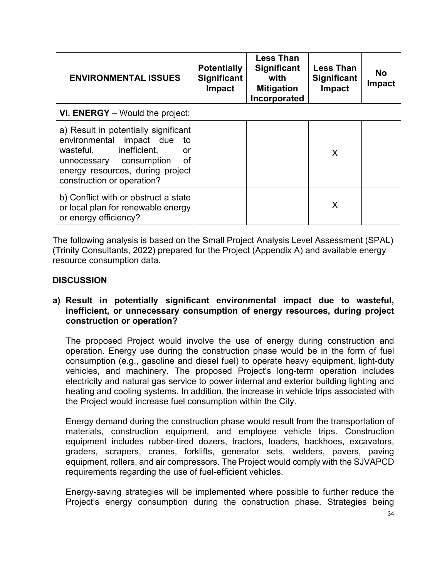| <b>ENVIRONMENTAL ISSUES</b>                                                                                                                                                                               | <b>Potentially</b><br><b>Significant</b><br>Impact | <b>Less Than</b><br><b>Significant</b><br>with<br><b>Mitigation</b><br>Incorporated | <b>Less Than</b><br><b>Significant</b><br>Impact | No.<br><b>Impact</b> |
|-----------------------------------------------------------------------------------------------------------------------------------------------------------------------------------------------------------|----------------------------------------------------|-------------------------------------------------------------------------------------|--------------------------------------------------|----------------------|
| <b>VI. ENERGY</b> – Would the project:                                                                                                                                                                    |                                                    |                                                                                     |                                                  |                      |
| a) Result in potentially significant<br>environmental impact due<br>to<br>wasteful, inefficient,<br>or<br>unnecessary consumption<br>0f<br>energy resources, during project<br>construction or operation? |                                                    |                                                                                     | X                                                |                      |
| b) Conflict with or obstruct a state<br>or local plan for renewable energy<br>or energy efficiency?                                                                                                       |                                                    |                                                                                     | X                                                |                      |

The following analysis is based on the Small Project Analysis Level Assessment (SPAL) (Trinity Consultants, 2022) prepared for the Project (Appendix A) and available energy resource consumption data.

## **DISCUSSION**

### **a) Result in potentially significant environmental impact due to wasteful, inefficient, or unnecessary consumption of energy resources, during project construction or operation?**

The proposed Project would involve the use of energy during construction and operation. Energy use during the construction phase would be in the form of fuel consumption (e.g., gasoline and diesel fuel) to operate heavy equipment, light-duty vehicles, and machinery. The proposed Project's long-term operation includes electricity and natural gas service to power internal and exterior building lighting and heating and cooling systems. In addition, the increase in vehicle trips associated with the Project would increase fuel consumption within the City.

Energy demand during the construction phase would result from the transportation of materials, construction equipment, and employee vehicle trips. Construction equipment includes rubber-tired dozers, tractors, loaders, backhoes, excavators, graders, scrapers, cranes, forklifts, generator sets, welders, pavers, paving equipment, rollers, and air compressors. The Project would comply with the SJVAPCD requirements regarding the use of fuel-efficient vehicles.

Energy-saving strategies will be implemented where possible to further reduce the Project's energy consumption during the construction phase. Strategies being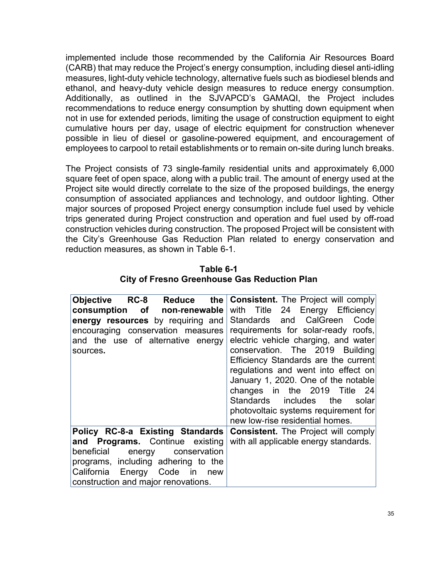implemented include those recommended by the California Air Resources Board (CARB) that may reduce the Project's energy consumption, including diesel anti-idling measures, light-duty vehicle technology, alternative fuels such as biodiesel blends and ethanol, and heavy-duty vehicle design measures to reduce energy consumption. Additionally, as outlined in the SJVAPCD's GAMAQI, the Project includes recommendations to reduce energy consumption by shutting down equipment when not in use for extended periods, limiting the usage of construction equipment to eight cumulative hours per day, usage of electric equipment for construction whenever possible in lieu of diesel or gasoline-powered equipment, and encouragement of employees to carpool to retail establishments or to remain on-site during lunch breaks.

The Project consists of 73 single-family residential units and approximately 6,000 square feet of open space, along with a public trail. The amount of energy used at the Project site would directly correlate to the size of the proposed buildings, the energy consumption of associated appliances and technology, and outdoor lighting. Other major sources of proposed Project energy consumption include fuel used by vehicle trips generated during Project construction and operation and fuel used by off-road construction vehicles during construction. The proposed Project will be consistent with the City's Greenhouse Gas Reduction Plan related to energy conservation and reduction measures, as shown in Table 6-1.

| Objective RC-8 Reduce the<br>consumption of non-renewable<br>energy resources by requiring and<br>encouraging conservation measures<br>and the use of alternative energy<br>sources.                                 | <b>Consistent.</b> The Project will comply<br>with Title 24 Energy Efficiency<br>Standards and CalGreen Code<br>requirements for solar-ready roofs,<br>electric vehicle charging, and water<br>conservation. The 2019 Building<br>Efficiency Standards are the current<br>regulations and went into effect on<br>January 1, 2020. One of the notable<br>changes in the 2019 Title 24 |
|----------------------------------------------------------------------------------------------------------------------------------------------------------------------------------------------------------------------|--------------------------------------------------------------------------------------------------------------------------------------------------------------------------------------------------------------------------------------------------------------------------------------------------------------------------------------------------------------------------------------|
| Policy RC-8-a Existing Standards<br>and Programs. Continue existing<br>beneficial energy conservation<br>programs, including adhering to the<br>California Energy Code in new<br>construction and major renovations. | photovoltaic systems requirement for<br>new low-rise residential homes.<br><b>Consistent.</b> The Project will comply<br>with all applicable energy standards.                                                                                                                                                                                                                       |

**Table 6-1 City of Fresno Greenhouse Gas Reduction Plan**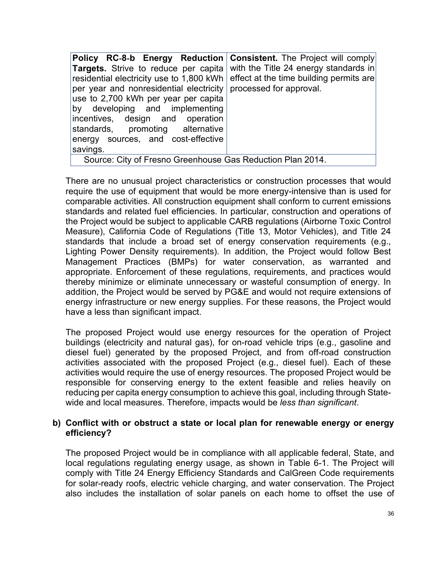| Policy RC-8-b Energy Reduction   Consistent. The Project will comply               |  |  |  |
|------------------------------------------------------------------------------------|--|--|--|
| <b>Targets.</b> Strive to reduce per capita with the Title 24 energy standards in  |  |  |  |
| residential electricity use to 1,800 kWh   effect at the time building permits are |  |  |  |
| per year and nonresidential electricity processed for approval.                    |  |  |  |
| use to 2,700 kWh per year per capita                                               |  |  |  |
| by developing and implementing                                                     |  |  |  |
| incentives, design and operation                                                   |  |  |  |
| standards, promoting alternative                                                   |  |  |  |
| energy sources, and cost-effective                                                 |  |  |  |
| savings.                                                                           |  |  |  |
| Source: City of Fresno Greenhouse Gas Reduction Plan 2014.                         |  |  |  |

There are no unusual project characteristics or construction processes that would require the use of equipment that would be more energy-intensive than is used for comparable activities. All construction equipment shall conform to current emissions standards and related fuel efficiencies. In particular, construction and operations of the Project would be subject to applicable CARB regulations (Airborne Toxic Control Measure), California Code of Regulations (Title 13, Motor Vehicles), and Title 24 standards that include a broad set of energy conservation requirements (e.g., Lighting Power Density requirements). In addition, the Project would follow Best Management Practices (BMPs) for water conservation, as warranted and appropriate. Enforcement of these regulations, requirements, and practices would thereby minimize or eliminate unnecessary or wasteful consumption of energy. In addition, the Project would be served by PG&E and would not require extensions of energy infrastructure or new energy supplies. For these reasons, the Project would have a less than significant impact.

The proposed Project would use energy resources for the operation of Project buildings (electricity and natural gas), for on-road vehicle trips (e.g., gasoline and diesel fuel) generated by the proposed Project, and from off-road construction activities associated with the proposed Project (e.g., diesel fuel). Each of these activities would require the use of energy resources. The proposed Project would be responsible for conserving energy to the extent feasible and relies heavily on reducing per capita energy consumption to achieve this goal, including through Statewide and local measures. Therefore, impacts would be *less than significant*.

### **b) Conflict with or obstruct a state or local plan for renewable energy or energy efficiency?**

The proposed Project would be in compliance with all applicable federal, State, and local regulations regulating energy usage, as shown in Table 6-1. The Project will comply with Title 24 Energy Efficiency Standards and CalGreen Code requirements for solar-ready roofs, electric vehicle charging, and water conservation. The Project also includes the installation of solar panels on each home to offset the use of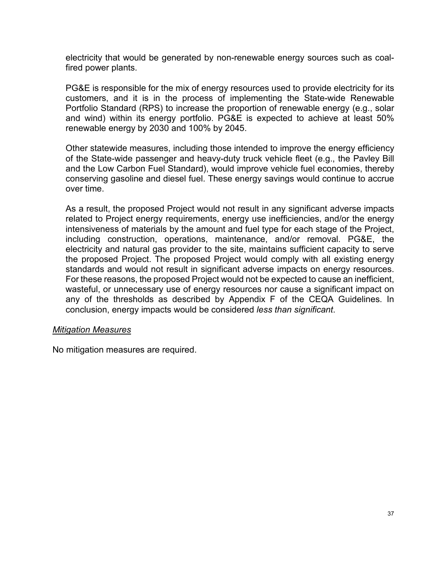electricity that would be generated by non-renewable energy sources such as coalfired power plants.

PG&E is responsible for the mix of energy resources used to provide electricity for its customers, and it is in the process of implementing the State-wide Renewable Portfolio Standard (RPS) to increase the proportion of renewable energy (e.g., solar and wind) within its energy portfolio. PG&E is expected to achieve at least 50% renewable energy by 2030 and 100% by 2045.

Other statewide measures, including those intended to improve the energy efficiency of the State-wide passenger and heavy-duty truck vehicle fleet (e.g., the Pavley Bill and the Low Carbon Fuel Standard), would improve vehicle fuel economies, thereby conserving gasoline and diesel fuel. These energy savings would continue to accrue over time.

As a result, the proposed Project would not result in any significant adverse impacts related to Project energy requirements, energy use inefficiencies, and/or the energy intensiveness of materials by the amount and fuel type for each stage of the Project, including construction, operations, maintenance, and/or removal. PG&E, the electricity and natural gas provider to the site, maintains sufficient capacity to serve the proposed Project. The proposed Project would comply with all existing energy standards and would not result in significant adverse impacts on energy resources. For these reasons, the proposed Project would not be expected to cause an inefficient, wasteful, or unnecessary use of energy resources nor cause a significant impact on any of the thresholds as described by Appendix F of the CEQA Guidelines. In conclusion, energy impacts would be considered *less than significant*.

#### *Mitigation Measures*

No mitigation measures are required.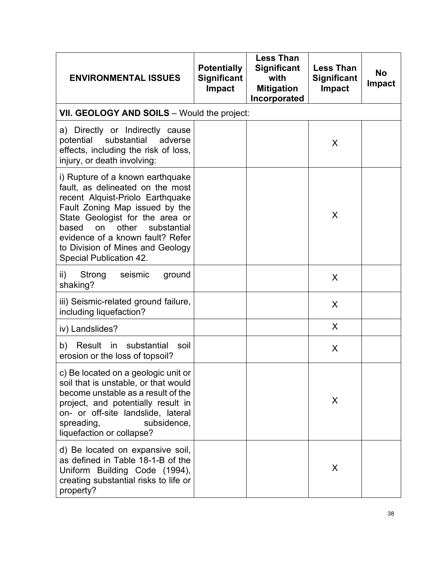| <b>ENVIRONMENTAL ISSUES</b>                                                                                                                                                                                                                                                                                                    | <b>Potentially</b><br><b>Significant</b><br>Impact | <b>Less Than</b><br><b>Significant</b><br>with<br><b>Mitigation</b><br>Incorporated | <b>Less Than</b><br><b>Significant</b><br><b>Impact</b> | <b>No</b><br>Impact |  |
|--------------------------------------------------------------------------------------------------------------------------------------------------------------------------------------------------------------------------------------------------------------------------------------------------------------------------------|----------------------------------------------------|-------------------------------------------------------------------------------------|---------------------------------------------------------|---------------------|--|
| VII. GEOLOGY AND SOILS - Would the project:                                                                                                                                                                                                                                                                                    |                                                    |                                                                                     |                                                         |                     |  |
| a) Directly or Indirectly cause<br>substantial<br>potential<br>adverse<br>effects, including the risk of loss,<br>injury, or death involving:                                                                                                                                                                                  |                                                    |                                                                                     | X                                                       |                     |  |
| i) Rupture of a known earthquake<br>fault, as delineated on the most<br>recent Alquist-Priolo Earthquake<br>Fault Zoning Map issued by the<br>State Geologist for the area or<br>other<br>substantial<br>based<br>on<br>evidence of a known fault? Refer<br>to Division of Mines and Geology<br><b>Special Publication 42.</b> |                                                    |                                                                                     | X                                                       |                     |  |
| $\mathsf{ii}$<br>Strong<br>seismic<br>ground<br>shaking?                                                                                                                                                                                                                                                                       |                                                    |                                                                                     | X                                                       |                     |  |
| iii) Seismic-related ground failure,<br>including liquefaction?                                                                                                                                                                                                                                                                |                                                    |                                                                                     | X                                                       |                     |  |
| iv) Landslides?                                                                                                                                                                                                                                                                                                                |                                                    |                                                                                     | X                                                       |                     |  |
| b) Result<br>substantial<br>in<br>soil<br>erosion or the loss of topsoil?                                                                                                                                                                                                                                                      |                                                    |                                                                                     | X                                                       |                     |  |
| c) Be located on a geologic unit or<br>soil that is unstable, or that would<br>become unstable as a result of the<br>project, and potentially result in<br>on- or off-site landslide, lateral<br>spreading,<br>subsidence,<br>liquefaction or collapse?                                                                        |                                                    |                                                                                     | X                                                       |                     |  |
| d) Be located on expansive soil,<br>as defined in Table 18-1-B of the<br>Uniform Building Code (1994),<br>creating substantial risks to life or<br>property?                                                                                                                                                                   |                                                    |                                                                                     | X                                                       |                     |  |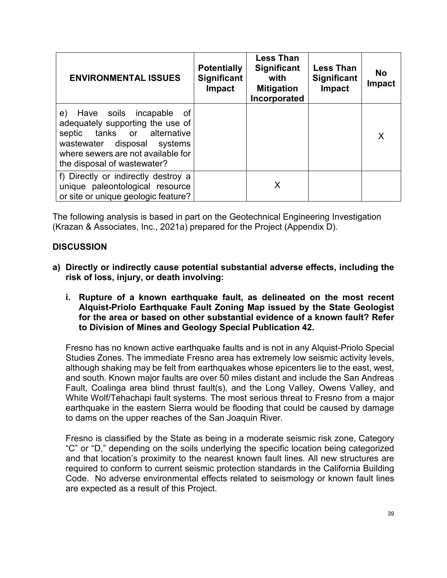| <b>ENVIRONMENTAL ISSUES</b>                                                                                                                                                                                 | <b>Potentially</b><br><b>Significant</b><br>Impact | <b>Less Than</b><br><b>Significant</b><br>with<br><b>Mitigation</b><br>Incorporated | <b>Less Than</b><br><b>Significant</b><br>Impact | <b>No</b><br><b>Impact</b> |
|-------------------------------------------------------------------------------------------------------------------------------------------------------------------------------------------------------------|----------------------------------------------------|-------------------------------------------------------------------------------------|--------------------------------------------------|----------------------------|
| e)<br>Have soils incapable<br>_of<br>adequately supporting the use of<br>septic tanks or alternative<br>wastewater<br>disposal systems<br>where sewers are not available for<br>the disposal of wastewater? |                                                    |                                                                                     |                                                  | X                          |
| f) Directly or indirectly destroy a<br>unique paleontological resource<br>or site or unique geologic feature?                                                                                               |                                                    | X                                                                                   |                                                  |                            |

The following analysis is based in part on the Geotechnical Engineering Investigation (Krazan & Associates, Inc., 2021a) prepared for the Project (Appendix D).

### **DISCUSSION**

- **a) Directly or indirectly cause potential substantial adverse effects, including the risk of loss, injury, or death involving:**
	- **i. Rupture of a known earthquake fault, as delineated on the most recent Alquist-Priolo Earthquake Fault Zoning Map issued by the State Geologist for the area or based on other substantial evidence of a known fault? Refer to Division of Mines and Geology Special Publication 42.**

Fresno has no known active earthquake faults and is not in any Alquist-Priolo Special Studies Zones. The immediate Fresno area has extremely low seismic activity levels, although shaking may be felt from earthquakes whose epicenters lie to the east, west, and south. Known major faults are over 50 miles distant and include the San Andreas Fault, Coalinga area blind thrust fault(s), and the Long Valley, Owens Valley, and White Wolf/Tehachapi fault systems. The most serious threat to Fresno from a major earthquake in the eastern Sierra would be flooding that could be caused by damage to dams on the upper reaches of the San Joaquin River.

Fresno is classified by the State as being in a moderate seismic risk zone, Category "C" or "D," depending on the soils underlying the specific location being categorized and that location's proximity to the nearest known fault lines. All new structures are required to conform to current seismic protection standards in the California Building Code. No adverse environmental effects related to seismology or known fault lines are expected as a result of this Project.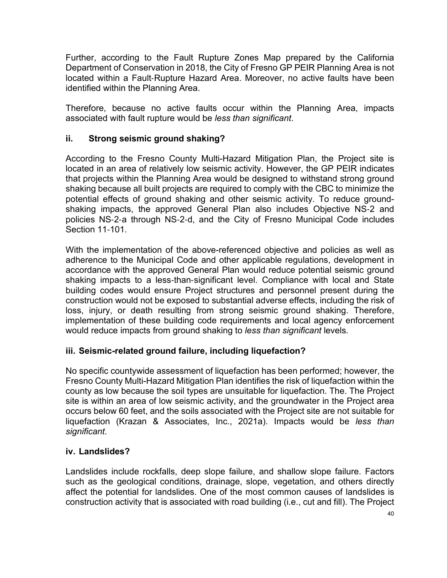Further, according to the Fault Rupture Zones Map prepared by the California Department of Conservation in 2018, the City of Fresno GP PEIR Planning Area is not located within a Fault‐Rupture Hazard Area. Moreover, no active faults have been identified within the Planning Area.

Therefore, because no active faults occur within the Planning Area, impacts associated with fault rupture would be *less than significant*.

# **ii. Strong seismic ground shaking?**

According to the Fresno County Multi-Hazard Mitigation Plan, the Project site is located in an area of relatively low seismic activity. However, the GP PEIR indicates that projects within the Planning Area would be designed to withstand strong ground shaking because all built projects are required to comply with the CBC to minimize the potential effects of ground shaking and other seismic activity. To reduce groundshaking impacts, the approved General Plan also includes Objective NS‐2 and policies NS‐2‐a through NS‐2‐d, and the City of Fresno Municipal Code includes Section 11‐101.

With the implementation of the above-referenced objective and policies as well as adherence to the Municipal Code and other applicable regulations, development in accordance with the approved General Plan would reduce potential seismic ground shaking impacts to a less‐than‐significant level. Compliance with local and State building codes would ensure Project structures and personnel present during the construction would not be exposed to substantial adverse effects, including the risk of loss, injury, or death resulting from strong seismic ground shaking. Therefore, implementation of these building code requirements and local agency enforcement would reduce impacts from ground shaking to *less than significant* levels*.*

# **iii. Seismic-related ground failure, including liquefaction?**

No specific countywide assessment of liquefaction has been performed; however, the Fresno County Multi-Hazard Mitigation Plan identifies the risk of liquefaction within the county as low because the soil types are unsuitable for liquefaction. The. The Project site is within an area of low seismic activity, and the groundwater in the Project area occurs below 60 feet, and the soils associated with the Project site are not suitable for liquefaction (Krazan & Associates, Inc., 2021a). Impacts would be *less than significant*.

# **iv. Landslides?**

Landslides include rockfalls, deep slope failure, and shallow slope failure. Factors such as the geological conditions, drainage, slope, vegetation, and others directly affect the potential for landslides. One of the most common causes of landslides is construction activity that is associated with road building (i.e., cut and fill). The Project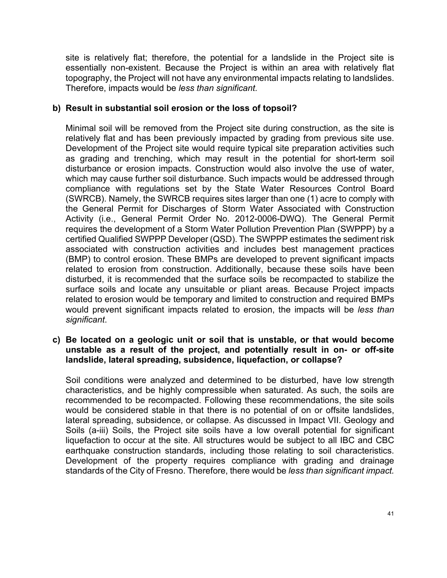site is relatively flat; therefore, the potential for a landslide in the Project site is essentially non-existent. Because the Project is within an area with relatively flat topography, the Project will not have any environmental impacts relating to landslides. Therefore, impacts would be *less than significant.*

### **b) Result in substantial soil erosion or the loss of topsoil?**

Minimal soil will be removed from the Project site during construction, as the site is relatively flat and has been previously impacted by grading from previous site use. Development of the Project site would require typical site preparation activities such as grading and trenching, which may result in the potential for short-term soil disturbance or erosion impacts. Construction would also involve the use of water, which may cause further soil disturbance. Such impacts would be addressed through compliance with regulations set by the State Water Resources Control Board (SWRCB). Namely, the SWRCB requires sites larger than one (1) acre to comply with the General Permit for Discharges of Storm Water Associated with Construction Activity (i.e., General Permit Order No. 2012-0006-DWQ). The General Permit requires the development of a Storm Water Pollution Prevention Plan (SWPPP) by a certified Qualified SWPPP Developer (QSD). The SWPPP estimates the sediment risk associated with construction activities and includes best management practices (BMP) to control erosion. These BMPs are developed to prevent significant impacts related to erosion from construction. Additionally, because these soils have been disturbed, it is recommended that the surface soils be recompacted to stabilize the surface soils and locate any unsuitable or pliant areas. Because Project impacts related to erosion would be temporary and limited to construction and required BMPs would prevent significant impacts related to erosion, the impacts will be *less than significant*.

## **c) Be located on a geologic unit or soil that is unstable, or that would become unstable as a result of the project, and potentially result in on- or off-site landslide, lateral spreading, subsidence, liquefaction, or collapse?**

Soil conditions were analyzed and determined to be disturbed, have low strength characteristics, and be highly compressible when saturated. As such, the soils are recommended to be recompacted. Following these recommendations, the site soils would be considered stable in that there is no potential of on or offsite landslides, lateral spreading, subsidence, or collapse. As discussed in Impact VII. Geology and Soils (a-iii) Soils, the Project site soils have a low overall potential for significant liquefaction to occur at the site. All structures would be subject to all IBC and CBC earthquake construction standards, including those relating to soil characteristics. Development of the property requires compliance with grading and drainage standards of the City of Fresno. Therefore, there would be *less than significant impact.*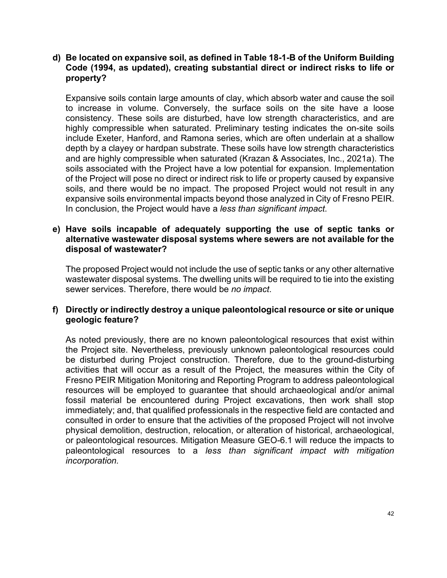### **d) Be located on expansive soil, as defined in Table 18-1-B of the Uniform Building Code (1994, as updated), creating substantial direct or indirect risks to life or property?**

Expansive soils contain large amounts of clay, which absorb water and cause the soil to increase in volume. Conversely, the surface soils on the site have a loose consistency. These soils are disturbed, have low strength characteristics, and are highly compressible when saturated. Preliminary testing indicates the on-site soils include Exeter, Hanford, and Ramona series, which are often underlain at a shallow depth by a clayey or hardpan substrate. These soils have low strength characteristics and are highly compressible when saturated (Krazan & Associates, Inc., 2021a). The soils associated with the Project have a low potential for expansion. Implementation of the Project will pose no direct or indirect risk to life or property caused by expansive soils, and there would be no impact. The proposed Project would not result in any expansive soils environmental impacts beyond those analyzed in City of Fresno PEIR. In conclusion, the Project would have a *less than significant impact*.

### **e) Have soils incapable of adequately supporting the use of septic tanks or alternative wastewater disposal systems where sewers are not available for the disposal of wastewater?**

The proposed Project would not include the use of septic tanks or any other alternative wastewater disposal systems. The dwelling units will be required to tie into the existing sewer services. Therefore, there would be *no impact*.

### **f) Directly or indirectly destroy a unique paleontological resource or site or unique geologic feature?**

As noted previously, there are no known paleontological resources that exist within the Project site. Nevertheless, previously unknown paleontological resources could be disturbed during Project construction. Therefore, due to the ground-disturbing activities that will occur as a result of the Project, the measures within the City of Fresno PEIR Mitigation Monitoring and Reporting Program to address paleontological resources will be employed to guarantee that should archaeological and/or animal fossil material be encountered during Project excavations, then work shall stop immediately; and, that qualified professionals in the respective field are contacted and consulted in order to ensure that the activities of the proposed Project will not involve physical demolition, destruction, relocation, or alteration of historical, archaeological, or paleontological resources. Mitigation Measure GEO-6.1 will reduce the impacts to paleontological resources to a *less than significant impact with mitigation incorporation.*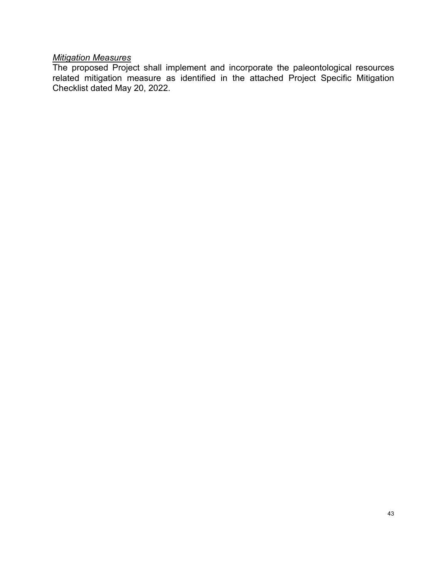### *Mitigation Measures*

The proposed Project shall implement and incorporate the paleontological resources related mitigation measure as identified in the attached Project Specific Mitigation Checklist dated May 20, 2022.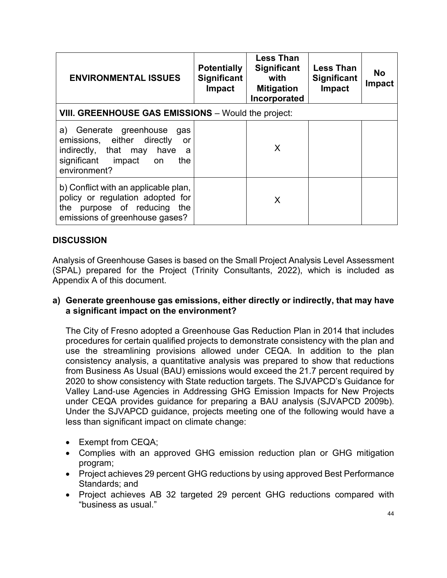| <b>ENVIRONMENTAL ISSUES</b>                                                                                                                             | <b>Potentially</b><br><b>Significant</b><br>Impact | <b>Less Than</b><br><b>Significant</b><br>with<br><b>Mitigation</b><br>Incorporated | <b>Less Than</b><br><b>Significant</b><br>Impact | <b>No</b><br><b>Impact</b> |
|---------------------------------------------------------------------------------------------------------------------------------------------------------|----------------------------------------------------|-------------------------------------------------------------------------------------|--------------------------------------------------|----------------------------|
| <b>VIII. GREENHOUSE GAS EMISSIONS - Would the project:</b>                                                                                              |                                                    |                                                                                     |                                                  |                            |
| a) Generate greenhouse<br>qas<br>emissions, either directly<br>or<br>indirectly, that may have<br>a<br>significant impact<br>the.<br>on<br>environment? |                                                    | X                                                                                   |                                                  |                            |
| b) Conflict with an applicable plan,<br>policy or regulation adopted for<br>the purpose of reducing<br>the<br>emissions of greenhouse gases?            |                                                    | X                                                                                   |                                                  |                            |

## **DISCUSSION**

Analysis of Greenhouse Gases is based on the Small Project Analysis Level Assessment (SPAL) prepared for the Project (Trinity Consultants, 2022), which is included as Appendix A of this document.

#### **a) Generate greenhouse gas emissions, either directly or indirectly, that may have a significant impact on the environment?**

The City of Fresno adopted a Greenhouse Gas Reduction Plan in 2014 that includes procedures for certain qualified projects to demonstrate consistency with the plan and use the streamlining provisions allowed under CEQA. In addition to the plan consistency analysis, a quantitative analysis was prepared to show that reductions from Business As Usual (BAU) emissions would exceed the 21.7 percent required by 2020 to show consistency with State reduction targets. The SJVAPCD's Guidance for Valley Land‐use Agencies in Addressing GHG Emission Impacts for New Projects under CEQA provides guidance for preparing a BAU analysis (SJVAPCD 2009b). Under the SJVAPCD guidance, projects meeting one of the following would have a less than significant impact on climate change:

- Exempt from CEQA;
- Complies with an approved GHG emission reduction plan or GHG mitigation program;
- Project achieves 29 percent GHG reductions by using approved Best Performance Standards; and
- Project achieves AB 32 targeted 29 percent GHG reductions compared with "business as usual."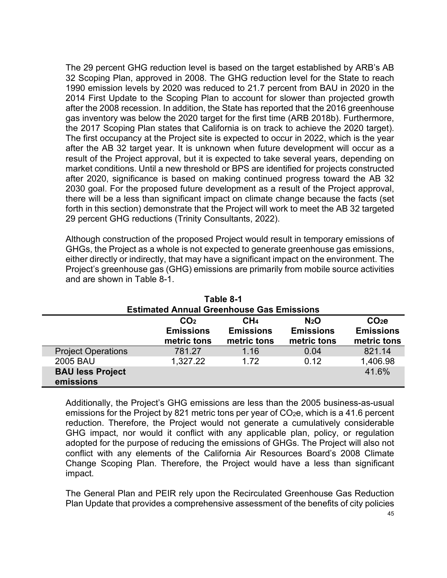The 29 percent GHG reduction level is based on the target established by ARB's AB 32 Scoping Plan, approved in 2008. The GHG reduction level for the State to reach 1990 emission levels by 2020 was reduced to 21.7 percent from BAU in 2020 in the 2014 First Update to the Scoping Plan to account for slower than projected growth after the 2008 recession. In addition, the State has reported that the 2016 greenhouse gas inventory was below the 2020 target for the first time (ARB 2018b). Furthermore, the 2017 Scoping Plan states that California is on track to achieve the 2020 target). The first occupancy at the Project site is expected to occur in 2022, which is the year after the AB 32 target year. It is unknown when future development will occur as a result of the Project approval, but it is expected to take several years, depending on market conditions. Until a new threshold or BPS are identified for projects constructed after 2020, significance is based on making continued progress toward the AB 32 2030 goal. For the proposed future development as a result of the Project approval, there will be a less than significant impact on climate change because the facts (set forth in this section) demonstrate that the Project will work to meet the AB 32 targeted 29 percent GHG reductions (Trinity Consultants, 2022).

Although construction of the proposed Project would result in temporary emissions of GHGs, the Project as a whole is not expected to generate greenhouse gas emissions, either directly or indirectly, that may have a significant impact on the environment. The Project's greenhouse gas (GHG) emissions are primarily from mobile source activities and are shown in Table 8-1.

|                           | Table 8-1                                        |                  |                  |                   |  |  |
|---------------------------|--------------------------------------------------|------------------|------------------|-------------------|--|--|
|                           | <b>Estimated Annual Greenhouse Gas Emissions</b> |                  |                  |                   |  |  |
|                           | CO <sub>2</sub>                                  | CH <sub>4</sub>  | N <sub>2</sub> O | CO <sub>2</sub> e |  |  |
|                           | <b>Emissions</b>                                 | <b>Emissions</b> | <b>Emissions</b> | <b>Emissions</b>  |  |  |
|                           | metric tons                                      | metric tons      | metric tons      | metric tons       |  |  |
| <b>Project Operations</b> | 781.27                                           | 1.16             | 0.04             | 821.14            |  |  |
| 2005 BAU                  | 1,327.22                                         | 1.72             | 0.12             | 1,406.98          |  |  |
| <b>BAU less Project</b>   |                                                  |                  |                  | 41.6%             |  |  |
| emissions                 |                                                  |                  |                  |                   |  |  |

Additionally, the Project's GHG emissions are less than the 2005 business-as-usual emissions for the Project by 821 metric tons per year of  $CO<sub>2</sub>e$ , which is a 41.6 percent reduction. Therefore, the Project would not generate a cumulatively considerable GHG impact, nor would it conflict with any applicable plan, policy, or regulation adopted for the purpose of reducing the emissions of GHGs. The Project will also not conflict with any elements of the California Air Resources Board's 2008 Climate Change Scoping Plan. Therefore, the Project would have a less than significant impact.

The General Plan and PEIR rely upon the Recirculated Greenhouse Gas Reduction Plan Update that provides a comprehensive assessment of the benefits of city policies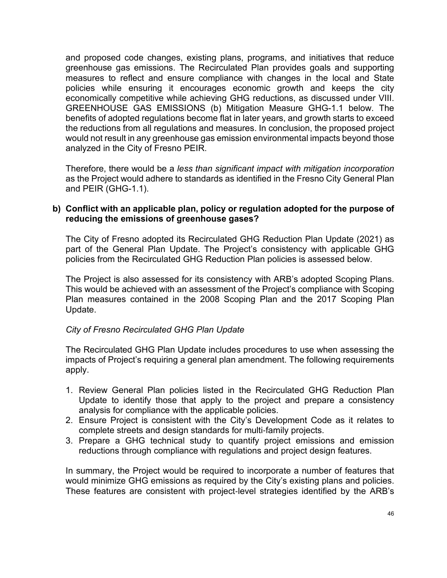and proposed code changes, existing plans, programs, and initiatives that reduce greenhouse gas emissions. The Recirculated Plan provides goals and supporting measures to reflect and ensure compliance with changes in the local and State policies while ensuring it encourages economic growth and keeps the city economically competitive while achieving GHG reductions, as discussed under VIII. GREENHOUSE GAS EMISSIONS (b) Mitigation Measure GHG-1.1 below. The benefits of adopted regulations become flat in later years, and growth starts to exceed the reductions from all regulations and measures. In conclusion, the proposed project would not result in any greenhouse gas emission environmental impacts beyond those analyzed in the City of Fresno PEIR.

Therefore, there would be a *less than significant impact with mitigation incorporation* as the Project would adhere to standards as identified in the Fresno City General Plan and PEIR (GHG-1.1).

### **b) Conflict with an applicable plan, policy or regulation adopted for the purpose of reducing the emissions of greenhouse gases?**

The City of Fresno adopted its Recirculated GHG Reduction Plan Update (2021) as part of the General Plan Update. The Project's consistency with applicable GHG policies from the Recirculated GHG Reduction Plan policies is assessed below.

The Project is also assessed for its consistency with ARB's adopted Scoping Plans. This would be achieved with an assessment of the Project's compliance with Scoping Plan measures contained in the 2008 Scoping Plan and the 2017 Scoping Plan Update.

### *City of Fresno Recirculated GHG Plan Update*

The Recirculated GHG Plan Update includes procedures to use when assessing the impacts of Project's requiring a general plan amendment. The following requirements apply.

- 1. Review General Plan policies listed in the Recirculated GHG Reduction Plan Update to identify those that apply to the project and prepare a consistency analysis for compliance with the applicable policies.
- 2. Ensure Project is consistent with the City's Development Code as it relates to complete streets and design standards for multi‐family projects.
- 3. Prepare a GHG technical study to quantify project emissions and emission reductions through compliance with regulations and project design features.

In summary, the Project would be required to incorporate a number of features that would minimize GHG emissions as required by the City's existing plans and policies. These features are consistent with project‐level strategies identified by the ARB's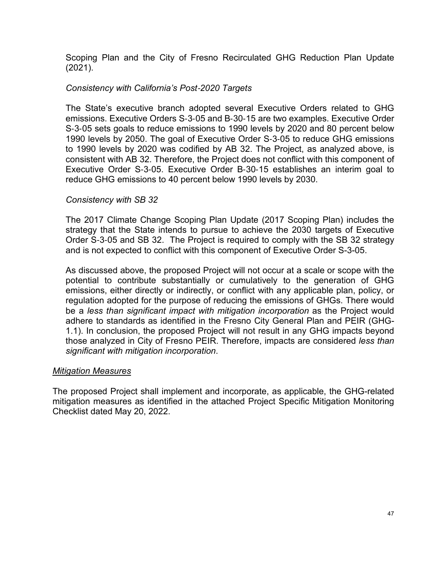Scoping Plan and the City of Fresno Recirculated GHG Reduction Plan Update (2021).

## *Consistency with California's Post*‐*2020 Targets*

The State's executive branch adopted several Executive Orders related to GHG emissions. Executive Orders S‐3‐05 and B‐30‐15 are two examples. Executive Order S‐3‐05 sets goals to reduce emissions to 1990 levels by 2020 and 80 percent below 1990 levels by 2050. The goal of Executive Order S‐3‐05 to reduce GHG emissions to 1990 levels by 2020 was codified by AB 32. The Project, as analyzed above, is consistent with AB 32. Therefore, the Project does not conflict with this component of Executive Order S‐3‐05. Executive Order B‐30‐15 establishes an interim goal to reduce GHG emissions to 40 percent below 1990 levels by 2030.

### *Consistency with SB 32*

The 2017 Climate Change Scoping Plan Update (2017 Scoping Plan) includes the strategy that the State intends to pursue to achieve the 2030 targets of Executive Order S‐3‐05 and SB 32. The Project is required to comply with the SB 32 strategy and is not expected to conflict with this component of Executive Order S-3-05.

As discussed above, the proposed Project will not occur at a scale or scope with the potential to contribute substantially or cumulatively to the generation of GHG emissions, either directly or indirectly, or conflict with any applicable plan, policy, or regulation adopted for the purpose of reducing the emissions of GHGs. There would be a *less than significant impact with mitigation incorporation* as the Project would adhere to standards as identified in the Fresno City General Plan and PEIR (GHG-1.1). In conclusion, the proposed Project will not result in any GHG impacts beyond those analyzed in City of Fresno PEIR. Therefore, impacts are considered *less than significant with mitigation incorporation*.

#### *Mitigation Measures*

The proposed Project shall implement and incorporate, as applicable, the GHG-related mitigation measures as identified in the attached Project Specific Mitigation Monitoring Checklist dated May 20, 2022.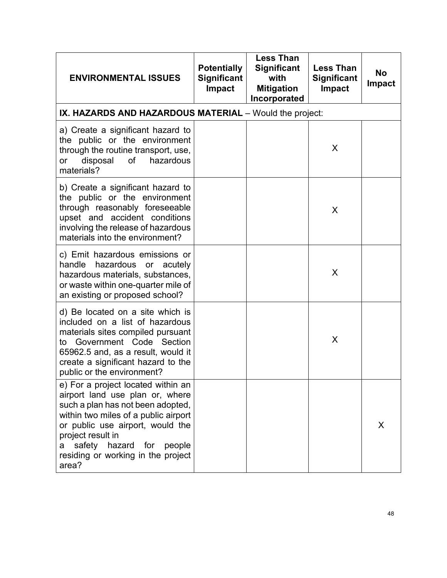| <b>ENVIRONMENTAL ISSUES</b>                                                                                                                                                                                                                                                                       | <b>Potentially</b><br><b>Significant</b><br>Impact | <b>Less Than</b><br><b>Significant</b><br>with<br><b>Mitigation</b><br>Incorporated | <b>Less Than</b><br><b>Significant</b><br>Impact | <b>No</b><br><b>Impact</b> |
|---------------------------------------------------------------------------------------------------------------------------------------------------------------------------------------------------------------------------------------------------------------------------------------------------|----------------------------------------------------|-------------------------------------------------------------------------------------|--------------------------------------------------|----------------------------|
| IX. HAZARDS AND HAZARDOUS MATERIAL - Would the project:                                                                                                                                                                                                                                           |                                                    |                                                                                     |                                                  |                            |
| a) Create a significant hazard to<br>the public or the environment<br>through the routine transport, use,<br>disposal<br>hazardous<br>of<br>or<br>materials?                                                                                                                                      |                                                    |                                                                                     | X                                                |                            |
| b) Create a significant hazard to<br>the public or the environment<br>through reasonably foreseeable<br>upset and accident conditions<br>involving the release of hazardous<br>materials into the environment?                                                                                    |                                                    |                                                                                     | X                                                |                            |
| c) Emit hazardous emissions or<br>handle hazardous or acutely<br>hazardous materials, substances,<br>or waste within one-quarter mile of<br>an existing or proposed school?                                                                                                                       |                                                    |                                                                                     | X                                                |                            |
| d) Be located on a site which is<br>included on a list of hazardous<br>materials sites compiled pursuant<br>to Government Code Section<br>65962.5 and, as a result, would it<br>create a significant hazard to the<br>public or the environment?                                                  |                                                    |                                                                                     | X                                                |                            |
| e) For a project located within an<br>airport land use plan or, where<br>such a plan has not been adopted,<br>within two miles of a public airport<br>or public use airport, would the<br>project result in<br>safety hazard<br>for<br>people<br>а<br>residing or working in the project<br>area? |                                                    |                                                                                     |                                                  | X                          |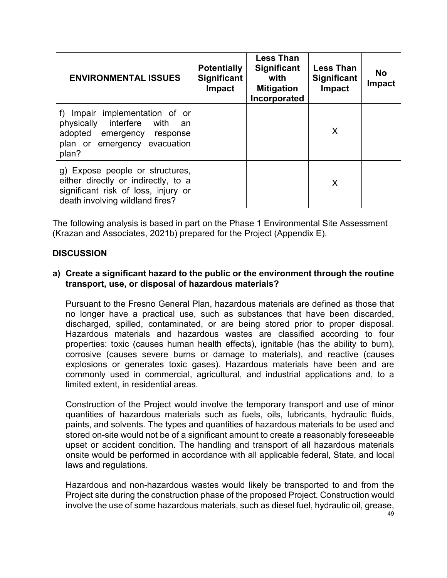| <b>ENVIRONMENTAL ISSUES</b>                                                                                                                      | <b>Potentially</b><br><b>Significant</b><br>Impact | <b>Less Than</b><br><b>Significant</b><br>with<br><b>Mitigation</b><br>Incorporated | <b>Less Than</b><br><b>Significant</b><br>Impact | <b>No</b><br><b>Impact</b> |
|--------------------------------------------------------------------------------------------------------------------------------------------------|----------------------------------------------------|-------------------------------------------------------------------------------------|--------------------------------------------------|----------------------------|
| Impair implementation of or<br>f)<br>physically interfere with<br>an<br>adopted emergency response<br>plan or emergency evacuation<br>plan?      |                                                    |                                                                                     | X                                                |                            |
| g) Expose people or structures,<br>either directly or indirectly, to a<br>significant risk of loss, injury or<br>death involving wildland fires? |                                                    |                                                                                     | X                                                |                            |

The following analysis is based in part on the Phase 1 Environmental Site Assessment (Krazan and Associates, 2021b) prepared for the Project (Appendix E).

### **DISCUSSION**

### **a) Create a significant hazard to the public or the environment through the routine transport, use, or disposal of hazardous materials?**

Pursuant to the Fresno General Plan, hazardous materials are defined as those that no longer have a practical use, such as substances that have been discarded, discharged, spilled, contaminated, or are being stored prior to proper disposal. Hazardous materials and hazardous wastes are classified according to four properties: toxic (causes human health effects), ignitable (has the ability to burn), corrosive (causes severe burns or damage to materials), and reactive (causes explosions or generates toxic gases). Hazardous materials have been and are commonly used in commercial, agricultural, and industrial applications and, to a limited extent, in residential areas.

Construction of the Project would involve the temporary transport and use of minor quantities of hazardous materials such as fuels, oils, lubricants, hydraulic fluids, paints, and solvents. The types and quantities of hazardous materials to be used and stored on-site would not be of a significant amount to create a reasonably foreseeable upset or accident condition. The handling and transport of all hazardous materials onsite would be performed in accordance with all applicable federal, State, and local laws and regulations.

Hazardous and non-hazardous wastes would likely be transported to and from the Project site during the construction phase of the proposed Project. Construction would involve the use of some hazardous materials, such as diesel fuel, hydraulic oil, grease,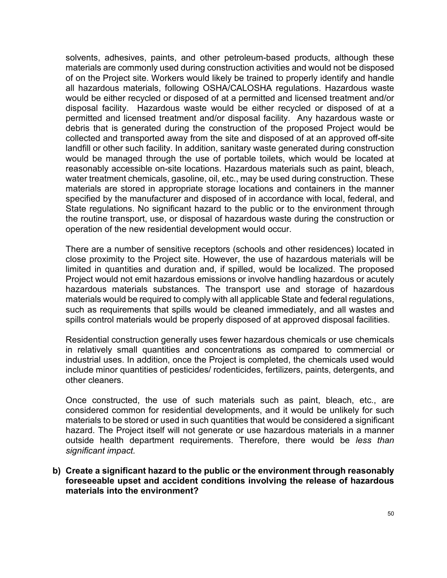solvents, adhesives, paints, and other petroleum-based products, although these materials are commonly used during construction activities and would not be disposed of on the Project site. Workers would likely be trained to properly identify and handle all hazardous materials, following OSHA/CALOSHA regulations. Hazardous waste would be either recycled or disposed of at a permitted and licensed treatment and/or disposal facility. Hazardous waste would be either recycled or disposed of at a permitted and licensed treatment and/or disposal facility. Any hazardous waste or debris that is generated during the construction of the proposed Project would be collected and transported away from the site and disposed of at an approved off-site landfill or other such facility. In addition, sanitary waste generated during construction would be managed through the use of portable toilets, which would be located at reasonably accessible on-site locations. Hazardous materials such as paint, bleach, water treatment chemicals, gasoline, oil, etc., may be used during construction. These materials are stored in appropriate storage locations and containers in the manner specified by the manufacturer and disposed of in accordance with local, federal, and State regulations. No significant hazard to the public or to the environment through the routine transport, use, or disposal of hazardous waste during the construction or operation of the new residential development would occur.

There are a number of sensitive receptors (schools and other residences) located in close proximity to the Project site. However, the use of hazardous materials will be limited in quantities and duration and, if spilled, would be localized. The proposed Project would not emit hazardous emissions or involve handling hazardous or acutely hazardous materials substances. The transport use and storage of hazardous materials would be required to comply with all applicable State and federal regulations, such as requirements that spills would be cleaned immediately, and all wastes and spills control materials would be properly disposed of at approved disposal facilities.

Residential construction generally uses fewer hazardous chemicals or use chemicals in relatively small quantities and concentrations as compared to commercial or industrial uses. In addition, once the Project is completed, the chemicals used would include minor quantities of pesticides/ rodenticides, fertilizers, paints, detergents, and other cleaners.

Once constructed, the use of such materials such as paint, bleach, etc., are considered common for residential developments, and it would be unlikely for such materials to be stored or used in such quantities that would be considered a significant hazard. The Project itself will not generate or use hazardous materials in a manner outside health department requirements. Therefore, there would be *less than significant impact.* 

### **b) Create a significant hazard to the public or the environment through reasonably foreseeable upset and accident conditions involving the release of hazardous materials into the environment?**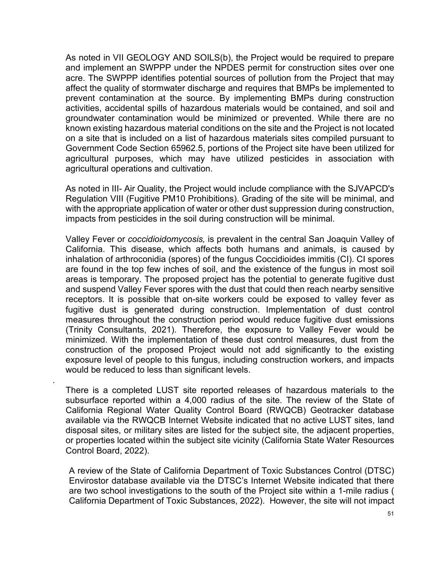As noted in VII GEOLOGY AND SOILS(b), the Project would be required to prepare and implement an SWPPP under the NPDES permit for construction sites over one acre. The SWPPP identifies potential sources of pollution from the Project that may affect the quality of stormwater discharge and requires that BMPs be implemented to prevent contamination at the source. By implementing BMPs during construction activities, accidental spills of hazardous materials would be contained, and soil and groundwater contamination would be minimized or prevented. While there are no known existing hazardous material conditions on the site and the Project is not located on a site that is included on a list of hazardous materials sites compiled pursuant to Government Code Section 65962.5, portions of the Project site have been utilized for agricultural purposes, which may have utilized pesticides in association with agricultural operations and cultivation.

As noted in III- Air Quality, the Project would include compliance with the SJVAPCD's Regulation VIII (Fugitive PM10 Prohibitions). Grading of the site will be minimal, and with the appropriate application of water or other dust suppression during construction, impacts from pesticides in the soil during construction will be minimal.

Valley Fever or *coccidioidomycosis,* is prevalent in the central San Joaquin Valley of California. This disease, which affects both humans and animals, is caused by inhalation of arthroconidia (spores) of the fungus Coccidioides immitis (CI). CI spores are found in the top few inches of soil, and the existence of the fungus in most soil areas is temporary. The proposed project has the potential to generate fugitive dust and suspend Valley Fever spores with the dust that could then reach nearby sensitive receptors. It is possible that on-site workers could be exposed to valley fever as fugitive dust is generated during construction. Implementation of dust control measures throughout the construction period would reduce fugitive dust emissions (Trinity Consultants, 2021). Therefore, the exposure to Valley Fever would be minimized. With the implementation of these dust control measures, dust from the construction of the proposed Project would not add significantly to the existing exposure level of people to this fungus, including construction workers, and impacts would be reduced to less than significant levels.

There is a completed LUST site reported releases of hazardous materials to the subsurface reported within a 4,000 radius of the site. The review of the State of California Regional Water Quality Control Board (RWQCB) Geotracker database available via the RWQCB Internet Website indicated that no active LUST sites, land disposal sites, or military sites are listed for the subject site, the adjacent properties, or properties located within the subject site vicinity (California State Water Resources Control Board, 2022).

.

A review of the State of California Department of Toxic Substances Control (DTSC) Envirostor database available via the DTSC's Internet Website indicated that there are two school investigations to the south of the Project site within a 1-mile radius ( California Department of Toxic Substances, 2022). However, the site will not impact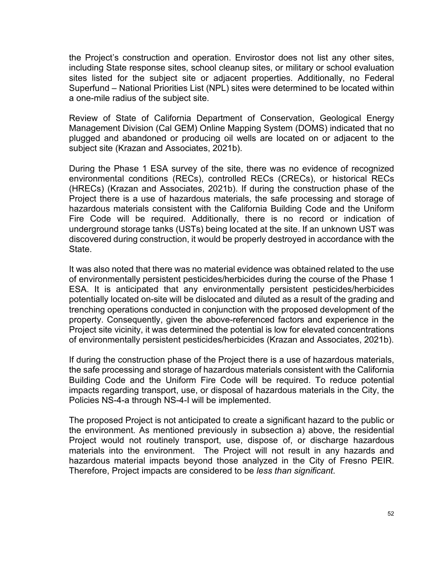the Project's construction and operation. Envirostor does not list any other sites, including State response sites, school cleanup sites, or military or school evaluation sites listed for the subject site or adjacent properties. Additionally, no Federal Superfund – National Priorities List (NPL) sites were determined to be located within a one-mile radius of the subject site.

Review of State of California Department of Conservation, Geological Energy Management Division (Cal GEM) Online Mapping System (DOMS) indicated that no plugged and abandoned or producing oil wells are located on or adjacent to the subject site (Krazan and Associates, 2021b).

During the Phase 1 ESA survey of the site, there was no evidence of recognized environmental conditions (RECs), controlled RECs (CRECs), or historical RECs (HRECs) (Krazan and Associates, 2021b). If during the construction phase of the Project there is a use of hazardous materials, the safe processing and storage of hazardous materials consistent with the California Building Code and the Uniform Fire Code will be required. Additionally, there is no record or indication of underground storage tanks (USTs) being located at the site. If an unknown UST was discovered during construction, it would be properly destroyed in accordance with the State.

It was also noted that there was no material evidence was obtained related to the use of environmentally persistent pesticides/herbicides during the course of the Phase 1 ESA. It is anticipated that any environmentally persistent pesticides/herbicides potentially located on-site will be dislocated and diluted as a result of the grading and trenching operations conducted in conjunction with the proposed development of the property. Consequently, given the above-referenced factors and experience in the Project site vicinity, it was determined the potential is low for elevated concentrations of environmentally persistent pesticides/herbicides (Krazan and Associates, 2021b).

If during the construction phase of the Project there is a use of hazardous materials, the safe processing and storage of hazardous materials consistent with the California Building Code and the Uniform Fire Code will be required. To reduce potential impacts regarding transport, use, or disposal of hazardous materials in the City, the Policies NS-4-a through NS-4-I will be implemented.

The proposed Project is not anticipated to create a significant hazard to the public or the environment. As mentioned previously in subsection a) above, the residential Project would not routinely transport, use, dispose of, or discharge hazardous materials into the environment. The Project will not result in any hazards and hazardous material impacts beyond those analyzed in the City of Fresno PEIR. Therefore, Project impacts are considered to be *less than significant*.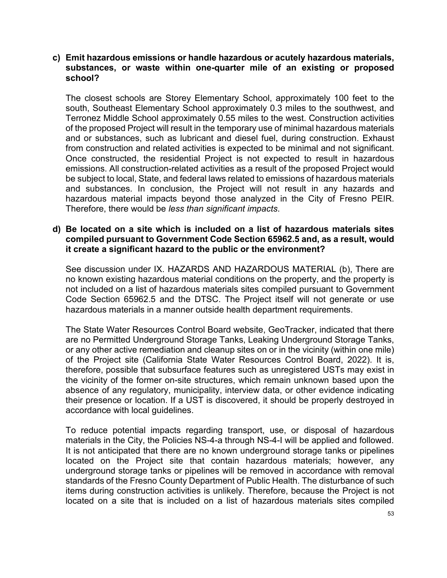#### **c) Emit hazardous emissions or handle hazardous or acutely hazardous materials, substances, or waste within one-quarter mile of an existing or proposed school?**

The closest schools are Storey Elementary School, approximately 100 feet to the south, Southeast Elementary School approximately 0.3 miles to the southwest, and Terronez Middle School approximately 0.55 miles to the west. Construction activities of the proposed Project will result in the temporary use of minimal hazardous materials and or substances, such as lubricant and diesel fuel, during construction. Exhaust from construction and related activities is expected to be minimal and not significant. Once constructed, the residential Project is not expected to result in hazardous emissions. All construction-related activities as a result of the proposed Project would be subject to local, State, and federal laws related to emissions of hazardous materials and substances. In conclusion, the Project will not result in any hazards and hazardous material impacts beyond those analyzed in the City of Fresno PEIR. Therefore, there would be *less than significant impacts*.

### **d) Be located on a site which is included on a list of hazardous materials sites compiled pursuant to Government Code Section 65962.5 and, as a result, would it create a significant hazard to the public or the environment?**

See discussion under IX. HAZARDS AND HAZARDOUS MATERIAL (b), There are no known existing hazardous material conditions on the property, and the property is not included on a list of hazardous materials sites compiled pursuant to Government Code Section 65962.5 and the DTSC. The Project itself will not generate or use hazardous materials in a manner outside health department requirements.

The State Water Resources Control Board website, GeoTracker, indicated that there are no Permitted Underground Storage Tanks, Leaking Underground Storage Tanks, or any other active remediation and cleanup sites on or in the vicinity (within one mile) of the Project site (California State Water Resources Control Board, 2022). It is, therefore, possible that subsurface features such as unregistered USTs may exist in the vicinity of the former on-site structures, which remain unknown based upon the absence of any regulatory, municipality, interview data, or other evidence indicating their presence or location. If a UST is discovered, it should be properly destroyed in accordance with local guidelines.

To reduce potential impacts regarding transport, use, or disposal of hazardous materials in the City, the Policies NS-4-a through NS-4-I will be applied and followed. It is not anticipated that there are no known underground storage tanks or pipelines located on the Project site that contain hazardous materials; however, any underground storage tanks or pipelines will be removed in accordance with removal standards of the Fresno County Department of Public Health. The disturbance of such items during construction activities is unlikely. Therefore, because the Project is not located on a site that is included on a list of hazardous materials sites compiled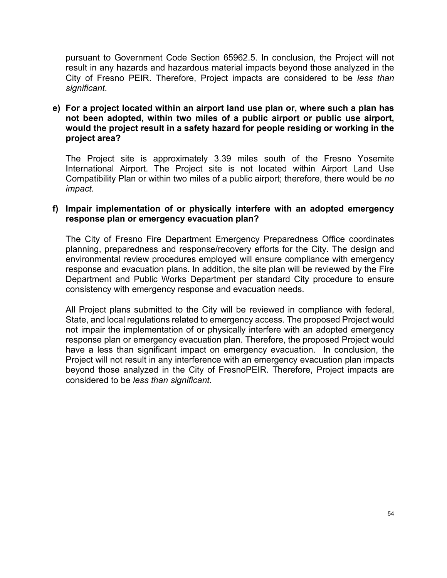pursuant to Government Code Section 65962.5. In conclusion, the Project will not result in any hazards and hazardous material impacts beyond those analyzed in the City of Fresno PEIR. Therefore, Project impacts are considered to be *less than significant*.

**e) For a project located within an airport land use plan or, where such a plan has not been adopted, within two miles of a public airport or public use airport, would the project result in a safety hazard for people residing or working in the project area?**

The Project site is approximately 3.39 miles south of the Fresno Yosemite International Airport. The Project site is not located within Airport Land Use Compatibility Plan or within two miles of a public airport; therefore, there would be *no impact.* 

### **f) Impair implementation of or physically interfere with an adopted emergency response plan or emergency evacuation plan?**

The City of Fresno Fire Department Emergency Preparedness Office coordinates planning, preparedness and response/recovery efforts for the City. The design and environmental review procedures employed will ensure compliance with emergency response and evacuation plans. In addition, the site plan will be reviewed by the Fire Department and Public Works Department per standard City procedure to ensure consistency with emergency response and evacuation needs.

All Project plans submitted to the City will be reviewed in compliance with federal, State, and local regulations related to emergency access. The proposed Project would not impair the implementation of or physically interfere with an adopted emergency response plan or emergency evacuation plan. Therefore, the proposed Project would have a less than significant impact on emergency evacuation. In conclusion, the Project will not result in any interference with an emergency evacuation plan impacts beyond those analyzed in the City of FresnoPEIR. Therefore, Project impacts are considered to be *less than significant.*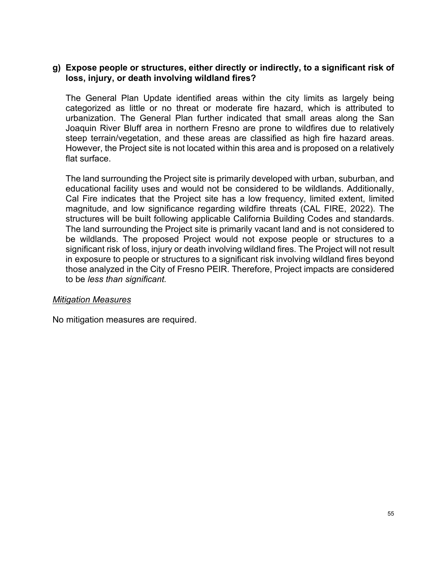### **g) Expose people or structures, either directly or indirectly, to a significant risk of loss, injury, or death involving wildland fires?**

The General Plan Update identified areas within the city limits as largely being categorized as little or no threat or moderate fire hazard, which is attributed to urbanization. The General Plan further indicated that small areas along the San Joaquin River Bluff area in northern Fresno are prone to wildfires due to relatively steep terrain/vegetation, and these areas are classified as high fire hazard areas. However, the Project site is not located within this area and is proposed on a relatively flat surface.

The land surrounding the Project site is primarily developed with urban, suburban, and educational facility uses and would not be considered to be wildlands. Additionally, Cal Fire indicates that the Project site has a low frequency, limited extent, limited magnitude, and low significance regarding wildfire threats (CAL FIRE, 2022). The structures will be built following applicable California Building Codes and standards. The land surrounding the Project site is primarily vacant land and is not considered to be wildlands. The proposed Project would not expose people or structures to a significant risk of loss, injury or death involving wildland fires. The Project will not result in exposure to people or structures to a significant risk involving wildland fires beyond those analyzed in the City of Fresno PEIR. Therefore, Project impacts are considered to be *less than significant.*

### *Mitigation Measures*

No mitigation measures are required.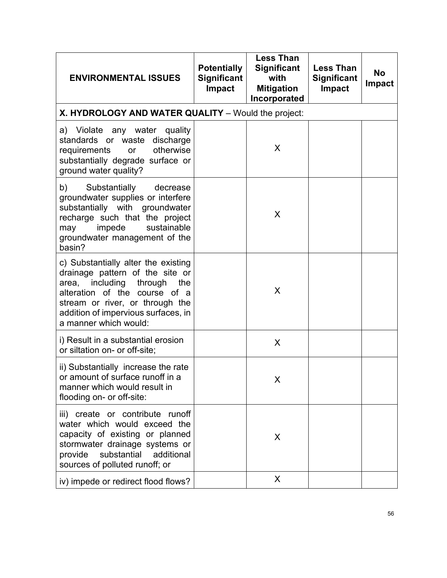| <b>ENVIRONMENTAL ISSUES</b>                                                                                                                                                                                                                     | <b>Potentially</b><br><b>Significant</b><br>Impact | <b>Less Than</b><br><b>Significant</b><br>with<br><b>Mitigation</b><br>Incorporated | <b>Less Than</b><br><b>Significant</b><br><b>Impact</b> | <b>No</b><br><b>Impact</b> |  |
|-------------------------------------------------------------------------------------------------------------------------------------------------------------------------------------------------------------------------------------------------|----------------------------------------------------|-------------------------------------------------------------------------------------|---------------------------------------------------------|----------------------------|--|
| X. HYDROLOGY AND WATER QUALITY - Would the project:                                                                                                                                                                                             |                                                    |                                                                                     |                                                         |                            |  |
| a) Violate any water quality<br>standards or waste discharge<br>otherwise<br>requirements<br>or<br>substantially degrade surface or<br>ground water quality?                                                                                    |                                                    | X                                                                                   |                                                         |                            |  |
| b)<br>Substantially<br>decrease<br>groundwater supplies or interfere<br>substantially with groundwater<br>recharge such that the project<br>sustainable<br>impede<br>may<br>groundwater management of the<br>basin?                             |                                                    | X                                                                                   |                                                         |                            |  |
| c) Substantially alter the existing<br>drainage pattern of the site or<br>area, including<br>through<br>the<br>alteration of the course of a<br>stream or river, or through the<br>addition of impervious surfaces, in<br>a manner which would: |                                                    | X                                                                                   |                                                         |                            |  |
| i) Result in a substantial erosion<br>or siltation on- or off-site;                                                                                                                                                                             |                                                    | X                                                                                   |                                                         |                            |  |
| ii) Substantially increase the rate<br>or amount of surface runoff in a<br>manner which would result in<br>flooding on- or off-site:                                                                                                            |                                                    | Χ                                                                                   |                                                         |                            |  |
| iii) create or contribute runoff<br>water which would exceed the<br>capacity of existing or planned<br>stormwater drainage systems or<br>substantial<br>additional<br>provide<br>sources of polluted runoff; or                                 |                                                    | X                                                                                   |                                                         |                            |  |
| iv) impede or redirect flood flows?                                                                                                                                                                                                             |                                                    | X                                                                                   |                                                         |                            |  |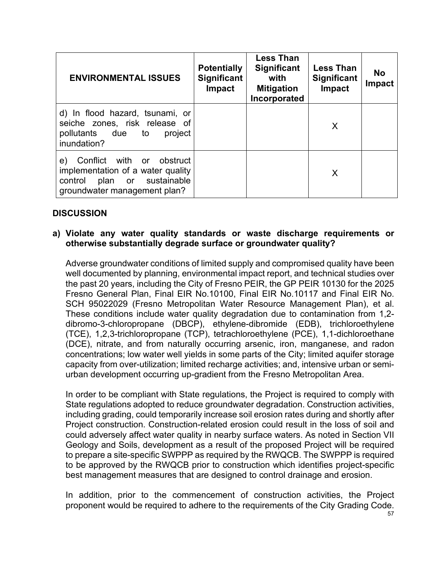| <b>ENVIRONMENTAL ISSUES</b>                                                                                                         | <b>Potentially</b><br><b>Significant</b><br><b>Impact</b> | <b>Less Than</b><br><b>Significant</b><br>with<br><b>Mitigation</b><br>Incorporated | <b>Less Than</b><br><b>Significant</b><br>Impact | <b>No</b><br><b>Impact</b> |
|-------------------------------------------------------------------------------------------------------------------------------------|-----------------------------------------------------------|-------------------------------------------------------------------------------------|--------------------------------------------------|----------------------------|
| d) In flood hazard, tsunami, or<br>seiche zones, risk release of<br>pollutants due to<br>project<br>inundation?                     |                                                           |                                                                                     | X                                                |                            |
| Conflict with or obstruct<br>e)<br>implementation of a water quality<br>control plan or sustainable<br>groundwater management plan? |                                                           |                                                                                     | X                                                |                            |

## **DISCUSSION**

### **a) Violate any water quality standards or waste discharge requirements or otherwise substantially degrade surface or groundwater quality?**

Adverse groundwater conditions of limited supply and compromised quality have been well documented by planning, environmental impact report, and technical studies over the past 20 years, including the City of Fresno PEIR, the GP PEIR 10130 for the 2025 Fresno General Plan, Final EIR No.10100, Final EIR No.10117 and Final EIR No. SCH 95022029 (Fresno Metropolitan Water Resource Management Plan), et al. These conditions include water quality degradation due to contamination from 1,2 dibromo-3-chloropropane (DBCP), ethylene-dibromide (EDB), trichloroethylene (TCE), 1,2,3-trichloropropane (TCP), tetrachloroethylene (PCE), 1,1-dichloroethane (DCE), nitrate, and from naturally occurring arsenic, iron, manganese, and radon concentrations; low water well yields in some parts of the City; limited aquifer storage capacity from over-utilization; limited recharge activities; and, intensive urban or semiurban development occurring up-gradient from the Fresno Metropolitan Area.

In order to be compliant with State regulations, the Project is required to comply with State regulations adopted to reduce groundwater degradation. Construction activities, including grading, could temporarily increase soil erosion rates during and shortly after Project construction. Construction-related erosion could result in the loss of soil and could adversely affect water quality in nearby surface waters. As noted in Section VII Geology and Soils, development as a result of the proposed Project will be required to prepare a site-specific SWPPP as required by the RWQCB. The SWPPP is required to be approved by the RWQCB prior to construction which identifies project-specific best management measures that are designed to control drainage and erosion.

In addition, prior to the commencement of construction activities, the Project proponent would be required to adhere to the requirements of the City Grading Code.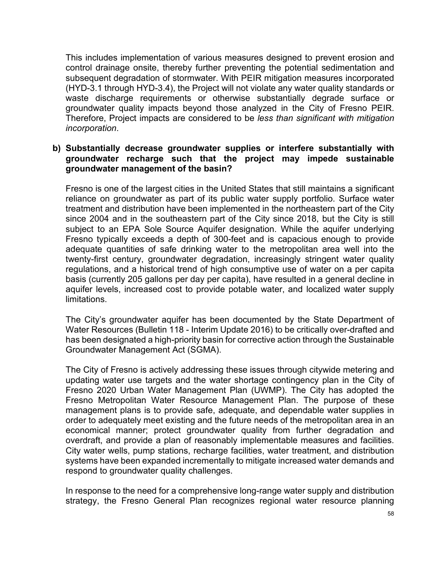This includes implementation of various measures designed to prevent erosion and control drainage onsite, thereby further preventing the potential sedimentation and subsequent degradation of stormwater. With PEIR mitigation measures incorporated (HYD-3.1 through HYD-3.4), the Project will not violate any water quality standards or waste discharge requirements or otherwise substantially degrade surface or groundwater quality impacts beyond those analyzed in the City of Fresno PEIR. Therefore, Project impacts are considered to be *less than significant with mitigation incorporation*.

### **b) Substantially decrease groundwater supplies or interfere substantially with groundwater recharge such that the project may impede sustainable groundwater management of the basin?**

Fresno is one of the largest cities in the United States that still maintains a significant reliance on groundwater as part of its public water supply portfolio. Surface water treatment and distribution have been implemented in the northeastern part of the City since 2004 and in the southeastern part of the City since 2018, but the City is still subject to an EPA Sole Source Aquifer designation. While the aquifer underlying Fresno typically exceeds a depth of 300-feet and is capacious enough to provide adequate quantities of safe drinking water to the metropolitan area well into the twenty-first century, groundwater degradation, increasingly stringent water quality regulations, and a historical trend of high consumptive use of water on a per capita basis (currently 205 gallons per day per capita), have resulted in a general decline in aquifer levels, increased cost to provide potable water, and localized water supply limitations.

The City's groundwater aquifer has been documented by the State Department of Water Resources (Bulletin 118 - Interim Update 2016) to be critically over-drafted and has been designated a high-priority basin for corrective action through the Sustainable Groundwater Management Act (SGMA).

The City of Fresno is actively addressing these issues through citywide metering and updating water use targets and the water shortage contingency plan in the City of Fresno 2020 Urban Water Management Plan (UWMP). The City has adopted the Fresno Metropolitan Water Resource Management Plan. The purpose of these management plans is to provide safe, adequate, and dependable water supplies in order to adequately meet existing and the future needs of the metropolitan area in an economical manner; protect groundwater quality from further degradation and overdraft, and provide a plan of reasonably implementable measures and facilities. City water wells, pump stations, recharge facilities, water treatment, and distribution systems have been expanded incrementally to mitigate increased water demands and respond to groundwater quality challenges.

In response to the need for a comprehensive long-range water supply and distribution strategy, the Fresno General Plan recognizes regional water resource planning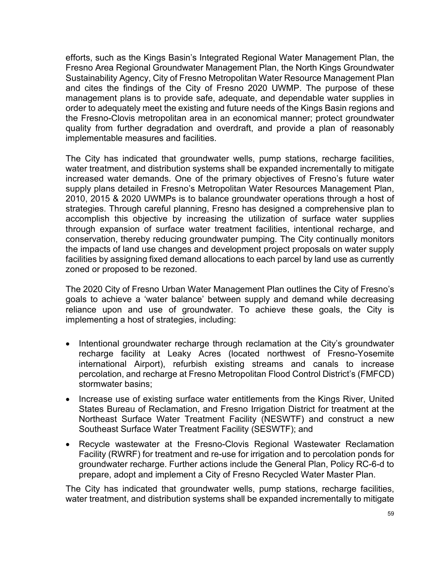efforts, such as the Kings Basin's Integrated Regional Water Management Plan, the Fresno Area Regional Groundwater Management Plan, the North Kings Groundwater Sustainability Agency, City of Fresno Metropolitan Water Resource Management Plan and cites the findings of the City of Fresno 2020 UWMP. The purpose of these management plans is to provide safe, adequate, and dependable water supplies in order to adequately meet the existing and future needs of the Kings Basin regions and the Fresno-Clovis metropolitan area in an economical manner; protect groundwater quality from further degradation and overdraft, and provide a plan of reasonably implementable measures and facilities.

The City has indicated that groundwater wells, pump stations, recharge facilities, water treatment, and distribution systems shall be expanded incrementally to mitigate increased water demands. One of the primary objectives of Fresno's future water supply plans detailed in Fresno's Metropolitan Water Resources Management Plan, 2010, 2015 & 2020 UWMPs is to balance groundwater operations through a host of strategies. Through careful planning, Fresno has designed a comprehensive plan to accomplish this objective by increasing the utilization of surface water supplies through expansion of surface water treatment facilities, intentional recharge, and conservation, thereby reducing groundwater pumping. The City continually monitors the impacts of land use changes and development project proposals on water supply facilities by assigning fixed demand allocations to each parcel by land use as currently zoned or proposed to be rezoned.

The 2020 City of Fresno Urban Water Management Plan outlines the City of Fresno's goals to achieve a 'water balance' between supply and demand while decreasing reliance upon and use of groundwater. To achieve these goals, the City is implementing a host of strategies, including:

- Intentional groundwater recharge through reclamation at the City's groundwater recharge facility at Leaky Acres (located northwest of Fresno-Yosemite international Airport), refurbish existing streams and canals to increase percolation, and recharge at Fresno Metropolitan Flood Control District's (FMFCD) stormwater basins;
- Increase use of existing surface water entitlements from the Kings River, United States Bureau of Reclamation, and Fresno Irrigation District for treatment at the Northeast Surface Water Treatment Facility (NESWTF) and construct a new Southeast Surface Water Treatment Facility (SESWTF); and
- Recycle wastewater at the Fresno-Clovis Regional Wastewater Reclamation Facility (RWRF) for treatment and re-use for irrigation and to percolation ponds for groundwater recharge. Further actions include the General Plan, Policy RC-6-d to prepare, adopt and implement a City of Fresno Recycled Water Master Plan.

The City has indicated that groundwater wells, pump stations, recharge facilities, water treatment, and distribution systems shall be expanded incrementally to mitigate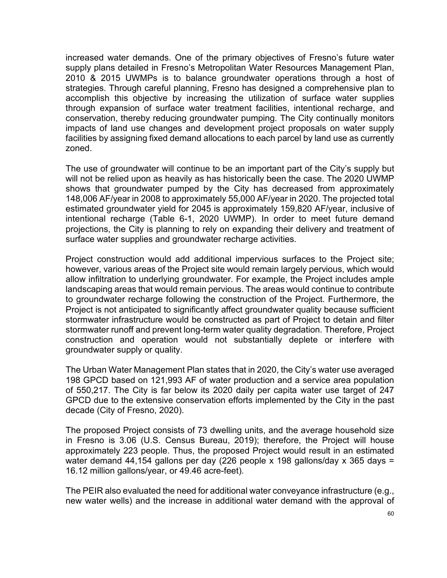increased water demands. One of the primary objectives of Fresno's future water supply plans detailed in Fresno's Metropolitan Water Resources Management Plan, 2010 & 2015 UWMPs is to balance groundwater operations through a host of strategies. Through careful planning, Fresno has designed a comprehensive plan to accomplish this objective by increasing the utilization of surface water supplies through expansion of surface water treatment facilities, intentional recharge, and conservation, thereby reducing groundwater pumping. The City continually monitors impacts of land use changes and development project proposals on water supply facilities by assigning fixed demand allocations to each parcel by land use as currently zoned.

The use of groundwater will continue to be an important part of the City's supply but will not be relied upon as heavily as has historically been the case. The 2020 UWMP shows that groundwater pumped by the City has decreased from approximately 148,006 AF/year in 2008 to approximately 55,000 AF/year in 2020. The projected total estimated groundwater yield for 2045 is approximately 159,820 AF/year, inclusive of intentional recharge (Table 6-1, 2020 UWMP). In order to meet future demand projections, the City is planning to rely on expanding their delivery and treatment of surface water supplies and groundwater recharge activities.

Project construction would add additional impervious surfaces to the Project site; however, various areas of the Project site would remain largely pervious, which would allow infiltration to underlying groundwater. For example, the Project includes ample landscaping areas that would remain pervious. The areas would continue to contribute to groundwater recharge following the construction of the Project. Furthermore, the Project is not anticipated to significantly affect groundwater quality because sufficient stormwater infrastructure would be constructed as part of Project to detain and filter stormwater runoff and prevent long-term water quality degradation. Therefore, Project construction and operation would not substantially deplete or interfere with groundwater supply or quality.

The Urban Water Management Plan states that in 2020, the City's water use averaged 198 GPCD based on 121,993 AF of water production and a service area population of 550,217. The City is far below its 2020 daily per capita water use target of 247 GPCD due to the extensive conservation efforts implemented by the City in the past decade (City of Fresno, 2020).

The proposed Project consists of 73 dwelling units, and the average household size in Fresno is 3.06 (U.S. Census Bureau, 2019); therefore, the Project will house approximately 223 people. Thus, the proposed Project would result in an estimated water demand 44,154 gallons per day (226 people x 198 gallons/day x 365 days = 16.12 million gallons/year, or 49.46 acre-feet).

The PEIR also evaluated the need for additional water conveyance infrastructure (e.g., new water wells) and the increase in additional water demand with the approval of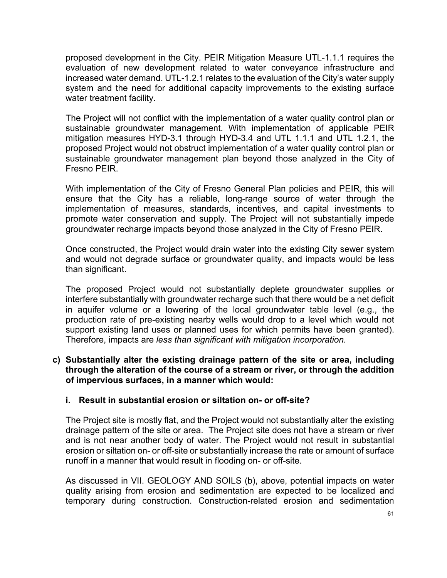proposed development in the City. PEIR Mitigation Measure UTL-1.1.1 requires the evaluation of new development related to water conveyance infrastructure and increased water demand. UTL-1.2.1 relates to the evaluation of the City's water supply system and the need for additional capacity improvements to the existing surface water treatment facility.

The Project will not conflict with the implementation of a water quality control plan or sustainable groundwater management. With implementation of applicable PEIR mitigation measures HYD-3.1 through HYD-3.4 and UTL 1.1.1 and UTL 1.2.1, the proposed Project would not obstruct implementation of a water quality control plan or sustainable groundwater management plan beyond those analyzed in the City of Fresno PEIR.

With implementation of the City of Fresno General Plan policies and PEIR, this will ensure that the City has a reliable, long-range source of water through the implementation of measures, standards, incentives, and capital investments to promote water conservation and supply. The Project will not substantially impede groundwater recharge impacts beyond those analyzed in the City of Fresno PEIR.

Once constructed, the Project would drain water into the existing City sewer system and would not degrade surface or groundwater quality, and impacts would be less than significant.

The proposed Project would not substantially deplete groundwater supplies or interfere substantially with groundwater recharge such that there would be a net deficit in aquifer volume or a lowering of the local groundwater table level (e.g., the production rate of pre-existing nearby wells would drop to a level which would not support existing land uses or planned uses for which permits have been granted). Therefore, impacts are *less than significant with mitigation incorporation.*

### **c) Substantially alter the existing drainage pattern of the site or area, including through the alteration of the course of a stream or river, or through the addition of impervious surfaces, in a manner which would:**

### **i. Result in substantial erosion or siltation on- or off-site?**

The Project site is mostly flat, and the Project would not substantially alter the existing drainage pattern of the site or area. The Project site does not have a stream or river and is not near another body of water. The Project would not result in substantial erosion or siltation on- or off-site or substantially increase the rate or amount of surface runoff in a manner that would result in flooding on- or off-site.

As discussed in VII. GEOLOGY AND SOILS (b), above, potential impacts on water quality arising from erosion and sedimentation are expected to be localized and temporary during construction. Construction-related erosion and sedimentation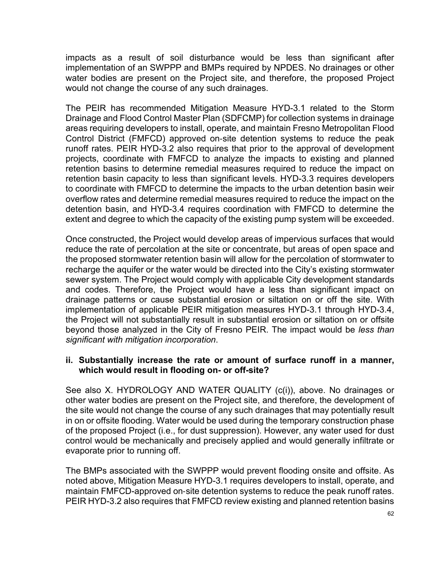impacts as a result of soil disturbance would be less than significant after implementation of an SWPPP and BMPs required by NPDES. No drainages or other water bodies are present on the Project site, and therefore, the proposed Project would not change the course of any such drainages.

The PEIR has recommended Mitigation Measure HYD-3.1 related to the Storm Drainage and Flood Control Master Plan (SDFCMP) for collection systems in drainage areas requiring developers to install, operate, and maintain Fresno Metropolitan Flood Control District (FMFCD) approved on‐site detention systems to reduce the peak runoff rates. PEIR HYD-3.2 also requires that prior to the approval of development projects, coordinate with FMFCD to analyze the impacts to existing and planned retention basins to determine remedial measures required to reduce the impact on retention basin capacity to less than significant levels. HYD-3.3 requires developers to coordinate with FMFCD to determine the impacts to the urban detention basin weir overflow rates and determine remedial measures required to reduce the impact on the detention basin, and HYD-3.4 requires coordination with FMFCD to determine the extent and degree to which the capacity of the existing pump system will be exceeded.

Once constructed, the Project would develop areas of impervious surfaces that would reduce the rate of percolation at the site or concentrate, but areas of open space and the proposed stormwater retention basin will allow for the percolation of stormwater to recharge the aquifer or the water would be directed into the City's existing stormwater sewer system. The Project would comply with applicable City development standards and codes. Therefore, the Project would have a less than significant impact on drainage patterns or cause substantial erosion or siltation on or off the site. With implementation of applicable PEIR mitigation measures HYD-3.1 through HYD-3.4, the Project will not substantially result in substantial erosion or siltation on or offsite beyond those analyzed in the City of Fresno PEIR. The impact would be *less than significant with mitigation incorporation*.

### **ii. Substantially increase the rate or amount of surface runoff in a manner, which would result in flooding on- or off-site?**

See also X. HYDROLOGY AND WATER QUALITY (c(i)), above. No drainages or other water bodies are present on the Project site, and therefore, the development of the site would not change the course of any such drainages that may potentially result in on or offsite flooding. Water would be used during the temporary construction phase of the proposed Project (i.e., for dust suppression). However, any water used for dust control would be mechanically and precisely applied and would generally infiltrate or evaporate prior to running off.

The BMPs associated with the SWPPP would prevent flooding onsite and offsite. As noted above, Mitigation Measure HYD-3.1 requires developers to install, operate, and maintain FMFCD-approved on‐site detention systems to reduce the peak runoff rates. PEIR HYD-3.2 also requires that FMFCD review existing and planned retention basins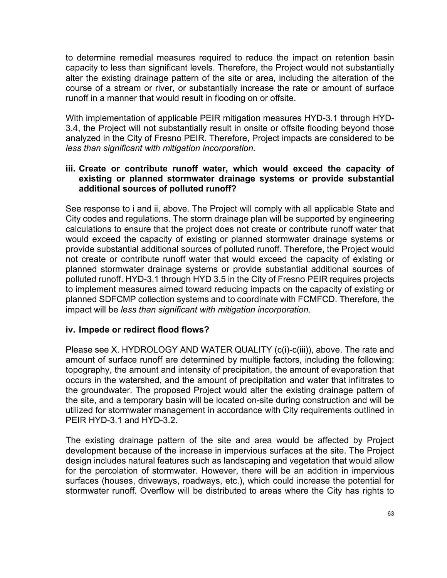to determine remedial measures required to reduce the impact on retention basin capacity to less than significant levels. Therefore, the Project would not substantially alter the existing drainage pattern of the site or area, including the alteration of the course of a stream or river, or substantially increase the rate or amount of surface runoff in a manner that would result in flooding on or offsite.

With implementation of applicable PEIR mitigation measures HYD-3.1 through HYD-3.4, the Project will not substantially result in onsite or offsite flooding beyond those analyzed in the City of Fresno PEIR. Therefore, Project impacts are considered to be *less than significant with mitigation incorporation.*

### **iii. Create or contribute runoff water, which would exceed the capacity of existing or planned stormwater drainage systems or provide substantial additional sources of polluted runoff?**

See response to i and ii, above. The Project will comply with all applicable State and City codes and regulations. The storm drainage plan will be supported by engineering calculations to ensure that the project does not create or contribute runoff water that would exceed the capacity of existing or planned stormwater drainage systems or provide substantial additional sources of polluted runoff. Therefore, the Project would not create or contribute runoff water that would exceed the capacity of existing or planned stormwater drainage systems or provide substantial additional sources of polluted runoff. HYD-3.1 through HYD 3.5 in the City of Fresno PEIR requires projects to implement measures aimed toward reducing impacts on the capacity of existing or planned SDFCMP collection systems and to coordinate with FCMFCD. Therefore, the impact will be *less than significant with mitigation incorporation.*

### **iv. Impede or redirect flood flows?**

Please see X. HYDROLOGY AND WATER QUALITY (c(i)-c(iii)), above. The rate and amount of surface runoff are determined by multiple factors, including the following: topography, the amount and intensity of precipitation, the amount of evaporation that occurs in the watershed, and the amount of precipitation and water that infiltrates to the groundwater. The proposed Project would alter the existing drainage pattern of the site, and a temporary basin will be located on-site during construction and will be utilized for stormwater management in accordance with City requirements outlined in PEIR HYD-3.1 and HYD-3.2.

The existing drainage pattern of the site and area would be affected by Project development because of the increase in impervious surfaces at the site. The Project design includes natural features such as landscaping and vegetation that would allow for the percolation of stormwater. However, there will be an addition in impervious surfaces (houses, driveways, roadways, etc.), which could increase the potential for stormwater runoff. Overflow will be distributed to areas where the City has rights to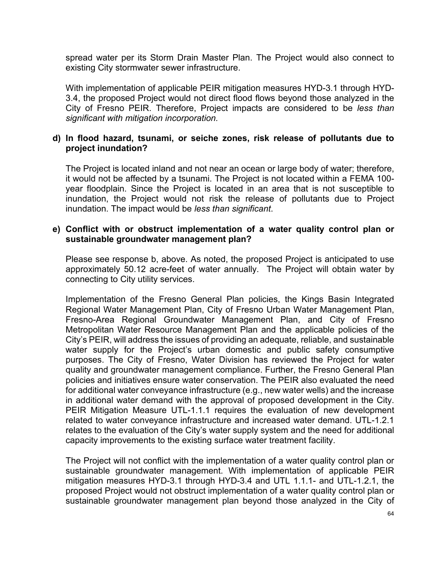spread water per its Storm Drain Master Plan. The Project would also connect to existing City stormwater sewer infrastructure.

With implementation of applicable PEIR mitigation measures HYD-3.1 through HYD-3.4, the proposed Project would not direct flood flows beyond those analyzed in the City of Fresno PEIR. Therefore, Project impacts are considered to be *less than significant with mitigation incorporation.*

### **d) In flood hazard, tsunami, or seiche zones, risk release of pollutants due to project inundation?**

The Project is located inland and not near an ocean or large body of water; therefore, it would not be affected by a tsunami. The Project is not located within a FEMA 100 year floodplain. Since the Project is located in an area that is not susceptible to inundation, the Project would not risk the release of pollutants due to Project inundation. The impact would be *less than significant*.

#### **e) Conflict with or obstruct implementation of a water quality control plan or sustainable groundwater management plan?**

Please see response b, above. As noted, the proposed Project is anticipated to use approximately 50.12 acre-feet of water annually. The Project will obtain water by connecting to City utility services.

Implementation of the Fresno General Plan policies, the Kings Basin Integrated Regional Water Management Plan, City of Fresno Urban Water Management Plan, Fresno-Area Regional Groundwater Management Plan, and City of Fresno Metropolitan Water Resource Management Plan and the applicable policies of the City's PEIR, will address the issues of providing an adequate, reliable, and sustainable water supply for the Project's urban domestic and public safety consumptive purposes. The City of Fresno, Water Division has reviewed the Project for water quality and groundwater management compliance. Further, the Fresno General Plan policies and initiatives ensure water conservation. The PEIR also evaluated the need for additional water conveyance infrastructure (e.g., new water wells) and the increase in additional water demand with the approval of proposed development in the City. PEIR Mitigation Measure UTL-1.1.1 requires the evaluation of new development related to water conveyance infrastructure and increased water demand. UTL-1.2.1 relates to the evaluation of the City's water supply system and the need for additional capacity improvements to the existing surface water treatment facility.

The Project will not conflict with the implementation of a water quality control plan or sustainable groundwater management. With implementation of applicable PEIR mitigation measures HYD-3.1 through HYD-3.4 and UTL 1.1.1- and UTL-1.2.1, the proposed Project would not obstruct implementation of a water quality control plan or sustainable groundwater management plan beyond those analyzed in the City of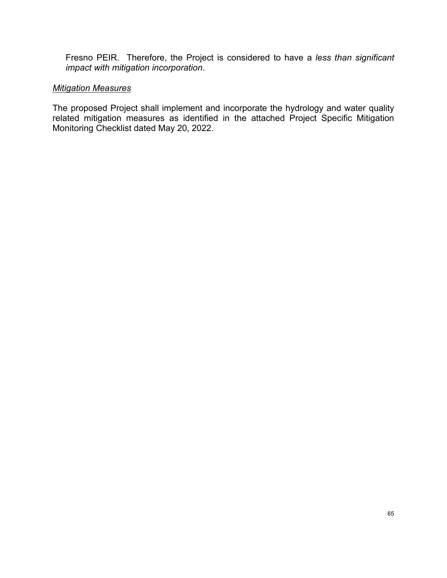Fresno PEIR. Therefore, the Project is considered to have a *less than significant impact with mitigation incorporation*.

### *Mitigation Measures*

The proposed Project shall implement and incorporate the hydrology and water quality related mitigation measures as identified in the attached Project Specific Mitigation Monitoring Checklist dated May 20, 2022.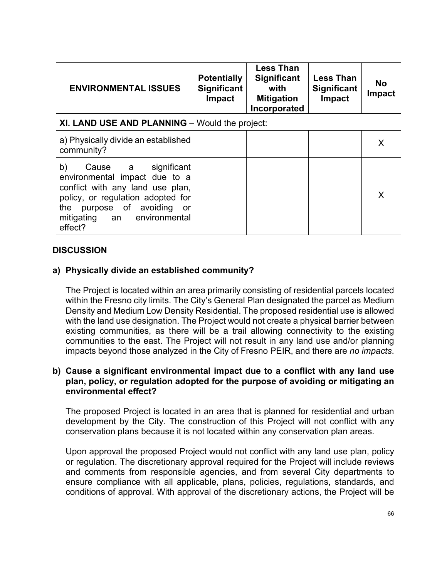| <b>ENVIRONMENTAL ISSUES</b>                                                                                                                                                                                      | <b>Potentially</b><br><b>Significant</b><br>Impact | <b>Less Than</b><br><b>Significant</b><br>with<br><b>Mitigation</b><br>Incorporated | <b>Less Than</b><br><b>Significant</b><br>Impact | <b>No</b><br><b>Impact</b> |
|------------------------------------------------------------------------------------------------------------------------------------------------------------------------------------------------------------------|----------------------------------------------------|-------------------------------------------------------------------------------------|--------------------------------------------------|----------------------------|
| <b>XI. LAND USE AND PLANNING</b> – Would the project:                                                                                                                                                            |                                                    |                                                                                     |                                                  |                            |
| a) Physically divide an established<br>community?                                                                                                                                                                |                                                    |                                                                                     |                                                  | X                          |
| b)<br>Cause a significant<br>environmental impact due to a<br>conflict with any land use plan,<br>policy, or regulation adopted for<br>the purpose of avoiding<br>or -<br>mitigating an environmental<br>effect? |                                                    |                                                                                     |                                                  | X                          |

### **DISCUSSION**

### **a) Physically divide an established community?**

The Project is located within an area primarily consisting of residential parcels located within the Fresno city limits. The City's General Plan designated the parcel as Medium Density and Medium Low Density Residential. The proposed residential use is allowed with the land use designation. The Project would not create a physical barrier between existing communities, as there will be a trail allowing connectivity to the existing communities to the east. The Project will not result in any land use and/or planning impacts beyond those analyzed in the City of Fresno PEIR, and there are *no impacts*.

### **b) Cause a significant environmental impact due to a conflict with any land use plan, policy, or regulation adopted for the purpose of avoiding or mitigating an environmental effect?**

The proposed Project is located in an area that is planned for residential and urban development by the City. The construction of this Project will not conflict with any conservation plans because it is not located within any conservation plan areas.

Upon approval the proposed Project would not conflict with any land use plan, policy or regulation. The discretionary approval required for the Project will include reviews and comments from responsible agencies, and from several City departments to ensure compliance with all applicable, plans, policies, regulations, standards, and conditions of approval. With approval of the discretionary actions, the Project will be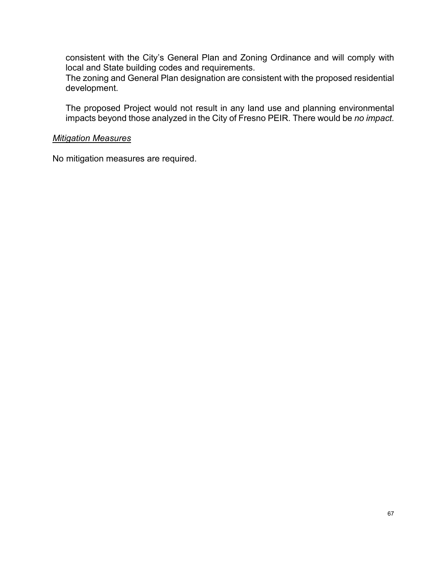consistent with the City's General Plan and Zoning Ordinance and will comply with local and State building codes and requirements.

The zoning and General Plan designation are consistent with the proposed residential development.

The proposed Project would not result in any land use and planning environmental impacts beyond those analyzed in the City of Fresno PEIR. There would be *no impact.*

#### *Mitigation Measures*

No mitigation measures are required.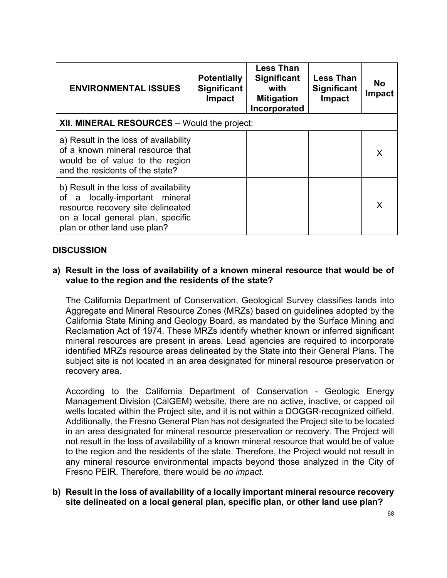| <b>ENVIRONMENTAL ISSUES</b>                                                                                                                                                       | <b>Potentially</b><br><b>Significant</b><br>Impact | <b>Less Than</b><br><b>Significant</b><br>with<br><b>Mitigation</b><br>Incorporated | <b>Less Than</b><br><b>Significant</b><br>Impact | <b>No</b><br><b>Impact</b> |
|-----------------------------------------------------------------------------------------------------------------------------------------------------------------------------------|----------------------------------------------------|-------------------------------------------------------------------------------------|--------------------------------------------------|----------------------------|
| XII. MINERAL RESOURCES - Would the project:                                                                                                                                       |                                                    |                                                                                     |                                                  |                            |
| a) Result in the loss of availability<br>of a known mineral resource that<br>would be of value to the region<br>and the residents of the state?                                   |                                                    |                                                                                     |                                                  | Х                          |
| b) Result in the loss of availability<br>of a locally-important mineral<br>resource recovery site delineated<br>on a local general plan, specific<br>plan or other land use plan? |                                                    |                                                                                     |                                                  | X                          |

### **DISCUSSION**

### **a) Result in the loss of availability of a known mineral resource that would be of value to the region and the residents of the state?**

The California Department of Conservation, Geological Survey classifies lands into Aggregate and Mineral Resource Zones (MRZs) based on guidelines adopted by the California State Mining and Geology Board, as mandated by the Surface Mining and Reclamation Act of 1974. These MRZs identify whether known or inferred significant mineral resources are present in areas. Lead agencies are required to incorporate identified MRZs resource areas delineated by the State into their General Plans. The subject site is not located in an area designated for mineral resource preservation or recovery area.

According to the California Department of Conservation - Geologic Energy Management Division (CalGEM) website, there are no active, inactive, or capped oil wells located within the Project site, and it is not within a DOGGR-recognized oilfield. Additionally, the Fresno General Plan has not designated the Project site to be located in an area designated for mineral resource preservation or recovery. The Project will not result in the loss of availability of a known mineral resource that would be of value to the region and the residents of the state. Therefore, the Project would not result in any mineral resource environmental impacts beyond those analyzed in the City of Fresno PEIR. Therefore, there would be *no impact*.

**b) Result in the loss of availability of a locally important mineral resource recovery site delineated on a local general plan, specific plan, or other land use plan?**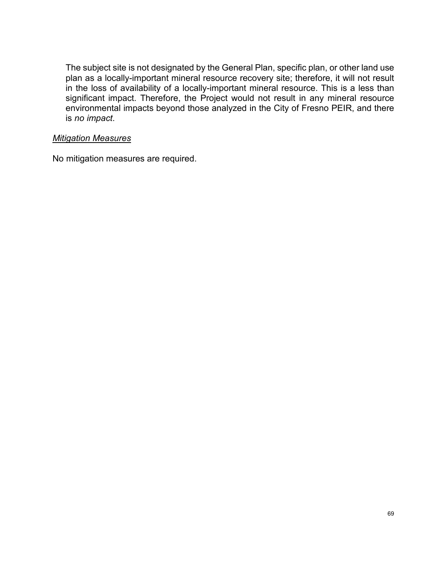The subject site is not designated by the General Plan, specific plan, or other land use plan as a locally-important mineral resource recovery site; therefore, it will not result in the loss of availability of a locally-important mineral resource. This is a less than significant impact. Therefore, the Project would not result in any mineral resource environmental impacts beyond those analyzed in the City of Fresno PEIR, and there is *no impact*.

# *Mitigation Measures*

No mitigation measures are required.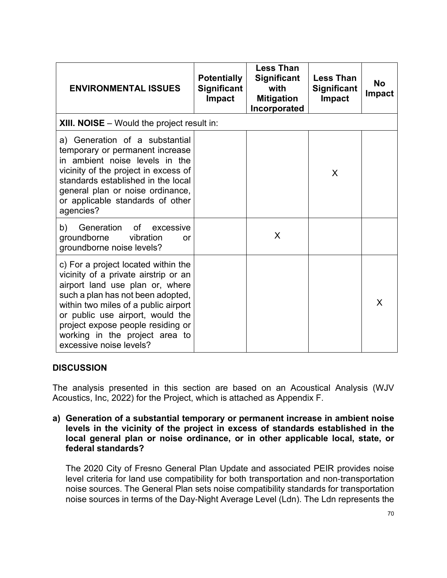| <b>ENVIRONMENTAL ISSUES</b>                                                                                                                                                                                                                                                                                                       | <b>Potentially</b><br><b>Significant</b><br>Impact | <b>Less Than</b><br><b>Significant</b><br>with<br><b>Mitigation</b><br>Incorporated | <b>Less Than</b><br><b>Significant</b><br>Impact | <b>No</b><br><b>Impact</b> |
|-----------------------------------------------------------------------------------------------------------------------------------------------------------------------------------------------------------------------------------------------------------------------------------------------------------------------------------|----------------------------------------------------|-------------------------------------------------------------------------------------|--------------------------------------------------|----------------------------|
| <b>XIII. NOISE</b> – Would the project result in:                                                                                                                                                                                                                                                                                 |                                                    |                                                                                     |                                                  |                            |
| a) Generation of a substantial<br>temporary or permanent increase<br>in ambient noise levels in the<br>vicinity of the project in excess of<br>standards established in the local<br>general plan or noise ordinance,<br>or applicable standards of other<br>agencies?                                                            |                                                    |                                                                                     | X                                                |                            |
| of excessive<br>b)<br>Generation<br>groundborne<br>vibration<br><b>or</b><br>groundborne noise levels?                                                                                                                                                                                                                            |                                                    | X                                                                                   |                                                  |                            |
| c) For a project located within the<br>vicinity of a private airstrip or an<br>airport land use plan or, where<br>such a plan has not been adopted,<br>within two miles of a public airport<br>or public use airport, would the<br>project expose people residing or<br>working in the project area to<br>excessive noise levels? |                                                    |                                                                                     |                                                  | X                          |

# **DISCUSSION**

The analysis presented in this section are based on an Acoustical Analysis (WJV Acoustics, Inc, 2022) for the Project, which is attached as Appendix F.

**a) Generation of a substantial temporary or permanent increase in ambient noise levels in the vicinity of the project in excess of standards established in the local general plan or noise ordinance, or in other applicable local, state, or federal standards?**

The 2020 City of Fresno General Plan Update and associated PEIR provides noise level criteria for land use compatibility for both transportation and non‐transportation noise sources. The General Plan sets noise compatibility standards for transportation noise sources in terms of the Day‐Night Average Level (Ldn). The Ldn represents the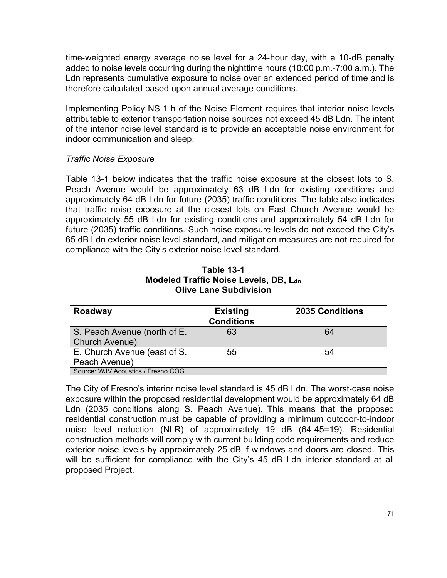time‐weighted energy average noise level for a 24‐hour day, with a 10-dB penalty added to noise levels occurring during the nighttime hours (10:00 p.m.‐7:00 a.m.). The Ldn represents cumulative exposure to noise over an extended period of time and is therefore calculated based upon annual average conditions.

Implementing Policy NS-1-h of the Noise Element requires that interior noise levels attributable to exterior transportation noise sources not exceed 45 dB Ldn. The intent of the interior noise level standard is to provide an acceptable noise environment for indoor communication and sleep.

### *Traffic Noise Exposure*

Table 13-1 below indicates that the traffic noise exposure at the closest lots to S. Peach Avenue would be approximately 63 dB Ldn for existing conditions and approximately 64 dB Ldn for future (2035) traffic conditions. The table also indicates that traffic noise exposure at the closest lots on East Church Avenue would be approximately 55 dB Ldn for existing conditions and approximately 54 dB Ldn for future (2035) traffic conditions. Such noise exposure levels do not exceed the City's 65 dB Ldn exterior noise level standard, and mitigation measures are not required for compliance with the City's exterior noise level standard.

|                                                | <u>UITTE LAITE SUDUIVISIUIT</u>      |                        |
|------------------------------------------------|--------------------------------------|------------------------|
| Roadway                                        | <b>Existing</b><br><b>Conditions</b> | <b>2035 Conditions</b> |
| S. Peach Avenue (north of E.<br>Church Avenue) | 63                                   | 64                     |
| E. Church Avenue (east of S.<br>Peach Avenue)  | 55                                   | 54                     |

### **Table 13-1 Modeled Traffic Noise Levels, DB, Ldn Olive Lane Subdivision**

Source: WJV Acoustics / Fresno COG

The City of Fresno's interior noise level standard is 45 dB Ldn. The worst‐case noise exposure within the proposed residential development would be approximately 64 dB Ldn (2035 conditions along S. Peach Avenue). This means that the proposed residential construction must be capable of providing a minimum outdoor‐to‐indoor noise level reduction (NLR) of approximately 19 dB (64‐45=19). Residential construction methods will comply with current building code requirements and reduce exterior noise levels by approximately 25 dB if windows and doors are closed. This will be sufficient for compliance with the City's 45 dB Ldn interior standard at all proposed Project.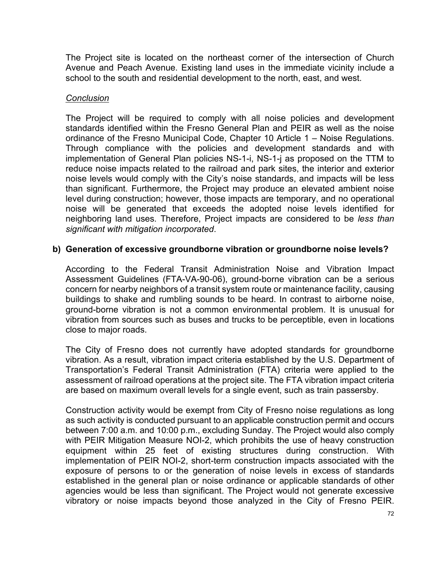The Project site is located on the northeast corner of the intersection of Church Avenue and Peach Avenue. Existing land uses in the immediate vicinity include a school to the south and residential development to the north, east, and west.

### *Conclusion*

The Project will be required to comply with all noise policies and development standards identified within the Fresno General Plan and PEIR as well as the noise ordinance of the Fresno Municipal Code, Chapter 10 Article 1 – Noise Regulations. Through compliance with the policies and development standards and with implementation of General Plan policies NS-1-i, NS-1-j as proposed on the TTM to reduce noise impacts related to the railroad and park sites, the interior and exterior noise levels would comply with the City's noise standards, and impacts will be less than significant. Furthermore, the Project may produce an elevated ambient noise level during construction; however, those impacts are temporary, and no operational noise will be generated that exceeds the adopted noise levels identified for neighboring land uses. Therefore, Project impacts are considered to be *less than significant with mitigation incorporated*.

## **b) Generation of excessive groundborne vibration or groundborne noise levels?**

According to the Federal Transit Administration Noise and Vibration Impact Assessment Guidelines (FTA-VA-90-06), ground-borne vibration can be a serious concern for nearby neighbors of a transit system route or maintenance facility, causing buildings to shake and rumbling sounds to be heard. In contrast to airborne noise, ground-borne vibration is not a common environmental problem. It is unusual for vibration from sources such as buses and trucks to be perceptible, even in locations close to major roads.

The City of Fresno does not currently have adopted standards for groundborne vibration. As a result, vibration impact criteria established by the U.S. Department of Transportation's Federal Transit Administration (FTA) criteria were applied to the assessment of railroad operations at the project site. The FTA vibration impact criteria are based on maximum overall levels for a single event, such as train passersby.

Construction activity would be exempt from City of Fresno noise regulations as long as such activity is conducted pursuant to an applicable construction permit and occurs between 7:00 a.m. and 10:00 p.m., excluding Sunday. The Project would also comply with PEIR Mitigation Measure NOI-2, which prohibits the use of heavy construction equipment within 25 feet of existing structures during construction. With implementation of PEIR NOI-2, short-term construction impacts associated with the exposure of persons to or the generation of noise levels in excess of standards established in the general plan or noise ordinance or applicable standards of other agencies would be less than significant. The Project would not generate excessive vibratory or noise impacts beyond those analyzed in the City of Fresno PEIR.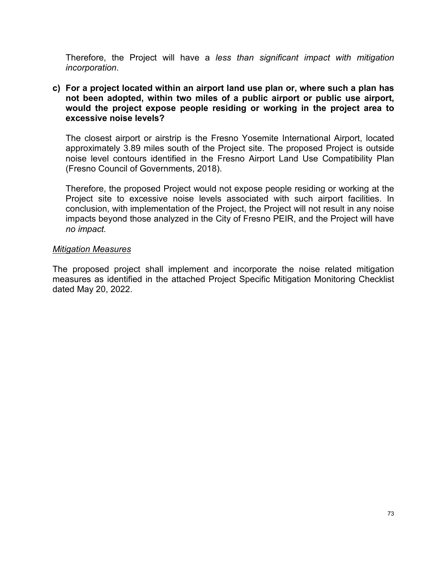Therefore, the Project will have a *less than significant impact with mitigation incorporation*.

**c) For a project located within an airport land use plan or, where such a plan has not been adopted, within two miles of a public airport or public use airport, would the project expose people residing or working in the project area to excessive noise levels?**

The closest airport or airstrip is the Fresno Yosemite International Airport, located approximately 3.89 miles south of the Project site. The proposed Project is outside noise level contours identified in the Fresno Airport Land Use Compatibility Plan (Fresno Council of Governments, 2018).

Therefore, the proposed Project would not expose people residing or working at the Project site to excessive noise levels associated with such airport facilities. In conclusion, with implementation of the Project, the Project will not result in any noise impacts beyond those analyzed in the City of Fresno PEIR, and the Project will have *no impact.*

#### *Mitigation Measures*

The proposed project shall implement and incorporate the noise related mitigation measures as identified in the attached Project Specific Mitigation Monitoring Checklist dated May 20, 2022.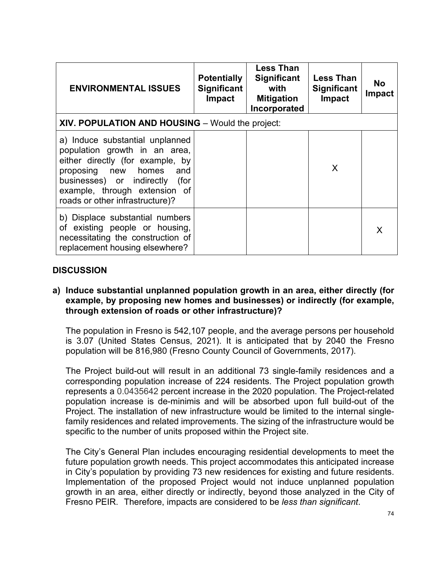| <b>ENVIRONMENTAL ISSUES</b>                                                                                                                                                                                                           | <b>Potentially</b><br><b>Significant</b><br>Impact | <b>Less Than</b><br><b>Significant</b><br>with<br><b>Mitigation</b><br>Incorporated | <b>Less Than</b><br><b>Significant</b><br>Impact | <b>No</b><br><b>Impact</b> |
|---------------------------------------------------------------------------------------------------------------------------------------------------------------------------------------------------------------------------------------|----------------------------------------------------|-------------------------------------------------------------------------------------|--------------------------------------------------|----------------------------|
| XIV. POPULATION AND HOUSING - Would the project:                                                                                                                                                                                      |                                                    |                                                                                     |                                                  |                            |
| a) Induce substantial unplanned<br>population growth in an area,<br>either directly (for example, by<br>proposing new homes and<br>businesses) or indirectly (for<br>example, through extension of<br>roads or other infrastructure)? |                                                    |                                                                                     | X                                                |                            |
| b) Displace substantial numbers<br>of existing people or housing,<br>necessitating the construction of<br>replacement housing elsewhere?                                                                                              |                                                    |                                                                                     |                                                  | X                          |

#### **a) Induce substantial unplanned population growth in an area, either directly (for example, by proposing new homes and businesses) or indirectly (for example, through extension of roads or other infrastructure)?**

The population in Fresno is 542,107 people, and the average persons per household is 3.07 (United States Census, 2021). It is anticipated that by 2040 the Fresno population will be 816,980 (Fresno County Council of Governments, 2017).

The Project build-out will result in an additional 73 single-family residences and a corresponding population increase of 224 residents. The Project population growth represents a 0.0435642 percent increase in the 2020 population. The Project-related population increase is de-minimis and will be absorbed upon full build-out of the Project. The installation of new infrastructure would be limited to the internal singlefamily residences and related improvements. The sizing of the infrastructure would be specific to the number of units proposed within the Project site.

The City's General Plan includes encouraging residential developments to meet the future population growth needs. This project accommodates this anticipated increase in City's population by providing 73 new residences for existing and future residents. Implementation of the proposed Project would not induce unplanned population growth in an area, either directly or indirectly, beyond those analyzed in the City of Fresno PEIR. Therefore, impacts are considered to be *less than significant*.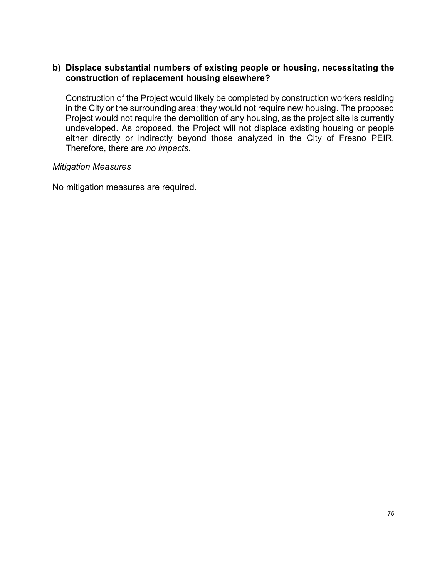### **b) Displace substantial numbers of existing people or housing, necessitating the construction of replacement housing elsewhere?**

Construction of the Project would likely be completed by construction workers residing in the City or the surrounding area; they would not require new housing. The proposed Project would not require the demolition of any housing, as the project site is currently undeveloped. As proposed, the Project will not displace existing housing or people either directly or indirectly beyond those analyzed in the City of Fresno PEIR. Therefore, there are *no impacts*.

#### *Mitigation Measures*

No mitigation measures are required.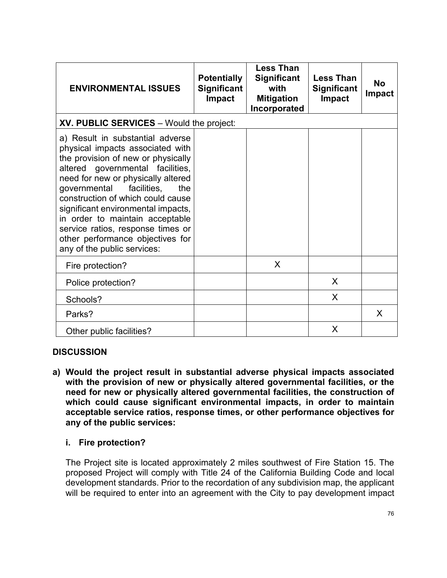| <b>ENVIRONMENTAL ISSUES</b>                                                                                                                                                                                                                                                                                                                                                                                                                   | <b>Potentially</b><br><b>Significant</b><br>Impact | <b>Less Than</b><br><b>Significant</b><br>with<br><b>Mitigation</b><br>Incorporated | <b>Less Than</b><br><b>Significant</b><br><b>Impact</b> | <b>No</b><br><b>Impact</b> |
|-----------------------------------------------------------------------------------------------------------------------------------------------------------------------------------------------------------------------------------------------------------------------------------------------------------------------------------------------------------------------------------------------------------------------------------------------|----------------------------------------------------|-------------------------------------------------------------------------------------|---------------------------------------------------------|----------------------------|
| XV. PUBLIC SERVICES - Would the project:                                                                                                                                                                                                                                                                                                                                                                                                      |                                                    |                                                                                     |                                                         |                            |
| a) Result in substantial adverse<br>physical impacts associated with<br>the provision of new or physically<br>altered governmental facilities,<br>need for new or physically altered<br>governmental facilities,<br>the<br>construction of which could cause<br>significant environmental impacts,<br>in order to maintain acceptable<br>service ratios, response times or<br>other performance objectives for<br>any of the public services: |                                                    |                                                                                     |                                                         |                            |
| Fire protection?                                                                                                                                                                                                                                                                                                                                                                                                                              |                                                    | X                                                                                   |                                                         |                            |
| Police protection?                                                                                                                                                                                                                                                                                                                                                                                                                            |                                                    |                                                                                     | X                                                       |                            |
| Schools?                                                                                                                                                                                                                                                                                                                                                                                                                                      |                                                    |                                                                                     | X                                                       |                            |
| Parks?                                                                                                                                                                                                                                                                                                                                                                                                                                        |                                                    |                                                                                     |                                                         | X                          |
| Other public facilities?                                                                                                                                                                                                                                                                                                                                                                                                                      |                                                    |                                                                                     | X                                                       |                            |

**a) Would the project result in substantial adverse physical impacts associated with the provision of new or physically altered governmental facilities, or the need for new or physically altered governmental facilities, the construction of which could cause significant environmental impacts, in order to maintain acceptable service ratios, response times, or other performance objectives for any of the public services:**

## **i. Fire protection?**

The Project site is located approximately 2 miles southwest of Fire Station 15. The proposed Project will comply with Title 24 of the California Building Code and local development standards. Prior to the recordation of any subdivision map, the applicant will be required to enter into an agreement with the City to pay development impact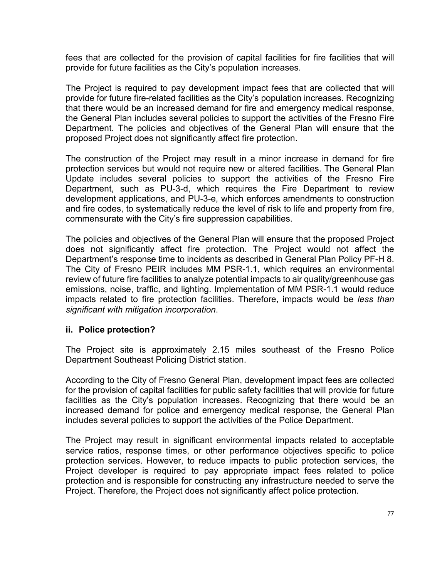fees that are collected for the provision of capital facilities for fire facilities that will provide for future facilities as the City's population increases.

The Project is required to pay development impact fees that are collected that will provide for future fire-related facilities as the City's population increases. Recognizing that there would be an increased demand for fire and emergency medical response, the General Plan includes several policies to support the activities of the Fresno Fire Department. The policies and objectives of the General Plan will ensure that the proposed Project does not significantly affect fire protection.

The construction of the Project may result in a minor increase in demand for fire protection services but would not require new or altered facilities. The General Plan Update includes several policies to support the activities of the Fresno Fire Department, such as PU-3-d, which requires the Fire Department to review development applications, and PU-3-e, which enforces amendments to construction and fire codes, to systematically reduce the level of risk to life and property from fire, commensurate with the City's fire suppression capabilities.

The policies and objectives of the General Plan will ensure that the proposed Project does not significantly affect fire protection. The Project would not affect the Department's response time to incidents as described in General Plan Policy PF-H 8. The City of Fresno PEIR includes MM PSR-1.1, which requires an environmental review of future fire facilities to analyze potential impacts to air quality/greenhouse gas emissions, noise, traffic, and lighting. Implementation of MM PSR-1.1 would reduce impacts related to fire protection facilities. Therefore, impacts would be *less than significant with mitigation incorporation*.

#### **ii. Police protection?**

The Project site is approximately 2.15 miles southeast of the Fresno Police Department Southeast Policing District station.

According to the City of Fresno General Plan, development impact fees are collected for the provision of capital facilities for public safety facilities that will provide for future facilities as the City's population increases. Recognizing that there would be an increased demand for police and emergency medical response, the General Plan includes several policies to support the activities of the Police Department.

The Project may result in significant environmental impacts related to acceptable service ratios, response times, or other performance objectives specific to police protection services. However, to reduce impacts to public protection services, the Project developer is required to pay appropriate impact fees related to police protection and is responsible for constructing any infrastructure needed to serve the Project. Therefore, the Project does not significantly affect police protection.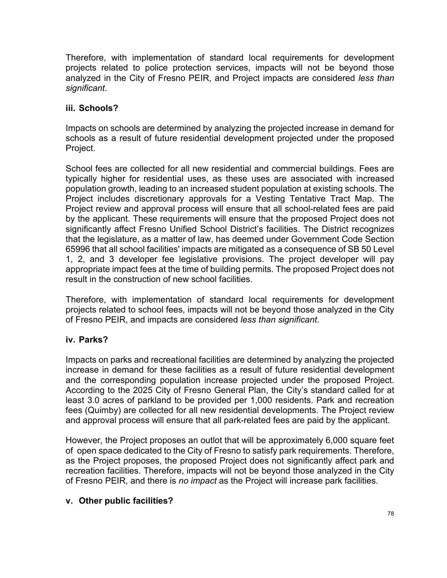Therefore, with implementation of standard local requirements for development projects related to police protection services, impacts will not be beyond those analyzed in the City of Fresno PEIR, and Project impacts are considered *less than significant*.

## **iii. Schools?**

Impacts on schools are determined by analyzing the projected increase in demand for schools as a result of future residential development projected under the proposed Project.

School fees are collected for all new residential and commercial buildings. Fees are typically higher for residential uses, as these uses are associated with increased population growth, leading to an increased student population at existing schools. The Project includes discretionary approvals for a Vesting Tentative Tract Map. The Project review and approval process will ensure that all school-related fees are paid by the applicant. These requirements will ensure that the proposed Project does not significantly affect Fresno Unified School District's facilities. The District recognizes that the legislature, as a matter of law, has deemed under Government Code Section 65996 that all school facilities' impacts are mitigated as a consequence of SB 50 Level 1, 2, and 3 developer fee legislative provisions. The project developer will pay appropriate impact fees at the time of building permits. The proposed Project does not result in the construction of new school facilities.

Therefore, with implementation of standard local requirements for development projects related to school fees, impacts will not be beyond those analyzed in the City of Fresno PEIR, and impacts are considered *less than significant*.

## **iv. Parks?**

Impacts on parks and recreational facilities are determined by analyzing the projected increase in demand for these facilities as a result of future residential development and the corresponding population increase projected under the proposed Project. According to the 2025 City of Fresno General Plan, the City's standard called for at least 3.0 acres of parkland to be provided per 1,000 residents. Park and recreation fees (Quimby) are collected for all new residential developments. The Project review and approval process will ensure that all park-related fees are paid by the applicant.

However, the Project proposes an outlot that will be approximately 6,000 square feet of open space dedicated to the City of Fresno to satisfy park requirements. Therefore, as the Project proposes, the proposed Project does not significantly affect park and recreation facilities. Therefore, impacts will not be beyond those analyzed in the City of Fresno PEIR, and there is *no impact* as the Project will increase park facilities.

## **v. Other public facilities?**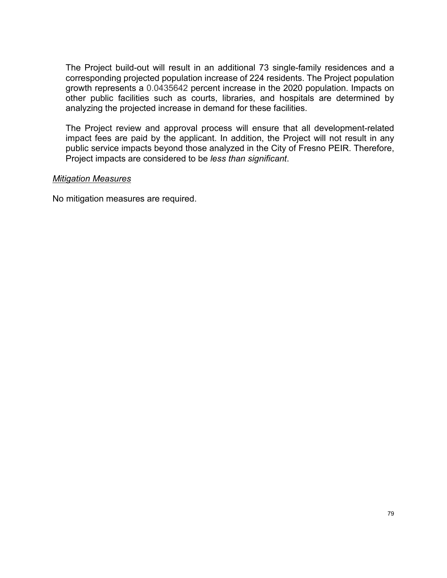The Project build-out will result in an additional 73 single-family residences and a corresponding projected population increase of 224 residents. The Project population growth represents a 0.0435642 percent increase in the 2020 population. Impacts on other public facilities such as courts, libraries, and hospitals are determined by analyzing the projected increase in demand for these facilities.

The Project review and approval process will ensure that all development-related impact fees are paid by the applicant. In addition, the Project will not result in any public service impacts beyond those analyzed in the City of Fresno PEIR. Therefore, Project impacts are considered to be *less than significant*.

#### *Mitigation Measures*

No mitigation measures are required.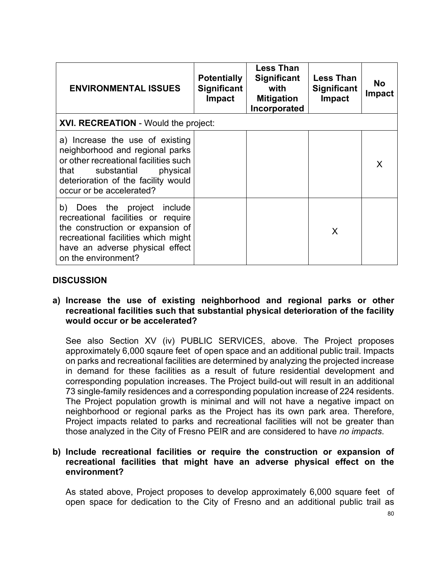| <b>ENVIRONMENTAL ISSUES</b>                                                                                                                                                                                 | <b>Potentially</b><br><b>Significant</b><br>Impact | <b>Less Than</b><br><b>Significant</b><br>with<br><b>Mitigation</b><br>Incorporated | <b>Less Than</b><br><b>Significant</b><br>Impact | <b>No</b><br><b>Impact</b> |
|-------------------------------------------------------------------------------------------------------------------------------------------------------------------------------------------------------------|----------------------------------------------------|-------------------------------------------------------------------------------------|--------------------------------------------------|----------------------------|
| <b>XVI. RECREATION - Would the project:</b>                                                                                                                                                                 |                                                    |                                                                                     |                                                  |                            |
| a) Increase the use of existing<br>neighborhood and regional parks<br>or other recreational facilities such<br>that substantial physical<br>deterioration of the facility would<br>occur or be accelerated? |                                                    |                                                                                     |                                                  | X                          |
| Does the project include<br>b)<br>recreational facilities or require<br>the construction or expansion of<br>recreational facilities which might<br>have an adverse physical effect<br>on the environment?   |                                                    |                                                                                     | X                                                |                            |

**a) Increase the use of existing neighborhood and regional parks or other recreational facilities such that substantial physical deterioration of the facility would occur or be accelerated?**

See also Section XV (iv) PUBLIC SERVICES, above. The Project proposes approximately 6,000 sqaure feet of open space and an additional public trail. Impacts on parks and recreational facilities are determined by analyzing the projected increase in demand for these facilities as a result of future residential development and corresponding population increases. The Project build-out will result in an additional 73 single-family residences and a corresponding population increase of 224 residents. The Project population growth is minimal and will not have a negative impact on neighborhood or regional parks as the Project has its own park area. Therefore, Project impacts related to parks and recreational facilities will not be greater than those analyzed in the City of Fresno PEIR and are considered to have *no impacts*.

#### **b) Include recreational facilities or require the construction or expansion of recreational facilities that might have an adverse physical effect on the environment?**

As stated above, Project proposes to develop approximately 6,000 square feet of open space for dedication to the City of Fresno and an additional public trail as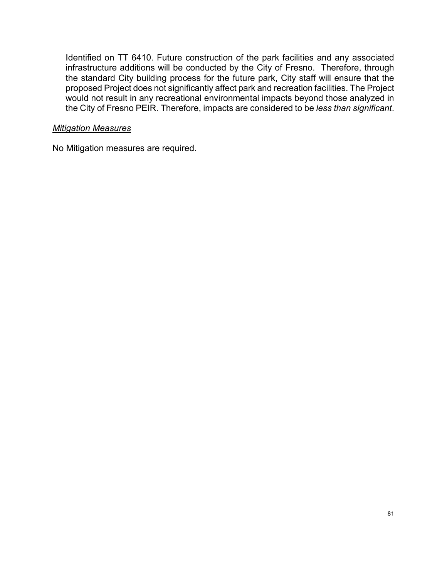Identified on TT 6410. Future construction of the park facilities and any associated infrastructure additions will be conducted by the City of Fresno. Therefore, through the standard City building process for the future park, City staff will ensure that the proposed Project does not significantly affect park and recreation facilities. The Project would not result in any recreational environmental impacts beyond those analyzed in the City of Fresno PEIR. Therefore, impacts are considered to be *less than significant*.

#### *Mitigation Measures*

No Mitigation measures are required.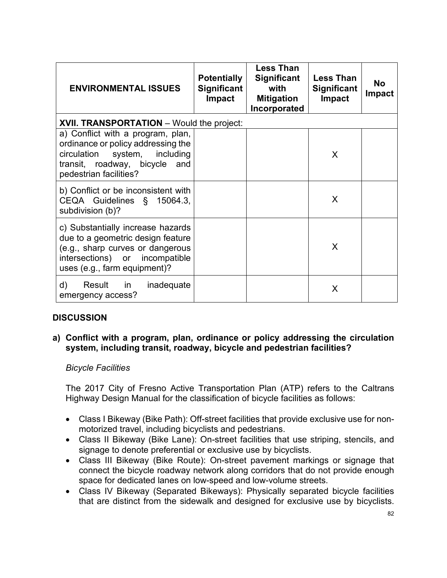| <b>ENVIRONMENTAL ISSUES</b>                                                                                                                                                  | <b>Potentially</b><br><b>Significant</b><br><b>Impact</b> | <b>Less Than</b><br><b>Significant</b><br>with<br><b>Mitigation</b><br>Incorporated | <b>Less Than</b><br><b>Significant</b><br>Impact | <b>No</b><br><b>Impact</b> |
|------------------------------------------------------------------------------------------------------------------------------------------------------------------------------|-----------------------------------------------------------|-------------------------------------------------------------------------------------|--------------------------------------------------|----------------------------|
| <b>XVII. TRANSPORTATION</b> – Would the project:                                                                                                                             |                                                           |                                                                                     |                                                  |                            |
| a) Conflict with a program, plan,<br>ordinance or policy addressing the<br>system, including<br>circulation<br>transit, roadway, bicycle and<br>pedestrian facilities?       |                                                           |                                                                                     | X                                                |                            |
| b) Conflict or be inconsistent with<br>CEQA Guidelines § 15064.3,<br>subdivision (b)?                                                                                        |                                                           |                                                                                     | X                                                |                            |
| c) Substantially increase hazards<br>due to a geometric design feature<br>(e.g., sharp curves or dangerous<br>intersections) or incompatible<br>uses (e.g., farm equipment)? |                                                           |                                                                                     | X                                                |                            |
| d)<br>Result<br>$\mathsf{in}$<br>inadequate<br>emergency access?                                                                                                             |                                                           |                                                                                     | X                                                |                            |

#### **a) Conflict with a program, plan, ordinance or policy addressing the circulation system, including transit, roadway, bicycle and pedestrian facilities?**

#### *Bicycle Facilities*

The 2017 City of Fresno Active Transportation Plan (ATP) refers to the Caltrans Highway Design Manual for the classification of bicycle facilities as follows:

- Class I Bikeway (Bike Path): Off-street facilities that provide exclusive use for nonmotorized travel, including bicyclists and pedestrians.
- Class II Bikeway (Bike Lane): On-street facilities that use striping, stencils, and signage to denote preferential or exclusive use by bicyclists.
- Class III Bikeway (Bike Route): On-street pavement markings or signage that connect the bicycle roadway network along corridors that do not provide enough space for dedicated lanes on low-speed and low-volume streets.
- Class IV Bikeway (Separated Bikeways): Physically separated bicycle facilities that are distinct from the sidewalk and designed for exclusive use by bicyclists.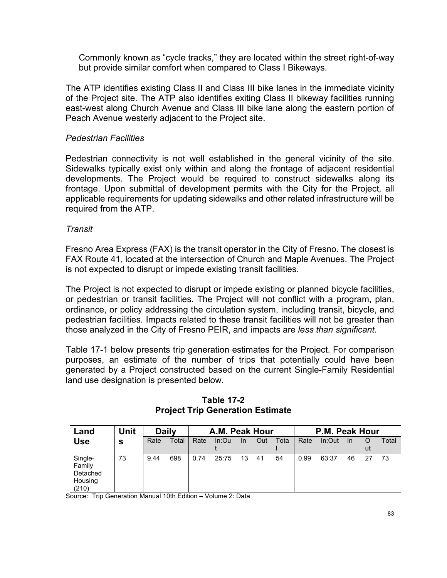Commonly known as "cycle tracks," they are located within the street right-of-way but provide similar comfort when compared to Class I Bikeways.

The ATP identifies existing Class II and Class III bike lanes in the immediate vicinity of the Project site. The ATP also identifies exiting Class II bikeway facilities running east-west along Church Avenue and Class III bike lane along the eastern portion of Peach Avenue westerly adjacent to the Project site.

#### *Pedestrian Facilities*

Pedestrian connectivity is not well established in the general vicinity of the site. Sidewalks typically exist only within and along the frontage of adjacent residential developments. The Project would be required to construct sidewalks along its frontage. Upon submittal of development permits with the City for the Project, all applicable requirements for updating sidewalks and other related infrastructure will be required from the ATP.

#### *Transit*

Fresno Area Express (FAX) is the transit operator in the City of Fresno. The closest is FAX Route 41, located at the intersection of Church and Maple Avenues. The Project is not expected to disrupt or impede existing transit facilities.

The Project is not expected to disrupt or impede existing or planned bicycle facilities, or pedestrian or transit facilities. The Project will not conflict with a program, plan, ordinance, or policy addressing the circulation system, including transit, bicycle, and pedestrian facilities. Impacts related to these transit facilities will not be greater than those analyzed in the City of Fresno PEIR, and impacts are *less than significant*.

Table 17-1 below presents trip generation estimates for the Project. For comparison purposes, an estimate of the number of trips that potentially could have been generated by a Project constructed based on the current Single-Family Residential land use designation is presented below.

| Land                                              | Unit |      | <b>Daily</b> | A.M. Peak Hour |            |           | P.M. Peak Hour |      |      |        |           |    |       |
|---------------------------------------------------|------|------|--------------|----------------|------------|-----------|----------------|------|------|--------|-----------|----|-------|
| <b>Use</b>                                        | S    | Rate | Total        | Rate           | $In:$ $Ou$ | <b>In</b> | Out            | Tota | Rate | In:Out | <b>In</b> | ut | Total |
| Single-<br>Family<br>Detached<br>Housing<br>(210) | 73   | 9.44 | 698          | 0.74           | 25:75      | 13        | 41             | 54   | 0.99 | 63:37  | 46        | 27 | 73    |

**Table 17-2 Project Trip Generation Estimate**

Source: Trip Generation Manual 10th Edition – Volume 2: Data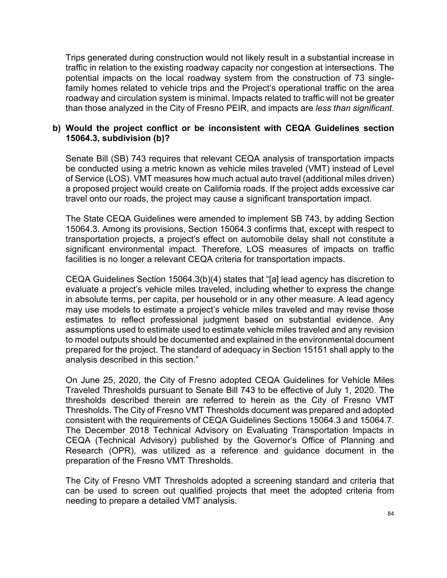Trips generated during construction would not likely result in a substantial increase in traffic in relation to the existing roadway capacity nor congestion at intersections. The potential impacts on the local roadway system from the construction of 73 singlefamily homes related to vehicle trips and the Project's operational traffic on the area roadway and circulation system is minimal. Impacts related to traffic will not be greater than those analyzed in the City of Fresno PEIR, and impacts are *less than significant*.

#### **b) Would the project conflict or be inconsistent with CEQA Guidelines section 15064.3, subdivision (b)?**

Senate Bill (SB) 743 requires that relevant CEQA analysis of transportation impacts be conducted using a metric known as vehicle miles traveled (VMT) instead of Level of Service (LOS). VMT measures how much actual auto travel (additional miles driven) a proposed project would create on California roads. If the project adds excessive car travel onto our roads, the project may cause a significant transportation impact.

The State CEQA Guidelines were amended to implement SB 743, by adding Section 15064.3. Among its provisions, Section 15064.3 confirms that, except with respect to transportation projects, a project's effect on automobile delay shall not constitute a significant environmental impact. Therefore, LOS measures of impacts on traffic facilities is no longer a relevant CEQA criteria for transportation impacts.

CEQA Guidelines Section 15064.3(b)(4) states that "[a] lead agency has discretion to evaluate a project's vehicle miles traveled, including whether to express the change in absolute terms, per capita, per household or in any other measure. A lead agency may use models to estimate a project's vehicle miles traveled and may revise those estimates to reflect professional judgment based on substantial evidence. Any assumptions used to estimate used to estimate vehicle miles traveled and any revision to model outputs should be documented and explained in the environmental document prepared for the project. The standard of adequacy in Section 15151 shall apply to the analysis described in this section."

On June 25, 2020, the City of Fresno adopted CEQA Guidelines for Vehicle Miles Traveled Thresholds pursuant to Senate Bill 743 to be effective of July 1, 2020. The thresholds described therein are referred to herein as the City of Fresno VMT Thresholds. The City of Fresno VMT Thresholds document was prepared and adopted consistent with the requirements of CEQA Guidelines Sections 15064.3 and 15064.7. The December 2018 Technical Advisory on Evaluating Transportation Impacts in CEQA (Technical Advisory) published by the Governor's Office of Planning and Research (OPR), was utilized as a reference and guidance document in the preparation of the Fresno VMT Thresholds.

The City of Fresno VMT Thresholds adopted a screening standard and criteria that can be used to screen out qualified projects that meet the adopted criteria from needing to prepare a detailed VMT analysis.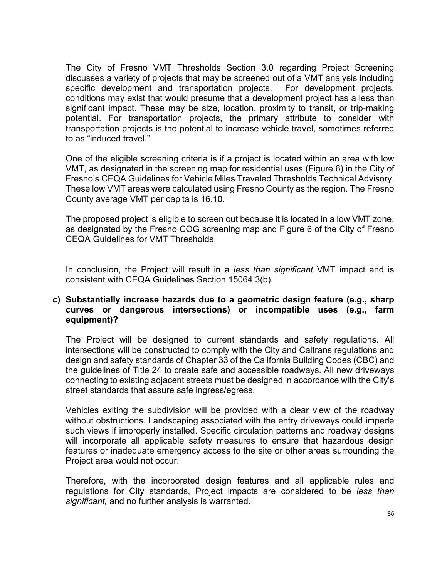The City of Fresno VMT Thresholds Section 3.0 regarding Project Screening discusses a variety of projects that may be screened out of a VMT analysis including specific development and transportation projects. For development projects, conditions may exist that would presume that a development project has a less than significant impact. These may be size, location, proximity to transit, or trip-making potential. For transportation projects, the primary attribute to consider with transportation projects is the potential to increase vehicle travel, sometimes referred to as "induced travel."

One of the eligible screening criteria is if a project is located within an area with low VMT, as designated in the screening map for residential uses (Figure 6) in the City of Fresno's CEQA Guidelines for Vehicle Miles Traveled Thresholds Technical Advisory. These low VMT areas were calculated using Fresno County as the region. The Fresno County average VMT per capita is 16.10.

The proposed project is eligible to screen out because it is located in a low VMT zone, as designated by the Fresno COG screening map and Figure 6 of the City of Fresno CEQA Guidelines for VMT Thresholds.

In conclusion, the Project will result in a *less than significant* VMT impact and is consistent with CEQA Guidelines Section 15064.3(b).

#### **c) Substantially increase hazards due to a geometric design feature (e.g., sharp curves or dangerous intersections) or incompatible uses (e.g., farm equipment)?**

The Project will be designed to current standards and safety regulations. All intersections will be constructed to comply with the City and Caltrans regulations and design and safety standards of Chapter 33 of the California Building Codes (CBC) and the guidelines of Title 24 to create safe and accessible roadways. All new driveways connecting to existing adjacent streets must be designed in accordance with the City's street standards that assure safe ingress/egress.

Vehicles exiting the subdivision will be provided with a clear view of the roadway without obstructions. Landscaping associated with the entry driveways could impede such views if improperly installed. Specific circulation patterns and roadway designs will incorporate all applicable safety measures to ensure that hazardous design features or inadequate emergency access to the site or other areas surrounding the Project area would not occur.

Therefore, with the incorporated design features and all applicable rules and regulations for City standards, Project impacts are considered to be *less than significant,* and no further analysis is warranted.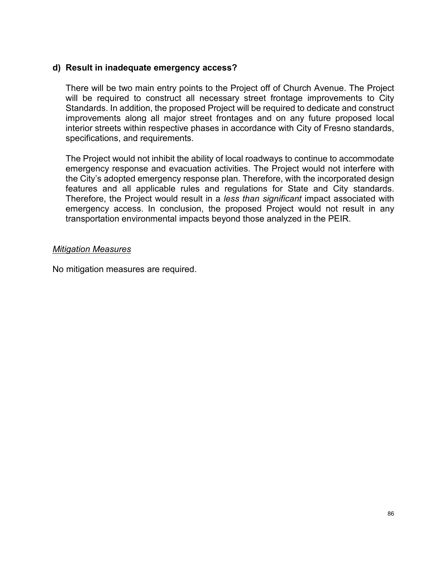#### **d) Result in inadequate emergency access?**

There will be two main entry points to the Project off of Church Avenue. The Project will be required to construct all necessary street frontage improvements to City Standards. In addition, the proposed Project will be required to dedicate and construct improvements along all major street frontages and on any future proposed local interior streets within respective phases in accordance with City of Fresno standards, specifications, and requirements.

The Project would not inhibit the ability of local roadways to continue to accommodate emergency response and evacuation activities. The Project would not interfere with the City's adopted emergency response plan. Therefore, with the incorporated design features and all applicable rules and regulations for State and City standards. Therefore, the Project would result in a *less than significant* impact associated with emergency access. In conclusion, the proposed Project would not result in any transportation environmental impacts beyond those analyzed in the PEIR.

#### *Mitigation Measures*

No mitigation measures are required.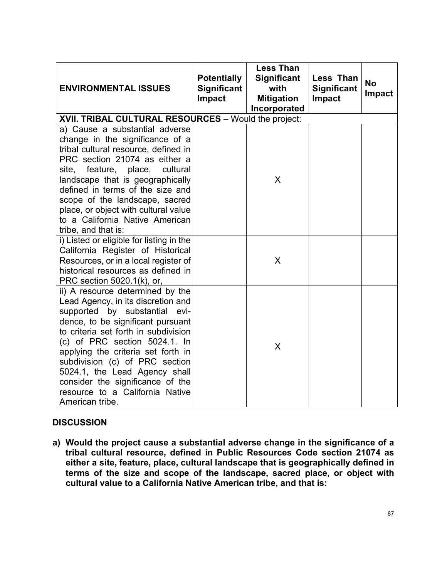| <b>ENVIRONMENTAL ISSUES</b>                                                                                                                                                                                                                                                                                                                                                                                              | <b>Potentially</b><br><b>Significant</b><br>Impact | <b>Less Than</b><br><b>Significant</b><br>with<br><b>Mitigation</b><br>Incorporated | Less Than<br><b>Significant</b><br>Impact | <b>No</b><br><b>Impact</b> |
|--------------------------------------------------------------------------------------------------------------------------------------------------------------------------------------------------------------------------------------------------------------------------------------------------------------------------------------------------------------------------------------------------------------------------|----------------------------------------------------|-------------------------------------------------------------------------------------|-------------------------------------------|----------------------------|
| XVII. TRIBAL CULTURAL RESOURCES - Would the project:                                                                                                                                                                                                                                                                                                                                                                     |                                                    |                                                                                     |                                           |                            |
| a) Cause a substantial adverse<br>change in the significance of a<br>tribal cultural resource, defined in<br>PRC section 21074 as either a<br>site, feature, place, cultural<br>landscape that is geographically<br>defined in terms of the size and<br>scope of the landscape, sacred<br>place, or object with cultural value<br>to a California Native American<br>tribe, and that is:                                 |                                                    | X                                                                                   |                                           |                            |
| i) Listed or eligible for listing in the<br>California Register of Historical<br>Resources, or in a local register of<br>historical resources as defined in<br>PRC section 5020.1(k), or,                                                                                                                                                                                                                                |                                                    | X                                                                                   |                                           |                            |
| ii) A resource determined by the<br>Lead Agency, in its discretion and<br>supported by substantial evi-<br>dence, to be significant pursuant<br>to criteria set forth in subdivision<br>(c) of PRC section 5024.1. In<br>applying the criteria set forth in<br>subdivision (c) of PRC section<br>5024.1, the Lead Agency shall<br>consider the significance of the<br>resource to a California Native<br>American tribe. |                                                    | X                                                                                   |                                           |                            |

**a) Would the project cause a substantial adverse change in the significance of a tribal cultural resource, defined in Public Resources Code section 21074 as either a site, feature, place, cultural landscape that is geographically defined in terms of the size and scope of the landscape, sacred place, or object with cultural value to a California Native American tribe, and that is:**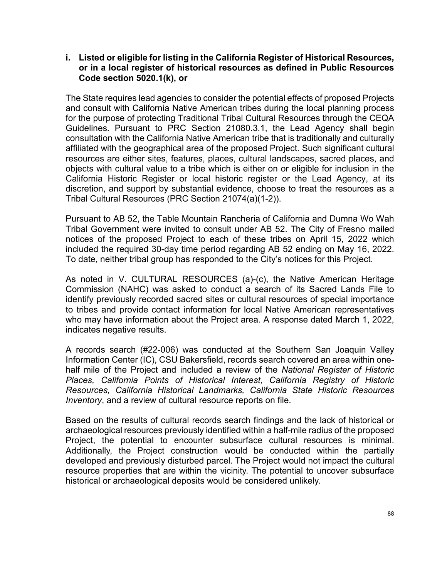**i. Listed or eligible for listing in the California Register of Historical Resources, or in a local register of historical resources as defined in Public Resources Code section 5020.1(k), or**

The State requires lead agencies to consider the potential effects of proposed Projects and consult with California Native American tribes during the local planning process for the purpose of protecting Traditional Tribal Cultural Resources through the CEQA Guidelines. Pursuant to PRC Section 21080.3.1, the Lead Agency shall begin consultation with the California Native American tribe that is traditionally and culturally affiliated with the geographical area of the proposed Project. Such significant cultural resources are either sites, features, places, cultural landscapes, sacred places, and objects with cultural value to a tribe which is either on or eligible for inclusion in the California Historic Register or local historic register or the Lead Agency, at its discretion, and support by substantial evidence, choose to treat the resources as a Tribal Cultural Resources (PRC Section 21074(a)(1-2)).

Pursuant to AB 52, the Table Mountain Rancheria of California and Dumna Wo Wah Tribal Government were invited to consult under AB 52. The City of Fresno mailed notices of the proposed Project to each of these tribes on April 15, 2022 which included the required 30-day time period regarding AB 52 ending on May 16, 2022. To date, neither tribal group has responded to the City's notices for this Project.

As noted in V. CULTURAL RESOURCES (a)-(c), the Native American Heritage Commission (NAHC) was asked to conduct a search of its Sacred Lands File to identify previously recorded sacred sites or cultural resources of special importance to tribes and provide contact information for local Native American representatives who may have information about the Project area. A response dated March 1, 2022, indicates negative results.

A records search (#22-006) was conducted at the Southern San Joaquin Valley Information Center (IC), CSU Bakersfield, records search covered an area within onehalf mile of the Project and included a review of the *National Register of Historic Places, California Points of Historical Interest, California Registry of Historic Resources, California Historical Landmarks, California State Historic Resources Inventory*, and a review of cultural resource reports on file.

Based on the results of cultural records search findings and the lack of historical or archaeological resources previously identified within a half-mile radius of the proposed Project, the potential to encounter subsurface cultural resources is minimal. Additionally, the Project construction would be conducted within the partially developed and previously disturbed parcel. The Project would not impact the cultural resource properties that are within the vicinity. The potential to uncover subsurface historical or archaeological deposits would be considered unlikely.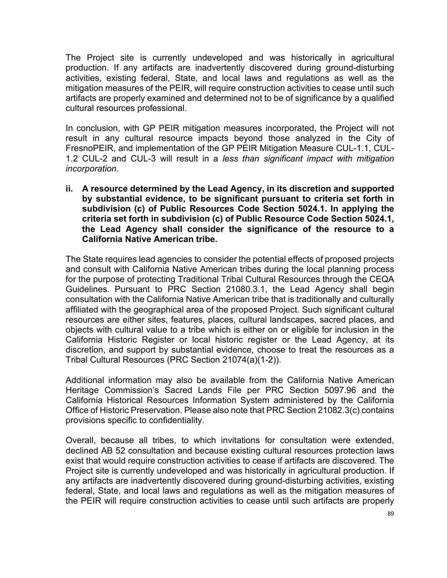The Project site is currently undeveloped and was historically in agricultural production. If any artifacts are inadvertently discovered during ground-disturbing activities, existing federal, State, and local laws and regulations as well as the mitigation measures of the PEIR, will require construction activities to cease until such artifacts are properly examined and determined not to be of significance by a qualified cultural resources professional.

In conclusion, with GP PEIR mitigation measures incorporated, the Project will not result in any cultural resource impacts beyond those analyzed in the City of FresnoPEIR, and implementation of the GP PEIR Mitigation Measure CUL-1.1, CUL-1.2 CUL-2 and CUL-3 will result in a *less than significant impact with mitigation incorporation*.

**ii. A resource determined by the Lead Agency, in its discretion and supported by substantial evidence, to be significant pursuant to criteria set forth in subdivision (c) of Public Resources Code Section 5024.1. In applying the criteria set forth in subdivision (c) of Public Resource Code Section 5024.1, the Lead Agency shall consider the significance of the resource to a California Native American tribe.**

The State requires lead agencies to consider the potential effects of proposed projects and consult with California Native American tribes during the local planning process for the purpose of protecting Traditional Tribal Cultural Resources through the CEQA Guidelines. Pursuant to PRC Section 21080.3.1, the Lead Agency shall begin consultation with the California Native American tribe that is traditionally and culturally affiliated with the geographical area of the proposed Project. Such significant cultural resources are either sites, features, places, cultural landscapes, sacred places, and objects with cultural value to a tribe which is either on or eligible for inclusion in the California Historic Register or local historic register or the Lead Agency, at its discretion, and support by substantial evidence, choose to treat the resources as a Tribal Cultural Resources (PRC Section 21074(a)(1-2)).

Additional information may also be available from the California Native American Heritage Commission's Sacred Lands File per PRC Section 5097.96 and the California Historical Resources Information System administered by the California Office of Historic Preservation. Please also note that PRC Section 21082.3(c) contains provisions specific to confidentiality.

Overall, because all tribes, to which invitations for consultation were extended, declined AB 52 consultation and because existing cultural resources protection laws exist that would require construction activities to cease if artifacts are discovered. The Project site is currently undeveloped and was historically in agricultural production. If any artifacts are inadvertently discovered during ground-disturbing activities, existing federal, State, and local laws and regulations as well as the mitigation measures of the PEIR will require construction activities to cease until such artifacts are properly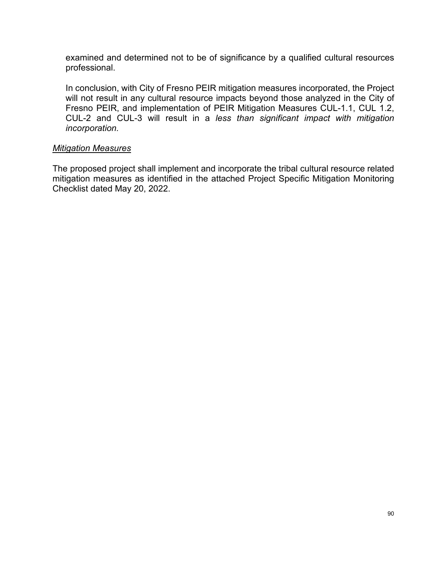examined and determined not to be of significance by a qualified cultural resources professional.

In conclusion, with City of Fresno PEIR mitigation measures incorporated, the Project will not result in any cultural resource impacts beyond those analyzed in the City of Fresno PEIR, and implementation of PEIR Mitigation Measures CUL-1.1, CUL 1.2, CUL-2 and CUL-3 will result in a *less than significant impact with mitigation incorporation.*

#### *Mitigation Measures*

The proposed project shall implement and incorporate the tribal cultural resource related mitigation measures as identified in the attached Project Specific Mitigation Monitoring Checklist dated May 20, 2022.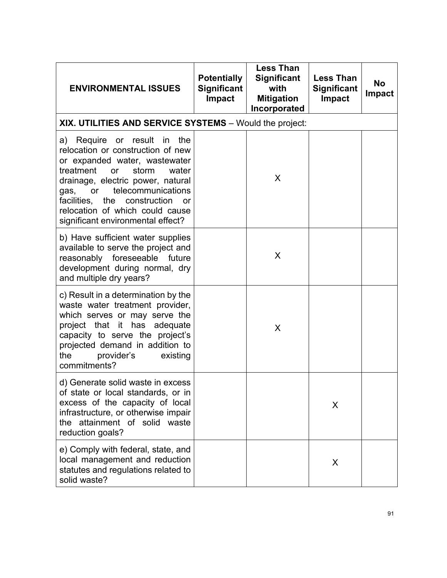| <b>ENVIRONMENTAL ISSUES</b>                                                                                                                                                                                                                                                                                                          | <b>Potentially</b><br><b>Significant</b><br>Impact | <b>Less Than</b><br><b>Significant</b><br>with<br><b>Mitigation</b><br>Incorporated | <b>Less Than</b><br><b>Significant</b><br>Impact | <b>No</b><br><b>Impact</b> |
|--------------------------------------------------------------------------------------------------------------------------------------------------------------------------------------------------------------------------------------------------------------------------------------------------------------------------------------|----------------------------------------------------|-------------------------------------------------------------------------------------|--------------------------------------------------|----------------------------|
| XIX. UTILITIES AND SERVICE SYSTEMS - Would the project:                                                                                                                                                                                                                                                                              |                                                    |                                                                                     |                                                  |                            |
| or result in the<br>a) Require<br>relocation or construction of new<br>or expanded water, wastewater<br>treatment<br>storm<br>water<br><b>or</b><br>drainage, electric power, natural<br>gas, or telecommunications<br>facilities, the<br>construction<br>or<br>relocation of which could cause<br>significant environmental effect? |                                                    | X                                                                                   |                                                  |                            |
| b) Have sufficient water supplies<br>available to serve the project and<br>reasonably foreseeable future<br>development during normal, dry<br>and multiple dry years?                                                                                                                                                                |                                                    | X                                                                                   |                                                  |                            |
| c) Result in a determination by the<br>waste water treatment provider,<br>which serves or may serve the<br>project that it has adequate<br>capacity to serve the project's<br>projected demand in addition to<br>the<br>provider's<br>existing<br>commitments?                                                                       |                                                    | X                                                                                   |                                                  |                            |
| d) Generate solid waste in excess<br>of state or local standards, or in<br>excess of the capacity of local<br>infrastructure, or otherwise impair<br>the attainment of solid waste<br>reduction goals?                                                                                                                               |                                                    |                                                                                     | X                                                |                            |
| e) Comply with federal, state, and<br>local management and reduction<br>statutes and regulations related to<br>solid waste?                                                                                                                                                                                                          |                                                    |                                                                                     | X                                                |                            |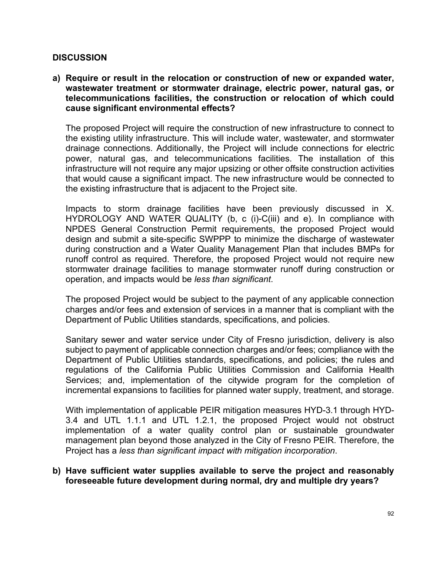**a) Require or result in the relocation or construction of new or expanded water, wastewater treatment or stormwater drainage, electric power, natural gas, or telecommunications facilities, the construction or relocation of which could cause significant environmental effects?**

The proposed Project will require the construction of new infrastructure to connect to the existing utility infrastructure. This will include water, wastewater, and stormwater drainage connections. Additionally, the Project will include connections for electric power, natural gas, and telecommunications facilities. The installation of this infrastructure will not require any major upsizing or other offsite construction activities that would cause a significant impact. The new infrastructure would be connected to the existing infrastructure that is adjacent to the Project site.

Impacts to storm drainage facilities have been previously discussed in X. HYDROLOGY AND WATER QUALITY (b, c (i)-C(iii) and e). In compliance with NPDES General Construction Permit requirements, the proposed Project would design and submit a site-specific SWPPP to minimize the discharge of wastewater during construction and a Water Quality Management Plan that includes BMPs for runoff control as required. Therefore, the proposed Project would not require new stormwater drainage facilities to manage stormwater runoff during construction or operation, and impacts would be *less than significant*.

The proposed Project would be subject to the payment of any applicable connection charges and/or fees and extension of services in a manner that is compliant with the Department of Public Utilities standards, specifications, and policies.

Sanitary sewer and water service under City of Fresno jurisdiction, delivery is also subject to payment of applicable connection charges and/or fees; compliance with the Department of Public Utilities standards, specifications, and policies; the rules and regulations of the California Public Utilities Commission and California Health Services; and, implementation of the citywide program for the completion of incremental expansions to facilities for planned water supply, treatment, and storage.

With implementation of applicable PEIR mitigation measures HYD-3.1 through HYD-3.4 and UTL 1.1.1 and UTL 1.2.1, the proposed Project would not obstruct implementation of a water quality control plan or sustainable groundwater management plan beyond those analyzed in the City of Fresno PEIR. Therefore, the Project has a *less than significant impact with mitigation incorporation*.

#### **b) Have sufficient water supplies available to serve the project and reasonably foreseeable future development during normal, dry and multiple dry years?**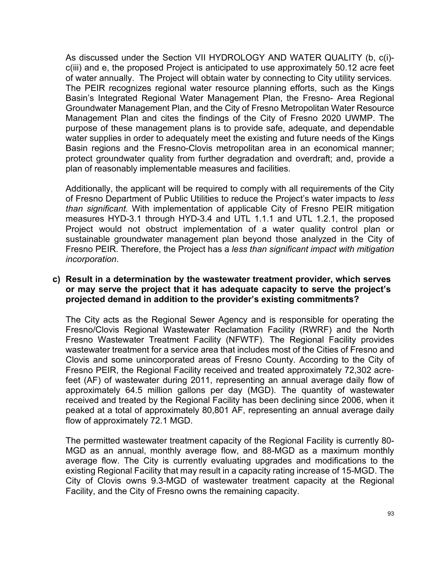As discussed under the Section VII HYDROLOGY AND WATER QUALITY (b, c(i) c(iii) and e, the proposed Project is anticipated to use approximately 50.12 acre feet of water annually. The Project will obtain water by connecting to City utility services. The PEIR recognizes regional water resource planning efforts, such as the Kings Basin's Integrated Regional Water Management Plan, the Fresno- Area Regional Groundwater Management Plan, and the City of Fresno Metropolitan Water Resource Management Plan and cites the findings of the City of Fresno 2020 UWMP. The purpose of these management plans is to provide safe, adequate, and dependable water supplies in order to adequately meet the existing and future needs of the Kings Basin regions and the Fresno-Clovis metropolitan area in an economical manner; protect groundwater quality from further degradation and overdraft; and, provide a plan of reasonably implementable measures and facilities.

Additionally, the applicant will be required to comply with all requirements of the City of Fresno Department of Public Utilities to reduce the Project's water impacts to *less than significant*. With implementation of applicable City of Fresno PEIR mitigation measures HYD-3.1 through HYD-3.4 and UTL 1.1.1 and UTL 1.2.1, the proposed Project would not obstruct implementation of a water quality control plan or sustainable groundwater management plan beyond those analyzed in the City of Fresno PEIR. Therefore, the Project has a *less than significant impact with mitigation incorporation*.

#### **c) Result in a determination by the wastewater treatment provider, which serves or may serve the project that it has adequate capacity to serve the project's projected demand in addition to the provider's existing commitments?**

The City acts as the Regional Sewer Agency and is responsible for operating the Fresno/Clovis Regional Wastewater Reclamation Facility (RWRF) and the North Fresno Wastewater Treatment Facility (NFWTF). The Regional Facility provides wastewater treatment for a service area that includes most of the Cities of Fresno and Clovis and some unincorporated areas of Fresno County. According to the City of Fresno PEIR, the Regional Facility received and treated approximately 72,302 acre‐ feet (AF) of wastewater during 2011, representing an annual average daily flow of approximately 64.5 million gallons per day (MGD). The quantity of wastewater received and treated by the Regional Facility has been declining since 2006, when it peaked at a total of approximately 80,801 AF, representing an annual average daily flow of approximately 72.1 MGD.

The permitted wastewater treatment capacity of the Regional Facility is currently 80- MGD as an annual, monthly average flow, and 88-MGD as a maximum monthly average flow. The City is currently evaluating upgrades and modifications to the existing Regional Facility that may result in a capacity rating increase of 15-MGD. The City of Clovis owns 9.3-MGD of wastewater treatment capacity at the Regional Facility, and the City of Fresno owns the remaining capacity.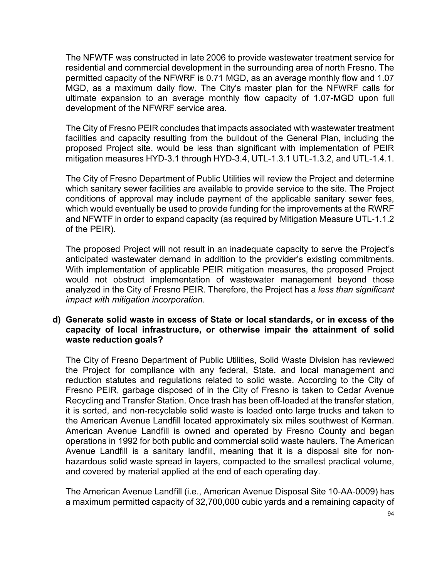The NFWTF was constructed in late 2006 to provide wastewater treatment service for residential and commercial development in the surrounding area of north Fresno. The permitted capacity of the NFWRF is 0.71 MGD, as an average monthly flow and 1.07 MGD, as a maximum daily flow. The City's master plan for the NFWRF calls for ultimate expansion to an average monthly flow capacity of 1.07-MGD upon full development of the NFWRF service area.

The City of Fresno PEIR concludes that impacts associated with wastewater treatment facilities and capacity resulting from the buildout of the General Plan, including the proposed Project site, would be less than significant with implementation of PEIR mitigation measures HYD-3.1 through HYD-3.4, UTL-1.3.1 UTL-1.3.2, and UTL-1.4.1.

The City of Fresno Department of Public Utilities will review the Project and determine which sanitary sewer facilities are available to provide service to the site. The Project conditions of approval may include payment of the applicable sanitary sewer fees, which would eventually be used to provide funding for the improvements at the RWRF and NFWTF in order to expand capacity (as required by Mitigation Measure UTL‐1.1.2 of the PEIR).

The proposed Project will not result in an inadequate capacity to serve the Project's anticipated wastewater demand in addition to the provider's existing commitments. With implementation of applicable PEIR mitigation measures, the proposed Project would not obstruct implementation of wastewater management beyond those analyzed in the City of Fresno PEIR. Therefore, the Project has a *less than significant impact with mitigation incorporation*.

#### **d) Generate solid waste in excess of State or local standards, or in excess of the capacity of local infrastructure, or otherwise impair the attainment of solid waste reduction goals?**

The City of Fresno Department of Public Utilities, Solid Waste Division has reviewed the Project for compliance with any federal, State, and local management and reduction statutes and regulations related to solid waste. According to the City of Fresno PEIR, garbage disposed of in the City of Fresno is taken to Cedar Avenue Recycling and Transfer Station. Once trash has been off‐loaded at the transfer station, it is sorted, and non‐recyclable solid waste is loaded onto large trucks and taken to the American Avenue Landfill located approximately six miles southwest of Kerman. American Avenue Landfill is owned and operated by Fresno County and began operations in 1992 for both public and commercial solid waste haulers. The American Avenue Landfill is a sanitary landfill, meaning that it is a disposal site for non‐ hazardous solid waste spread in layers, compacted to the smallest practical volume, and covered by material applied at the end of each operating day.

The American Avenue Landfill (i.e., American Avenue Disposal Site 10‐AA‐0009) has a maximum permitted capacity of 32,700,000 cubic yards and a remaining capacity of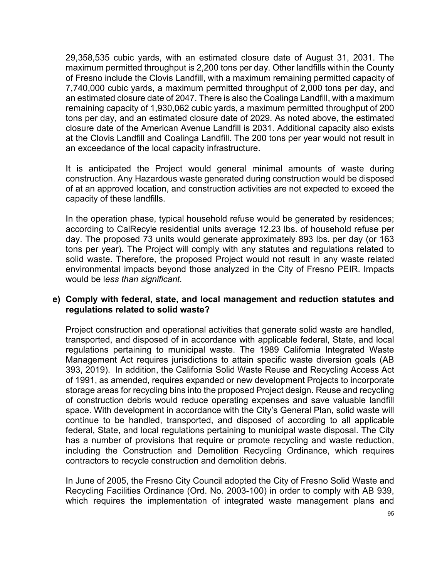29,358,535 cubic yards, with an estimated closure date of August 31, 2031. The maximum permitted throughput is 2,200 tons per day. Other landfills within the County of Fresno include the Clovis Landfill, with a maximum remaining permitted capacity of 7,740,000 cubic yards, a maximum permitted throughput of 2,000 tons per day, and an estimated closure date of 2047. There is also the Coalinga Landfill, with a maximum remaining capacity of 1,930,062 cubic yards, a maximum permitted throughput of 200 tons per day, and an estimated closure date of 2029. As noted above, the estimated closure date of the American Avenue Landfill is 2031. Additional capacity also exists at the Clovis Landfill and Coalinga Landfill. The 200 tons per year would not result in an exceedance of the local capacity infrastructure.

It is anticipated the Project would general minimal amounts of waste during construction. Any Hazardous waste generated during construction would be disposed of at an approved location, and construction activities are not expected to exceed the capacity of these landfills.

In the operation phase, typical household refuse would be generated by residences; according to CalRecyle residential units average 12.23 lbs. of household refuse per day. The proposed 73 units would generate approximately 893 lbs. per day (or 163 tons per year). The Project will comply with any statutes and regulations related to solid waste. Therefore, the proposed Project would not result in any waste related environmental impacts beyond those analyzed in the City of Fresno PEIR. Impacts would be l*ess than significant.*

#### **e) Comply with federal, state, and local management and reduction statutes and regulations related to solid waste?**

Project construction and operational activities that generate solid waste are handled, transported, and disposed of in accordance with applicable federal, State, and local regulations pertaining to municipal waste. The 1989 California Integrated Waste Management Act requires jurisdictions to attain specific waste diversion goals (AB 393, 2019). In addition, the California Solid Waste Reuse and Recycling Access Act of 1991, as amended, requires expanded or new development Projects to incorporate storage areas for recycling bins into the proposed Project design. Reuse and recycling of construction debris would reduce operating expenses and save valuable landfill space. With development in accordance with the City's General Plan, solid waste will continue to be handled, transported, and disposed of according to all applicable federal, State, and local regulations pertaining to municipal waste disposal. The City has a number of provisions that require or promote recycling and waste reduction, including the Construction and Demolition Recycling Ordinance, which requires contractors to recycle construction and demolition debris.

In June of 2005, the Fresno City Council adopted the City of Fresno Solid Waste and Recycling Facilities Ordinance (Ord. No. 2003-100) in order to comply with AB 939, which requires the implementation of integrated waste management plans and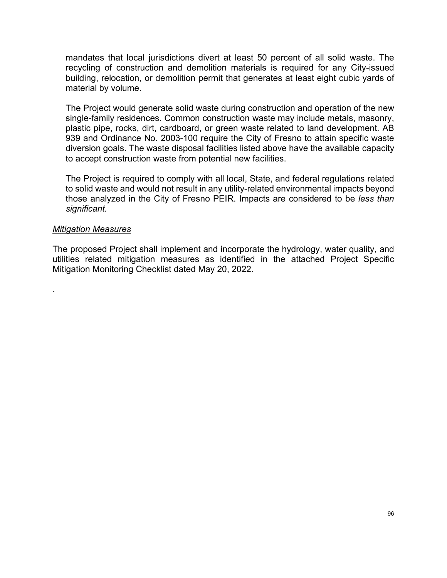mandates that local jurisdictions divert at least 50 percent of all solid waste. The recycling of construction and demolition materials is required for any City-issued building, relocation, or demolition permit that generates at least eight cubic yards of material by volume.

The Project would generate solid waste during construction and operation of the new single-family residences. Common construction waste may include metals, masonry, plastic pipe, rocks, dirt, cardboard, or green waste related to land development. AB 939 and Ordinance No. 2003-100 require the City of Fresno to attain specific waste diversion goals. The waste disposal facilities listed above have the available capacity to accept construction waste from potential new facilities.

The Project is required to comply with all local, State, and federal regulations related to solid waste and would not result in any utility-related environmental impacts beyond those analyzed in the City of Fresno PEIR. Impacts are considered to be *less than significant.*

#### *Mitigation Measures*

.

The proposed Project shall implement and incorporate the hydrology, water quality, and utilities related mitigation measures as identified in the attached Project Specific Mitigation Monitoring Checklist dated May 20, 2022.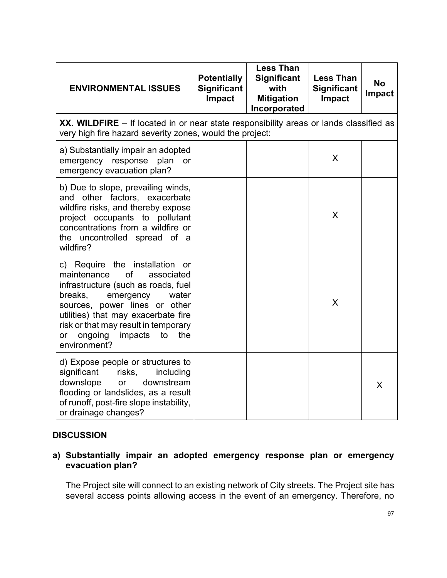| <b>ENVIRONMENTAL ISSUES</b>                                                                                                                                                                                                                                                                                               | <b>Potentially</b><br><b>Significant</b><br><b>Impact</b> | <b>Less Than</b><br><b>Significant</b><br>with<br><b>Mitigation</b><br>Incorporated | <b>Less Than</b><br><b>Significant</b><br>Impact | <b>No</b><br><b>Impact</b> |
|---------------------------------------------------------------------------------------------------------------------------------------------------------------------------------------------------------------------------------------------------------------------------------------------------------------------------|-----------------------------------------------------------|-------------------------------------------------------------------------------------|--------------------------------------------------|----------------------------|
| XX. WILDFIRE - If located in or near state responsibility areas or lands classified as<br>very high fire hazard severity zones, would the project:                                                                                                                                                                        |                                                           |                                                                                     |                                                  |                            |
| a) Substantially impair an adopted<br>emergency response plan<br><b>or</b><br>emergency evacuation plan?                                                                                                                                                                                                                  |                                                           |                                                                                     | X                                                |                            |
| b) Due to slope, prevailing winds,<br>and other factors, exacerbate<br>wildfire risks, and thereby expose<br>project occupants to pollutant<br>concentrations from a wildfire or<br>the uncontrolled spread of a<br>wildfire?                                                                                             |                                                           |                                                                                     | X                                                |                            |
| c) Require the installation or<br>maintenance<br><b>of</b><br>associated<br>infrastructure (such as roads, fuel<br>breaks,<br>emergency<br>water<br>sources, power lines or other<br>utilities) that may exacerbate fire<br>risk or that may result in temporary<br>ongoing<br>impacts<br>to<br>the<br>or<br>environment? |                                                           |                                                                                     | X                                                |                            |
| d) Expose people or structures to<br>significant<br>risks.<br>including<br>downslope<br>downstream<br>or<br>flooding or landslides, as a result<br>of runoff, post-fire slope instability,<br>or drainage changes?                                                                                                        |                                                           |                                                                                     |                                                  | X                          |

## **a) Substantially impair an adopted emergency response plan or emergency evacuation plan?**

The Project site will connect to an existing network of City streets. The Project site has several access points allowing access in the event of an emergency. Therefore, no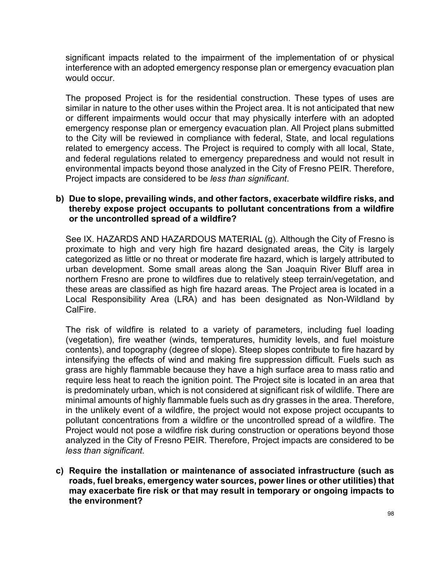significant impacts related to the impairment of the implementation of or physical interference with an adopted emergency response plan or emergency evacuation plan would occur.

The proposed Project is for the residential construction. These types of uses are similar in nature to the other uses within the Project area. It is not anticipated that new or different impairments would occur that may physically interfere with an adopted emergency response plan or emergency evacuation plan. All Project plans submitted to the City will be reviewed in compliance with federal, State, and local regulations related to emergency access. The Project is required to comply with all local, State, and federal regulations related to emergency preparedness and would not result in environmental impacts beyond those analyzed in the City of Fresno PEIR. Therefore, Project impacts are considered to be *less than significant*.

#### **b) Due to slope, prevailing winds, and other factors, exacerbate wildfire risks, and thereby expose project occupants to pollutant concentrations from a wildfire or the uncontrolled spread of a wildfire?**

See IX. HAZARDS AND HAZARDOUS MATERIAL (g). Although the City of Fresno is proximate to high and very high fire hazard designated areas, the City is largely categorized as little or no threat or moderate fire hazard, which is largely attributed to urban development. Some small areas along the San Joaquin River Bluff area in northern Fresno are prone to wildfires due to relatively steep terrain/vegetation, and these areas are classified as high fire hazard areas. The Project area is located in a Local Responsibility Area (LRA) and has been designated as Non-Wildland by CalFire.

The risk of wildfire is related to a variety of parameters, including fuel loading (vegetation), fire weather (winds, temperatures, humidity levels, and fuel moisture contents), and topography (degree of slope). Steep slopes contribute to fire hazard by intensifying the effects of wind and making fire suppression difficult. Fuels such as grass are highly flammable because they have a high surface area to mass ratio and require less heat to reach the ignition point. The Project site is located in an area that is predominately urban, which is not considered at significant risk of wildlife. There are minimal amounts of highly flammable fuels such as dry grasses in the area. Therefore, in the unlikely event of a wildfire, the project would not expose project occupants to pollutant concentrations from a wildfire or the uncontrolled spread of a wildfire. The Project would not pose a wildfire risk during construction or operations beyond those analyzed in the City of Fresno PEIR. Therefore, Project impacts are considered to be *less than significant.*

**c) Require the installation or maintenance of associated infrastructure (such as roads, fuel breaks, emergency water sources, power lines or other utilities) that may exacerbate fire risk or that may result in temporary or ongoing impacts to the environment?**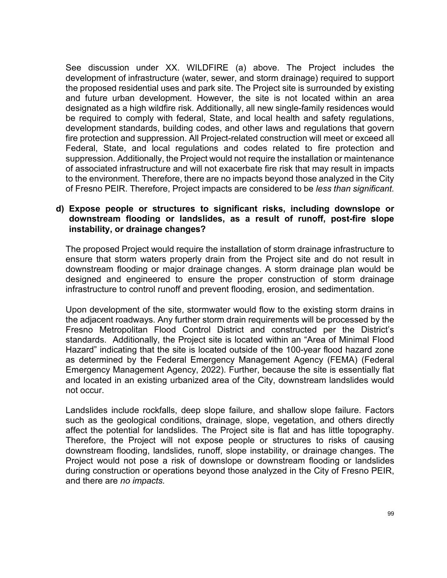See discussion under XX. WILDFIRE (a) above. The Project includes the development of infrastructure (water, sewer, and storm drainage) required to support the proposed residential uses and park site. The Project site is surrounded by existing and future urban development. However, the site is not located within an area designated as a high wildfire risk. Additionally, all new single-family residences would be required to comply with federal, State, and local health and safety regulations, development standards, building codes, and other laws and regulations that govern fire protection and suppression. All Project-related construction will meet or exceed all Federal, State, and local regulations and codes related to fire protection and suppression. Additionally, the Project would not require the installation or maintenance of associated infrastructure and will not exacerbate fire risk that may result in impacts to the environment. Therefore, there are no impacts beyond those analyzed in the City of Fresno PEIR. Therefore, Project impacts are considered to be *less than significant.*

#### **d) Expose people or structures to significant risks, including downslope or downstream flooding or landslides, as a result of runoff, post-fire slope instability, or drainage changes?**

The proposed Project would require the installation of storm drainage infrastructure to ensure that storm waters properly drain from the Project site and do not result in downstream flooding or major drainage changes. A storm drainage plan would be designed and engineered to ensure the proper construction of storm drainage infrastructure to control runoff and prevent flooding, erosion, and sedimentation.

Upon development of the site, stormwater would flow to the existing storm drains in the adjacent roadways. Any further storm drain requirements will be processed by the Fresno Metropolitan Flood Control District and constructed per the District's standards. Additionally, the Project site is located within an "Area of Minimal Flood Hazard" indicating that the site is located outside of the 100-year flood hazard zone as determined by the Federal Emergency Management Agency (FEMA) (Federal Emergency Management Agency, 2022). Further, because the site is essentially flat and located in an existing urbanized area of the City, downstream landslides would not occur.

Landslides include rockfalls, deep slope failure, and shallow slope failure. Factors such as the geological conditions, drainage, slope, vegetation, and others directly affect the potential for landslides. The Project site is flat and has little topography. Therefore, the Project will not expose people or structures to risks of causing downstream flooding, landslides, runoff, slope instability, or drainage changes. The Project would not pose a risk of downslope or downstream flooding or landslides during construction or operations beyond those analyzed in the City of Fresno PEIR, and there are *no impacts.*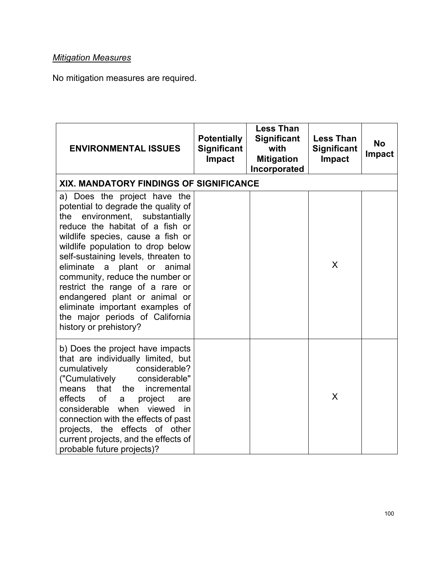## *Mitigation Measures*

No mitigation measures are required.

| <b>ENVIRONMENTAL ISSUES</b>                                                                                                                                                                                                                                                                                                                                                                                                                                                                           | <b>Potentially</b><br><b>Significant</b><br>Impact | <b>Less Than</b><br><b>Significant</b><br>with<br><b>Mitigation</b><br>Incorporated | <b>Less Than</b><br><b>Significant</b><br>Impact | <b>No</b><br><b>Impact</b> |
|-------------------------------------------------------------------------------------------------------------------------------------------------------------------------------------------------------------------------------------------------------------------------------------------------------------------------------------------------------------------------------------------------------------------------------------------------------------------------------------------------------|----------------------------------------------------|-------------------------------------------------------------------------------------|--------------------------------------------------|----------------------------|
| <b>XIX. MANDATORY FINDINGS OF SIGNIFICANCE</b>                                                                                                                                                                                                                                                                                                                                                                                                                                                        |                                                    |                                                                                     |                                                  |                            |
| a) Does the project have the<br>potential to degrade the quality of<br>environment, substantially<br>the<br>reduce the habitat of a fish or<br>wildlife species, cause a fish or<br>wildlife population to drop below<br>self-sustaining levels, threaten to<br>eliminate a<br>plant or animal<br>community, reduce the number or<br>restrict the range of a rare or<br>endangered plant or animal or<br>eliminate important examples of<br>the major periods of California<br>history or prehistory? |                                                    |                                                                                     | X                                                |                            |
| b) Does the project have impacts<br>that are individually limited, but<br>cumulatively<br>considerable?<br>("Cumulatively considerable"<br>that<br>the<br>incremental<br>means<br>effects<br>of<br>project<br>are<br>a<br>considerable when viewed<br>in in<br>connection with the effects of past<br>projects, the effects of other<br>current projects, and the effects of<br>probable future projects)?                                                                                            |                                                    |                                                                                     | X                                                |                            |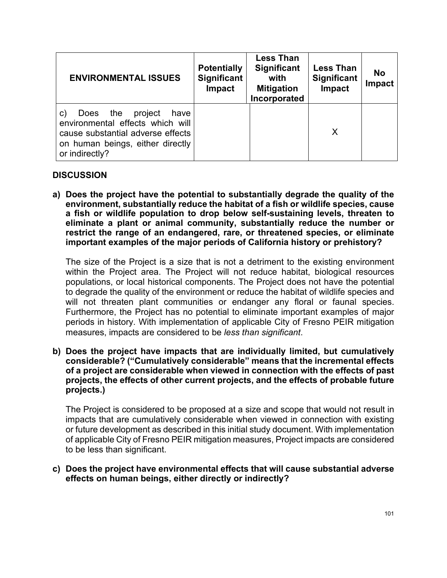| <b>ENVIRONMENTAL ISSUES</b>                                                                                                                                   | <b>Potentially</b><br><b>Significant</b><br>Impact | <b>Less Than</b><br><b>Significant</b><br>with<br><b>Mitigation</b><br>Incorporated | <b>Less Than</b><br><b>Significant</b><br>Impact | <b>No</b><br><b>Impact</b> |
|---------------------------------------------------------------------------------------------------------------------------------------------------------------|----------------------------------------------------|-------------------------------------------------------------------------------------|--------------------------------------------------|----------------------------|
| Does the project<br>have<br>C)<br>environmental effects which will<br>cause substantial adverse effects<br>on human beings, either directly<br>or indirectly? |                                                    |                                                                                     | X                                                |                            |

**a) Does the project have the potential to substantially degrade the quality of the environment, substantially reduce the habitat of a fish or wildlife species, cause a fish or wildlife population to drop below self-sustaining levels, threaten to eliminate a plant or animal community, substantially reduce the number or restrict the range of an endangered, rare, or threatened species, or eliminate important examples of the major periods of California history or prehistory?**

The size of the Project is a size that is not a detriment to the existing environment within the Project area. The Project will not reduce habitat, biological resources populations, or local historical components. The Project does not have the potential to degrade the quality of the environment or reduce the habitat of wildlife species and will not threaten plant communities or endanger any floral or faunal species. Furthermore, the Project has no potential to eliminate important examples of major periods in history. With implementation of applicable City of Fresno PEIR mitigation measures, impacts are considered to be *less than significant*.

**b) Does the project have impacts that are individually limited, but cumulatively considerable? ("Cumulatively considerable" means that the incremental effects of a project are considerable when viewed in connection with the effects of past projects, the effects of other current projects, and the effects of probable future projects.)**

The Project is considered to be proposed at a size and scope that would not result in impacts that are cumulatively considerable when viewed in connection with existing or future development as described in this initial study document. With implementation of applicable City of Fresno PEIR mitigation measures, Project impacts are considered to be less than significant.

**c) Does the project have environmental effects that will cause substantial adverse effects on human beings, either directly or indirectly?**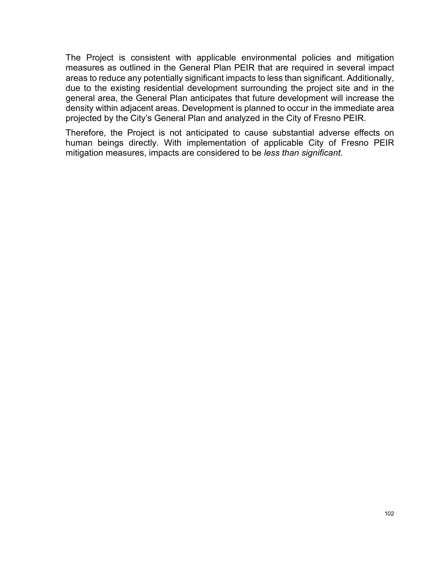The Project is consistent with applicable environmental policies and mitigation measures as outlined in the General Plan PEIR that are required in several impact areas to reduce any potentially significant impacts to less than significant. Additionally, due to the existing residential development surrounding the project site and in the general area, the General Plan anticipates that future development will increase the density within adjacent areas. Development is planned to occur in the immediate area projected by the City's General Plan and analyzed in the City of Fresno PEIR.

Therefore, the Project is not anticipated to cause substantial adverse effects on human beings directly. With implementation of applicable City of Fresno PEIR mitigation measures, impacts are considered to be *less than significant*.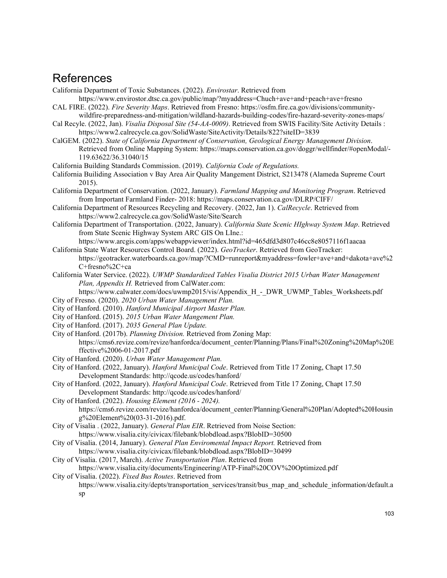## References

California Department of Toxic Substances. (2022). *Envirostar*. Retrieved from

- https://www.envirostor.dtsc.ca.gov/public/map/?myaddress=Chuch+ave+and+peach+ave+fresno CAL FIRE. (2022). *Fire Severity Maps*. Retrieved from Fresno: https://osfm.fire.ca.gov/divisions/community-
- wildfire-preparedness-and-mitigation/wildland-hazards-building-codes/fire-hazard-severity-zones-maps/ Cal Recyle. (2022, Jan). *Visalia Disposal Site (54-AA-0009)*. Retrieved from SWIS Facility/Site Activity Details :
	- https://www2.calrecycle.ca.gov/SolidWaste/SiteActivity/Details/822?siteID=3839
- CalGEM. (2022). *State of California Department of Conservation, Geological Energy Management Division*. Retrieved from Online Mapping System: https://maps.conservation.ca.gov/doggr/wellfinder/#openModal/- 119.63622/36.31040/15
- California Building Standards Commission. (2019). *California Code of Regulations.*
- California Builiding Association v Bay Area Air Quality Mangement District, S213478 (Alameda Supreme Court 2015).
- California Department of Conservation. (2022, January). *Farmland Mapping and Monitoring Program*. Retrieved from Important Farmland Finder- 2018: https://maps.conservation.ca.gov/DLRP/CIFF/
- California Department of Resources Recycling and Recovery. (2022, Jan 1). *CalRecycle*. Retrieved from https://www2.calrecycle.ca.gov/SolidWaste/Site/Search
- California Department of Transportation. (2022, January). *California State Scenic HIghway System Map*. Retrieved from State Scenic Highway System ARC GIS On LIne.:
- https://www.arcgis.com/apps/webappviewer/index.html?id=465dfd3d807c46cc8e8057116f1aacaa California State Water Resources Control Board. (2022). *GeoTracker*. Retrieved from GeoTracker:
- https://geotracker.waterboards.ca.gov/map/?CMD=runreport&myaddress=fowler+ave+and+dakota+ave%2 C+fresno%2C+ca
- California Water Service. (2022). *UWMP Standardized Tables Visalia District 2015 Urban Water Management Plan, Appendix H.* Retrieved from CalWater.com:

https://www.calwater.com/docs/uwmp2015/vis/Appendix\_H\_-\_DWR\_UWMP\_Tables\_Worksheets.pdf

- City of Fresno. (2020). *2020 Urban Water Management Plan.*
- City of Hanford. (2010). *Hanford Municipal Airport Master Plan.*
- City of Hanford. (2015). *2015 Urban Water Mangement Plan.*
- City of Hanford. (2017). *2035 General Plan Update.*
- City of Hanford. (2017b). *Planning Division.* Retrieved from Zoning Map: https://cms6.revize.com/revize/hanfordca/document\_center/Planning/Plans/Final%20Zoning%20Map%20E ffective%2006-01-2017.pdf
- City of Hanford. (2020). *Urban Water Management Plan.*
- City of Hanford. (2022, January). *Hanford Municipal Code*. Retrieved from Title 17 Zoning, Chapt 17.50 Development Standards: http://qcode.us/codes/hanford/
- City of Hanford. (2022, January). *Hanford Municipal Code*. Retrieved from Title 17 Zoning, Chapt 17.50 Development Standards: http://qcode.us/codes/hanford/
- City of Hanford. (2022). *Housing Element (2016 - 2024).* https://cms6.revize.com/revize/hanfordca/document\_center/Planning/General%20Plan/Adopted%20Housin g%20Element%20(03-31-2016).pdf.
- City of Visalia . (2022, January). *General Plan EIR*. Retrieved from Noise Section: https://www.visalia.city/civicax/filebank/blobdload.aspx?BlobID=30500
- City of Visalia. (2014, January). *General Plan Enviromental Impact Report.* Retrieved from https://www.visalia.city/civicax/filebank/blobdload.aspx?BlobID=30499
- City of Visalia. (2017, March). *Active Transportation Plan*. Retrieved from https://www.visalia.city/documents/Engineering/ATP-Final%20COV%20Optimized.pdf
- City of Visalia. (2022). *Fixed Bus Routes*. Retrieved from https://www.visalia.city/depts/transportation\_services/transit/bus\_map\_and\_schedule\_information/default.a sp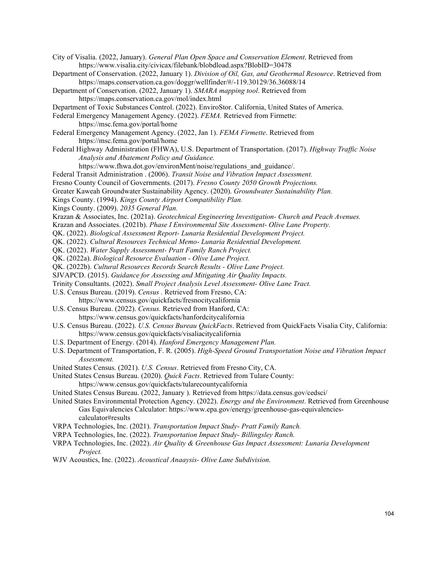- City of Visalia. (2022, January). *General Plan Open Space and Conservation Element*. Retrieved from https://www.visalia.city/civicax/filebank/blobdload.aspx?BlobID=30478
- Department of Conservation. (2022, January 1). *Division of Oil, Gas, and Geothermal Resource*. Retrieved from https://maps.conservation.ca.gov/doggr/wellfinder/#/-119.30129/36.36088/14
- Department of Conservation. (2022, January 1). *SMARA mapping tool*. Retrieved from https://maps.conservation.ca.gov/mol/index.html
- Department of Toxic Substances Control. (2022). EnviroStor. California, United States of America.
- Federal Emergency Management Agency. (2022). *FEMA.* Retrieved from Firmette: https://msc.fema.gov/portal/home
- Federal Emergency Management Agency. (2022, Jan 1). *FEMA Firmette*. Retrieved from https://msc.fema.gov/portal/home
- Federal Highway Administration (FHWA), U.S. Department of Transportation. (2017). *Highway Traffic Noise Analysis and Abatement Policy and Guidance.*
	- https://www.fhwa.dot.gov/environMent/noise/regulations\_and\_guidance/.
- Federal Transit Administration . (2006). *Transit Noise and Vibration Impact Assessment.*
- Fresno County Council of Governments. (2017). *Fresno County 2050 Growth Projections.*
- Greater Kaweah Groundwater Sustainability Agency. (2020). *Groundwater Sustainability Plan.*
- Kings County. (1994). *Kings County Airport Compatibility Plan.*

Kings County. (2009). *2035 General Plan.*

- Krazan & Associates, Inc. (2021a). *Geotechnical Engineering Investigation- Church and Peach Avenues.*
- Krazan and Associates. (2021b). *Phase I Environmental Site Assessment- Olive Lane Property.*
- QK. (2022). *Biological Assessment Report- Lunaria Residential Development Project.*
- QK. (2022). *Cultural Resources Technical Memo- Lunaria Residential Development.*
- QK. (2022). *Water Supply Assessment- Pratt Family Ranch Project.*
- QK. (2022a). *Biological Resource Evaluation - Olive Lane Project.*
- QK. (2022b). *Cultural Resources Records Search Results - Olive Lane Project.*
- SJVAPCD. (2015). *Guidance for Assessing and Mitigating Air Quality Impacts.*
- Trinity Consultants. (2022). *Small Project Analysis Level Assessment- Olive Lane Tract.*
- U.S. Census Bureau. (2019). *Census .* Retrieved from Fresno, CA:
	- https://www.census.gov/quickfacts/fresnocitycalifornia
- U.S. Census Bureau. (2022). *Census.* Retrieved from Hanford, CA: https://www.census.gov/quickfacts/hanfordcitycalifornia
- U.S. Census Bureau. (2022). *U.S. Census Bureau QuickFacts*. Retrieved from QuickFacts Visalia City, California: https://www.census.gov/quickfacts/visaliacitycalifornia
- U.S. Department of Energy. (2014). *Hanford Emergency Management Plan.*
- U.S. Department of Transportation, F. R. (2005). *High-Speed Ground Transportation Noise and Vibration Impact Assessment.*
- United States Census. (2021). *U.S. Census*. Retrieved from Fresno City, CA.
- United States Census Bureau. (2020). *Quick Facts*. Retrieved from Tulare County: https://www.census.gov/quickfacts/tularecountycalifornia
- United States Census Bureau. (2022, January ). Retrieved from https://data.census.gov/cedsci/
- United States Environmental Protection Agency. (2022). *Energy and the Environment*. Retrieved from Greenhouse Gas Equivalencies Calculator: https://www.epa.gov/energy/greenhouse-gas-equivalenciescalculator#results
- VRPA Technologies, Inc. (2021). *Transportation Impact Study- Pratt Family Ranch.*
- VRPA Technologies, Inc. (2022). *Transportation Impact Study- Billingsley Ranch.*
- VRPA Technologies, Inc. (2022). *Air Quality & Greenhouse Gas Impact Assessment: Lunaria Development Project.*
- WJV Acoustics, Inc. (2022). *Acoustical Anaaysis- Olive Lane Subdivision.*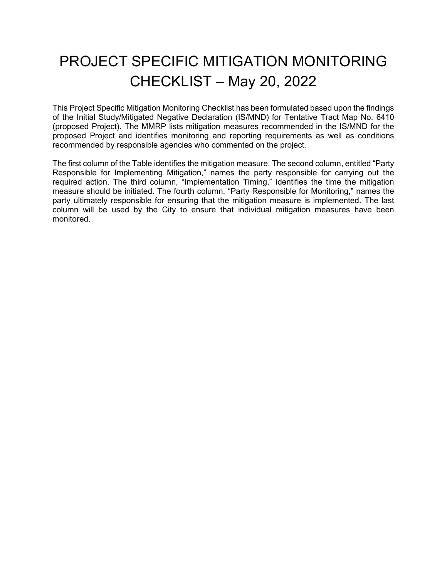# PROJECT SPECIFIC MITIGATION MONITORING CHECKLIST – May 20, 2022

This Project Specific Mitigation Monitoring Checklist has been formulated based upon the findings of the Initial Study/Mitigated Negative Declaration (IS/MND) for Tentative Tract Map No. 6410 (proposed Project). The MMRP lists mitigation measures recommended in the IS/MND for the proposed Project and identifies monitoring and reporting requirements as well as conditions recommended by responsible agencies who commented on the project.

The first column of the Table identifies the mitigation measure. The second column, entitled "Party Responsible for Implementing Mitigation," names the party responsible for carrying out the required action. The third column, "Implementation Timing," identifies the time the mitigation measure should be initiated. The fourth column, "Party Responsible for Monitoring," names the party ultimately responsible for ensuring that the mitigation measure is implemented. The last column will be used by the City to ensure that individual mitigation measures have been monitored.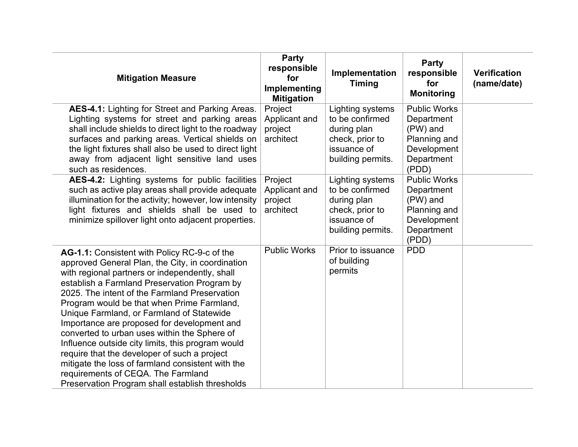| <b>Mitigation Measure</b>                                                                                                                                                                                                                                                                                                                                                                                                                                                                                                                                                                                                                                                                        | Party<br>responsible<br>for<br>Implementing<br><b>Mitigation</b> | Implementation<br><b>Timing</b>                                                                           | <b>Party</b><br>responsible<br>for<br><b>Monitoring</b>                                             | <b>Verification</b><br>(name/date) |
|--------------------------------------------------------------------------------------------------------------------------------------------------------------------------------------------------------------------------------------------------------------------------------------------------------------------------------------------------------------------------------------------------------------------------------------------------------------------------------------------------------------------------------------------------------------------------------------------------------------------------------------------------------------------------------------------------|------------------------------------------------------------------|-----------------------------------------------------------------------------------------------------------|-----------------------------------------------------------------------------------------------------|------------------------------------|
| AES-4.1: Lighting for Street and Parking Areas.<br>Lighting systems for street and parking areas<br>shall include shields to direct light to the roadway<br>surfaces and parking areas. Vertical shields on<br>the light fixtures shall also be used to direct light<br>away from adjacent light sensitive land uses<br>such as residences.                                                                                                                                                                                                                                                                                                                                                      | Project<br>Applicant and<br>project<br>architect                 | Lighting systems<br>to be confirmed<br>during plan<br>check, prior to<br>issuance of<br>building permits. | <b>Public Works</b><br>Department<br>(PW) and<br>Planning and<br>Development<br>Department<br>(PDD) |                                    |
| AES-4.2: Lighting systems for public facilities<br>such as active play areas shall provide adequate<br>illumination for the activity; however, low intensity<br>light fixtures and shields shall be used to<br>minimize spillover light onto adjacent properties.                                                                                                                                                                                                                                                                                                                                                                                                                                | Project<br>Applicant and<br>project<br>architect                 | Lighting systems<br>to be confirmed<br>during plan<br>check, prior to<br>issuance of<br>building permits. | <b>Public Works</b><br>Department<br>(PW) and<br>Planning and<br>Development<br>Department<br>(PDD) |                                    |
| AG-1.1: Consistent with Policy RC-9-c of the<br>approved General Plan, the City, in coordination<br>with regional partners or independently, shall<br>establish a Farmland Preservation Program by<br>2025. The intent of the Farmland Preservation<br>Program would be that when Prime Farmland,<br>Unique Farmland, or Farmland of Statewide<br>Importance are proposed for development and<br>converted to urban uses within the Sphere of<br>Influence outside city limits, this program would<br>require that the developer of such a project<br>mitigate the loss of farmland consistent with the<br>requirements of CEQA. The Farmland<br>Preservation Program shall establish thresholds | <b>Public Works</b>                                              | Prior to issuance<br>of building<br>permits                                                               | <b>PDD</b>                                                                                          |                                    |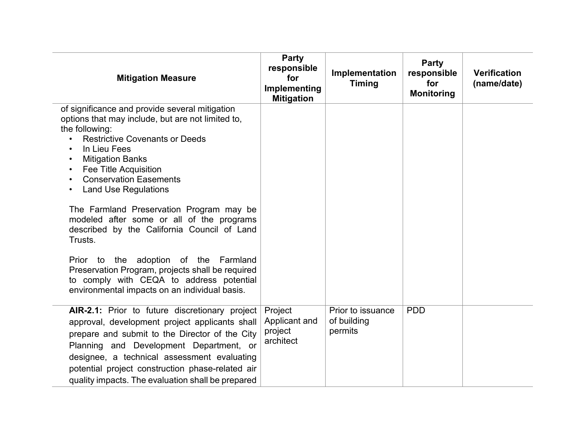| <b>Mitigation Measure</b>                                                                                                                                                                                                                                                                                                                             | <b>Party</b><br>responsible<br>for<br>Implementing<br><b>Mitigation</b> | Implementation<br><b>Timing</b>             | <b>Party</b><br>responsible<br>for<br><b>Monitoring</b> | <b>Verification</b><br>(name/date) |
|-------------------------------------------------------------------------------------------------------------------------------------------------------------------------------------------------------------------------------------------------------------------------------------------------------------------------------------------------------|-------------------------------------------------------------------------|---------------------------------------------|---------------------------------------------------------|------------------------------------|
| of significance and provide several mitigation<br>options that may include, but are not limited to,<br>the following:<br><b>Restrictive Covenants or Deeds</b><br>$\bullet$<br>In Lieu Fees<br><b>Mitigation Banks</b><br>Fee Title Acquisition<br>$\bullet$<br><b>Conservation Easements</b><br><b>Land Use Regulations</b>                          |                                                                         |                                             |                                                         |                                    |
| The Farmland Preservation Program may be<br>modeled after some or all of the programs<br>described by the California Council of Land<br>Trusts.                                                                                                                                                                                                       |                                                                         |                                             |                                                         |                                    |
| Prior to the adoption of the Farmland<br>Preservation Program, projects shall be required<br>to comply with CEQA to address potential<br>environmental impacts on an individual basis.                                                                                                                                                                |                                                                         |                                             |                                                         |                                    |
| AIR-2.1: Prior to future discretionary project<br>approval, development project applicants shall<br>prepare and submit to the Director of the City<br>Planning and Development Department, or<br>designee, a technical assessment evaluating<br>potential project construction phase-related air<br>quality impacts. The evaluation shall be prepared | Project<br>Applicant and<br>project<br>architect                        | Prior to issuance<br>of building<br>permits | <b>PDD</b>                                              |                                    |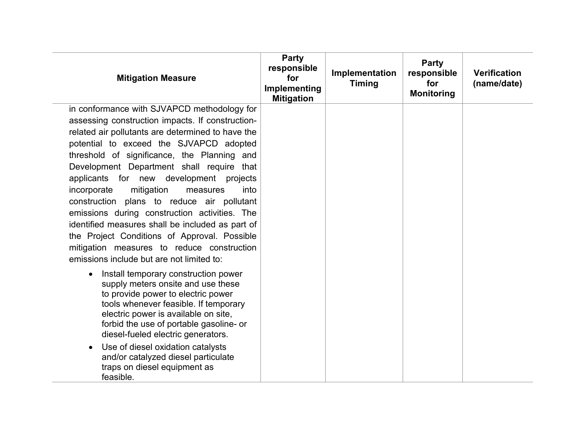| <b>Mitigation Measure</b>                                                                                                                                                                                                                                                                                                                                                                                                                                                                                                                                                                                                                                                             | Party<br>responsible<br>for<br>Implementing<br><b>Mitigation</b> | Implementation<br><b>Timing</b> | Party<br>responsible<br>for<br><b>Monitoring</b> | <b>Verification</b><br>(name/date) |
|---------------------------------------------------------------------------------------------------------------------------------------------------------------------------------------------------------------------------------------------------------------------------------------------------------------------------------------------------------------------------------------------------------------------------------------------------------------------------------------------------------------------------------------------------------------------------------------------------------------------------------------------------------------------------------------|------------------------------------------------------------------|---------------------------------|--------------------------------------------------|------------------------------------|
| in conformance with SJVAPCD methodology for<br>assessing construction impacts. If construction-<br>related air pollutants are determined to have the<br>potential to exceed the SJVAPCD adopted<br>threshold of significance, the Planning and<br>Development Department shall require that<br>applicants for new development projects<br>mitigation<br>incorporate<br>into<br>measures<br>construction plans to reduce air pollutant<br>emissions during construction activities. The<br>identified measures shall be included as part of<br>the Project Conditions of Approval. Possible<br>mitigation measures to reduce construction<br>emissions include but are not limited to: |                                                                  |                                 |                                                  |                                    |
| Install temporary construction power<br>$\bullet$<br>supply meters onsite and use these<br>to provide power to electric power<br>tools whenever feasible. If temporary<br>electric power is available on site,<br>forbid the use of portable gasoline- or<br>diesel-fueled electric generators.<br>Use of diesel oxidation catalysts<br>and/or catalyzed diesel particulate<br>traps on diesel equipment as<br>feasible.                                                                                                                                                                                                                                                              |                                                                  |                                 |                                                  |                                    |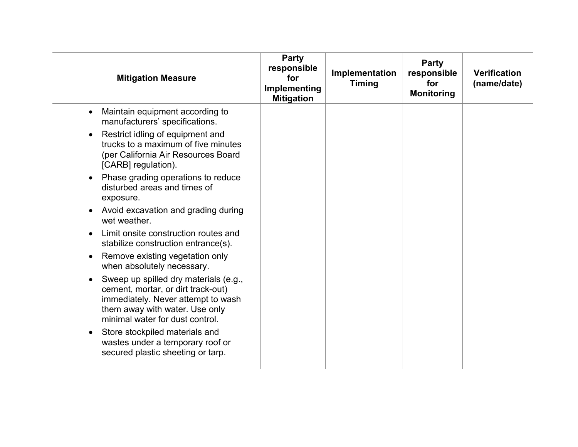| <b>Mitigation Measure</b>                                                                                                                                                              | <b>Party</b><br>responsible<br>for<br>Implementing<br><b>Mitigation</b> | Implementation<br><b>Timing</b> | <b>Party</b><br>responsible<br>for<br><b>Monitoring</b> | <b>Verification</b><br>(name/date) |
|----------------------------------------------------------------------------------------------------------------------------------------------------------------------------------------|-------------------------------------------------------------------------|---------------------------------|---------------------------------------------------------|------------------------------------|
| Maintain equipment according to<br>$\bullet$<br>manufacturers' specifications.                                                                                                         |                                                                         |                                 |                                                         |                                    |
| Restrict idling of equipment and<br>trucks to a maximum of five minutes<br>(per California Air Resources Board<br>[CARB] regulation).                                                  |                                                                         |                                 |                                                         |                                    |
| Phase grading operations to reduce<br>disturbed areas and times of<br>exposure.                                                                                                        |                                                                         |                                 |                                                         |                                    |
| Avoid excavation and grading during<br>wet weather.                                                                                                                                    |                                                                         |                                 |                                                         |                                    |
| Limit onsite construction routes and<br>stabilize construction entrance(s).                                                                                                            |                                                                         |                                 |                                                         |                                    |
| Remove existing vegetation only<br>$\bullet$<br>when absolutely necessary.                                                                                                             |                                                                         |                                 |                                                         |                                    |
| Sweep up spilled dry materials (e.g.,<br>cement, mortar, or dirt track-out)<br>immediately. Never attempt to wash<br>them away with water. Use only<br>minimal water for dust control. |                                                                         |                                 |                                                         |                                    |
| Store stockpiled materials and<br>$\bullet$<br>wastes under a temporary roof or<br>secured plastic sheeting or tarp.                                                                   |                                                                         |                                 |                                                         |                                    |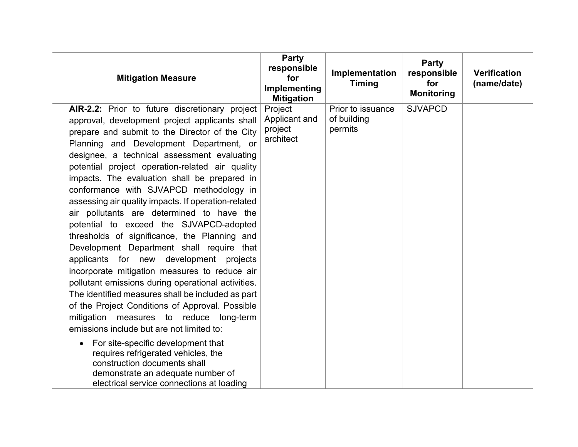| <b>Mitigation Measure</b>                                                                                                                                                                                                                                                                                                                                                                                                                                                                                                                                                                                                                                                                                                                                                                                                                                                                                                                                                                                                                                                                                                                                                               | Party<br>responsible<br>for<br>Implementing<br><b>Mitigation</b> | Implementation<br><b>Timing</b>             | Party<br>responsible<br>for<br><b>Monitoring</b> | <b>Verification</b><br>(name/date) |
|-----------------------------------------------------------------------------------------------------------------------------------------------------------------------------------------------------------------------------------------------------------------------------------------------------------------------------------------------------------------------------------------------------------------------------------------------------------------------------------------------------------------------------------------------------------------------------------------------------------------------------------------------------------------------------------------------------------------------------------------------------------------------------------------------------------------------------------------------------------------------------------------------------------------------------------------------------------------------------------------------------------------------------------------------------------------------------------------------------------------------------------------------------------------------------------------|------------------------------------------------------------------|---------------------------------------------|--------------------------------------------------|------------------------------------|
| AIR-2.2: Prior to future discretionary project<br>approval, development project applicants shall<br>prepare and submit to the Director of the City<br>Planning and Development Department, or<br>designee, a technical assessment evaluating<br>potential project operation-related air quality<br>impacts. The evaluation shall be prepared in<br>conformance with SJVAPCD methodology in<br>assessing air quality impacts. If operation-related<br>air pollutants are determined to have the<br>potential to exceed the SJVAPCD-adopted<br>thresholds of significance, the Planning and<br>Development Department shall require that<br>applicants for new development projects<br>incorporate mitigation measures to reduce air<br>pollutant emissions during operational activities.<br>The identified measures shall be included as part<br>of the Project Conditions of Approval. Possible<br>mitigation measures to reduce long-term<br>emissions include but are not limited to:<br>For site-specific development that<br>requires refrigerated vehicles, the<br>construction documents shall<br>demonstrate an adequate number of<br>electrical service connections at loading | Project<br>Applicant and<br>project<br>architect                 | Prior to issuance<br>of building<br>permits | <b>SJVAPCD</b>                                   |                                    |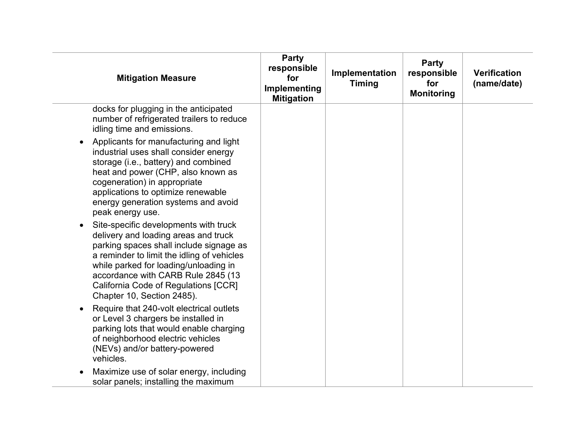| <b>Mitigation Measure</b>                                                                                                                                                                                                                                                                                                                | Party<br>responsible<br>for<br>Implementing<br><b>Mitigation</b> | Implementation<br><b>Timing</b> | <b>Party</b><br>responsible<br>for<br><b>Monitoring</b> | <b>Verification</b><br>(name/date) |
|------------------------------------------------------------------------------------------------------------------------------------------------------------------------------------------------------------------------------------------------------------------------------------------------------------------------------------------|------------------------------------------------------------------|---------------------------------|---------------------------------------------------------|------------------------------------|
| docks for plugging in the anticipated<br>number of refrigerated trailers to reduce<br>idling time and emissions.                                                                                                                                                                                                                         |                                                                  |                                 |                                                         |                                    |
| Applicants for manufacturing and light<br>$\bullet$<br>industrial uses shall consider energy<br>storage (i.e., battery) and combined<br>heat and power (CHP, also known as<br>cogeneration) in appropriate<br>applications to optimize renewable<br>energy generation systems and avoid<br>peak energy use.                              |                                                                  |                                 |                                                         |                                    |
| Site-specific developments with truck<br>$\bullet$<br>delivery and loading areas and truck<br>parking spaces shall include signage as<br>a reminder to limit the idling of vehicles<br>while parked for loading/unloading in<br>accordance with CARB Rule 2845 (13<br>California Code of Regulations [CCR]<br>Chapter 10, Section 2485). |                                                                  |                                 |                                                         |                                    |
| Require that 240-volt electrical outlets<br>$\bullet$<br>or Level 3 chargers be installed in<br>parking lots that would enable charging<br>of neighborhood electric vehicles<br>(NEVs) and/or battery-powered<br>vehicles.                                                                                                               |                                                                  |                                 |                                                         |                                    |
| Maximize use of solar energy, including<br>solar panels; installing the maximum                                                                                                                                                                                                                                                          |                                                                  |                                 |                                                         |                                    |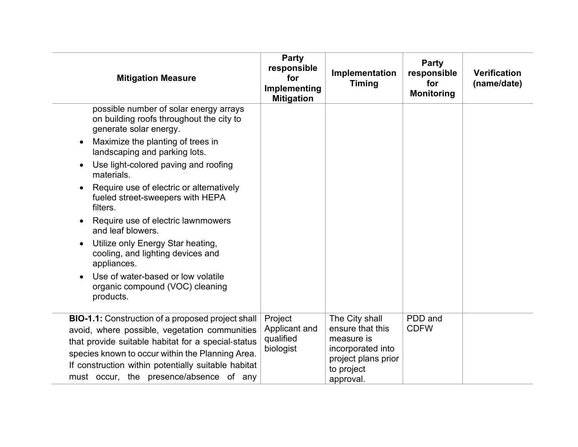| <b>Mitigation Measure</b>                                                                                                                                                                                                                                                                                             | Party<br>responsible<br>for<br>Implementing<br><b>Mitigation</b> | Implementation<br><b>Timing</b>                                                                                         | <b>Party</b><br>responsible<br>for<br><b>Monitoring</b> | <b>Verification</b><br>(name/date) |
|-----------------------------------------------------------------------------------------------------------------------------------------------------------------------------------------------------------------------------------------------------------------------------------------------------------------------|------------------------------------------------------------------|-------------------------------------------------------------------------------------------------------------------------|---------------------------------------------------------|------------------------------------|
| possible number of solar energy arrays<br>on building roofs throughout the city to<br>generate solar energy.                                                                                                                                                                                                          |                                                                  |                                                                                                                         |                                                         |                                    |
| Maximize the planting of trees in<br>$\bullet$<br>landscaping and parking lots.                                                                                                                                                                                                                                       |                                                                  |                                                                                                                         |                                                         |                                    |
| Use light-colored paving and roofing<br>$\bullet$<br>materials.                                                                                                                                                                                                                                                       |                                                                  |                                                                                                                         |                                                         |                                    |
| Require use of electric or alternatively<br>$\bullet$<br>fueled street-sweepers with HEPA<br>filters.                                                                                                                                                                                                                 |                                                                  |                                                                                                                         |                                                         |                                    |
| Require use of electric lawnmowers<br>$\bullet$<br>and leaf blowers.                                                                                                                                                                                                                                                  |                                                                  |                                                                                                                         |                                                         |                                    |
| Utilize only Energy Star heating,<br>$\bullet$<br>cooling, and lighting devices and<br>appliances.                                                                                                                                                                                                                    |                                                                  |                                                                                                                         |                                                         |                                    |
| Use of water-based or low volatile<br>organic compound (VOC) cleaning<br>products.                                                                                                                                                                                                                                    |                                                                  |                                                                                                                         |                                                         |                                    |
| <b>BIO-1.1:</b> Construction of a proposed project shall<br>avoid, where possible, vegetation communities<br>that provide suitable habitat for a special-status<br>species known to occur within the Planning Area.<br>If construction within potentially suitable habitat<br>must occur, the presence/absence of any | Project<br>Applicant and<br>qualified<br>biologist               | The City shall<br>ensure that this<br>measure is<br>incorporated into<br>project plans prior<br>to project<br>approval. | PDD and<br><b>CDFW</b>                                  |                                    |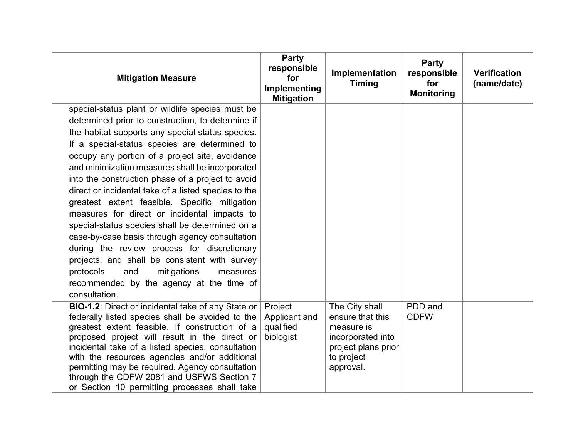| <b>Mitigation Measure</b>                                                                                                                                    | Party<br>responsible<br>for<br>Implementing<br><b>Mitigation</b> | Implementation<br><b>Timing</b>                        | Party<br>responsible<br>for<br><b>Monitoring</b> | <b>Verification</b><br>(name/date) |
|--------------------------------------------------------------------------------------------------------------------------------------------------------------|------------------------------------------------------------------|--------------------------------------------------------|--------------------------------------------------|------------------------------------|
| special-status plant or wildlife species must be<br>determined prior to construction, to determine if<br>the habitat supports any special-status species.    |                                                                  |                                                        |                                                  |                                    |
| If a special-status species are determined to<br>occupy any portion of a project site, avoidance                                                             |                                                                  |                                                        |                                                  |                                    |
| and minimization measures shall be incorporated<br>into the construction phase of a project to avoid<br>direct or incidental take of a listed species to the |                                                                  |                                                        |                                                  |                                    |
| greatest extent feasible. Specific mitigation<br>measures for direct or incidental impacts to                                                                |                                                                  |                                                        |                                                  |                                    |
| special-status species shall be determined on a<br>case-by-case basis through agency consultation<br>during the review process for discretionary             |                                                                  |                                                        |                                                  |                                    |
| projects, and shall be consistent with survey<br>protocols<br>mitigations<br>and<br>measures                                                                 |                                                                  |                                                        |                                                  |                                    |
| recommended by the agency at the time of<br>consultation.                                                                                                    |                                                                  |                                                        |                                                  |                                    |
| BIO-1.2: Direct or incidental take of any State or<br>federally listed species shall be avoided to the<br>greatest extent feasible. If construction of a     | Project<br>Applicant and<br>qualified                            | The City shall<br>ensure that this<br>measure is       | PDD and<br><b>CDFW</b>                           |                                    |
| proposed project will result in the direct or<br>incidental take of a listed species, consultation<br>with the resources agencies and/or additional          | biologist                                                        | incorporated into<br>project plans prior<br>to project |                                                  |                                    |
| permitting may be required. Agency consultation<br>through the CDFW 2081 and USFWS Section 7<br>or Section 10 permitting processes shall take                |                                                                  | approval.                                              |                                                  |                                    |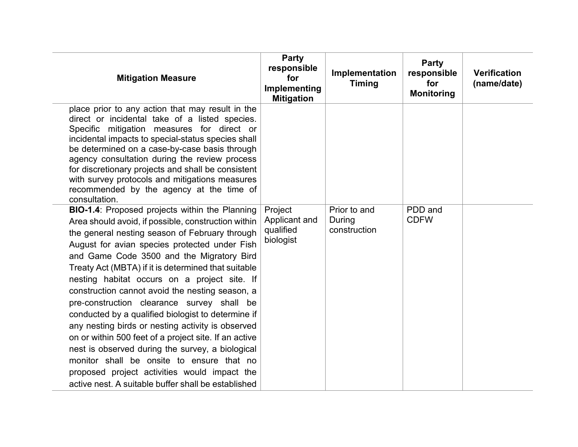| <b>Mitigation Measure</b>                                                                                                                                                                                                                                                                                                                                                                                                                                                                                                                                                                                                                                                                                                                                                                                                                        | Party<br>responsible<br>for<br>Implementing<br><b>Mitigation</b> | Implementation<br><b>Timing</b>        | Party<br>responsible<br>for<br><b>Monitoring</b> | <b>Verification</b><br>(name/date) |
|--------------------------------------------------------------------------------------------------------------------------------------------------------------------------------------------------------------------------------------------------------------------------------------------------------------------------------------------------------------------------------------------------------------------------------------------------------------------------------------------------------------------------------------------------------------------------------------------------------------------------------------------------------------------------------------------------------------------------------------------------------------------------------------------------------------------------------------------------|------------------------------------------------------------------|----------------------------------------|--------------------------------------------------|------------------------------------|
| place prior to any action that may result in the<br>direct or incidental take of a listed species.<br>Specific mitigation measures for direct or<br>incidental impacts to special-status species shall<br>be determined on a case-by-case basis through<br>agency consultation during the review process<br>for discretionary projects and shall be consistent<br>with survey protocols and mitigations measures<br>recommended by the agency at the time of<br>consultation.                                                                                                                                                                                                                                                                                                                                                                    |                                                                  |                                        |                                                  |                                    |
| <b>BIO-1.4:</b> Proposed projects within the Planning<br>Area should avoid, if possible, construction within<br>the general nesting season of February through<br>August for avian species protected under Fish<br>and Game Code 3500 and the Migratory Bird<br>Treaty Act (MBTA) if it is determined that suitable<br>nesting habitat occurs on a project site. If<br>construction cannot avoid the nesting season, a<br>pre-construction clearance survey shall be<br>conducted by a qualified biologist to determine if<br>any nesting birds or nesting activity is observed<br>on or within 500 feet of a project site. If an active<br>nest is observed during the survey, a biological<br>monitor shall be onsite to ensure that no<br>proposed project activities would impact the<br>active nest. A suitable buffer shall be established | Project<br>Applicant and<br>qualified<br>biologist               | Prior to and<br>During<br>construction | PDD and<br><b>CDFW</b>                           |                                    |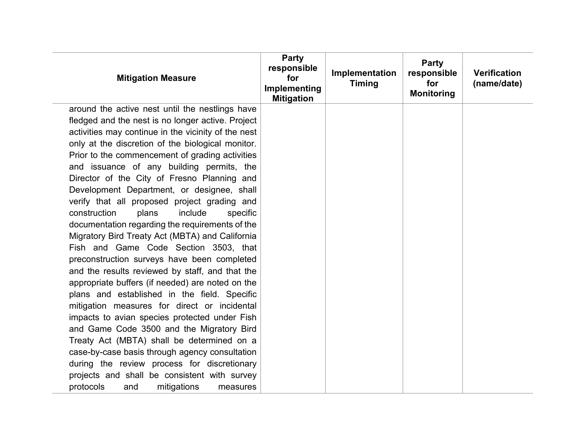| <b>Mitigation Measure</b>                           | Party<br>responsible<br>for<br>Implementing<br><b>Mitigation</b> | Implementation<br><b>Timing</b> | Party<br>responsible<br>for<br><b>Monitoring</b> | <b>Verification</b><br>(name/date) |
|-----------------------------------------------------|------------------------------------------------------------------|---------------------------------|--------------------------------------------------|------------------------------------|
| around the active nest until the nestlings have     |                                                                  |                                 |                                                  |                                    |
| fledged and the nest is no longer active. Project   |                                                                  |                                 |                                                  |                                    |
| activities may continue in the vicinity of the nest |                                                                  |                                 |                                                  |                                    |
| only at the discretion of the biological monitor.   |                                                                  |                                 |                                                  |                                    |
| Prior to the commencement of grading activities     |                                                                  |                                 |                                                  |                                    |
| and issuance of any building permits, the           |                                                                  |                                 |                                                  |                                    |
| Director of the City of Fresno Planning and         |                                                                  |                                 |                                                  |                                    |
| Development Department, or designee, shall          |                                                                  |                                 |                                                  |                                    |
| verify that all proposed project grading and        |                                                                  |                                 |                                                  |                                    |
| construction<br>plans<br>include<br>specific        |                                                                  |                                 |                                                  |                                    |
| documentation regarding the requirements of the     |                                                                  |                                 |                                                  |                                    |
| Migratory Bird Treaty Act (MBTA) and California     |                                                                  |                                 |                                                  |                                    |
| Fish and Game Code Section 3503, that               |                                                                  |                                 |                                                  |                                    |
| preconstruction surveys have been completed         |                                                                  |                                 |                                                  |                                    |
| and the results reviewed by staff, and that the     |                                                                  |                                 |                                                  |                                    |
| appropriate buffers (if needed) are noted on the    |                                                                  |                                 |                                                  |                                    |
| plans and established in the field. Specific        |                                                                  |                                 |                                                  |                                    |
| mitigation measures for direct or incidental        |                                                                  |                                 |                                                  |                                    |
| impacts to avian species protected under Fish       |                                                                  |                                 |                                                  |                                    |
| and Game Code 3500 and the Migratory Bird           |                                                                  |                                 |                                                  |                                    |
| Treaty Act (MBTA) shall be determined on a          |                                                                  |                                 |                                                  |                                    |
| case-by-case basis through agency consultation      |                                                                  |                                 |                                                  |                                    |
| during the review process for discretionary         |                                                                  |                                 |                                                  |                                    |
| projects and shall be consistent with survey        |                                                                  |                                 |                                                  |                                    |
| protocols<br>mitigations<br>and<br>measures         |                                                                  |                                 |                                                  |                                    |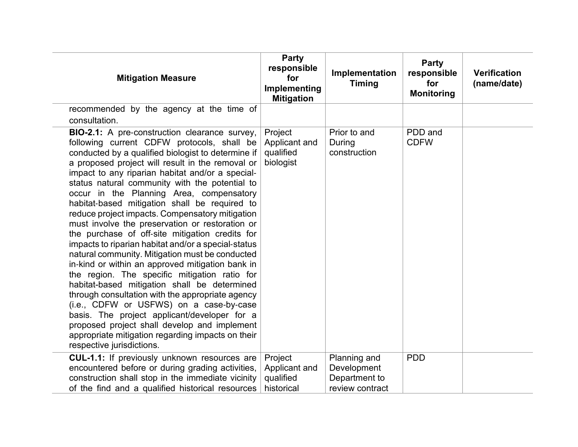| <b>Mitigation Measure</b>                                                                                                                                                                                                                                                                                                                                                                                                                                                                                                                                                                                                                                                                                                                                                                                                                                                                                                                                                                                                                                                                                                | Party<br>responsible<br>for<br>Implementing<br><b>Mitigation</b> | Implementation<br><b>Timing</b>                                 | Party<br>responsible<br>for<br><b>Monitoring</b> | <b>Verification</b><br>(name/date) |
|--------------------------------------------------------------------------------------------------------------------------------------------------------------------------------------------------------------------------------------------------------------------------------------------------------------------------------------------------------------------------------------------------------------------------------------------------------------------------------------------------------------------------------------------------------------------------------------------------------------------------------------------------------------------------------------------------------------------------------------------------------------------------------------------------------------------------------------------------------------------------------------------------------------------------------------------------------------------------------------------------------------------------------------------------------------------------------------------------------------------------|------------------------------------------------------------------|-----------------------------------------------------------------|--------------------------------------------------|------------------------------------|
| recommended by the agency at the time of<br>consultation.                                                                                                                                                                                                                                                                                                                                                                                                                                                                                                                                                                                                                                                                                                                                                                                                                                                                                                                                                                                                                                                                |                                                                  |                                                                 |                                                  |                                    |
| <b>BIO-2.1:</b> A pre-construction clearance survey,<br>following current CDFW protocols, shall be<br>conducted by a qualified biologist to determine if<br>a proposed project will result in the removal or<br>impact to any riparian habitat and/or a special-<br>status natural community with the potential to<br>occur in the Planning Area, compensatory<br>habitat-based mitigation shall be required to<br>reduce project impacts. Compensatory mitigation<br>must involve the preservation or restoration or<br>the purchase of off-site mitigation credits for<br>impacts to riparian habitat and/or a special-status<br>natural community. Mitigation must be conducted<br>in-kind or within an approved mitigation bank in<br>the region. The specific mitigation ratio for<br>habitat-based mitigation shall be determined<br>through consultation with the appropriate agency<br>(i.e., CDFW or USFWS) on a case-by-case<br>basis. The project applicant/developer for a<br>proposed project shall develop and implement<br>appropriate mitigation regarding impacts on their<br>respective jurisdictions. | Project<br>Applicant and<br>qualified<br>biologist               | Prior to and<br>During<br>construction                          | PDD and<br><b>CDFW</b>                           |                                    |
| <b>CUL-1.1:</b> If previously unknown resources are<br>encountered before or during grading activities,<br>construction shall stop in the immediate vicinity<br>of the find and a qualified historical resources                                                                                                                                                                                                                                                                                                                                                                                                                                                                                                                                                                                                                                                                                                                                                                                                                                                                                                         | Project<br>Applicant and<br>qualified<br>historical              | Planning and<br>Development<br>Department to<br>review contract | <b>PDD</b>                                       |                                    |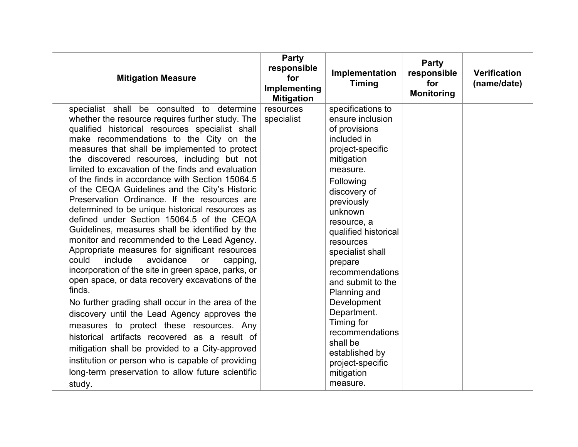| <b>Mitigation Measure</b>                                                                                                                                                                                                                                                                                                                                                                                                                                                                                                                                                                                                                                                                                                                                                                                                                                                                                                                                                                                                                                                                                                                                                                                                                                                                                  | <b>Party</b><br>responsible<br>for<br>Implementing<br><b>Mitigation</b> | Implementation<br><b>Timing</b>                                                                                                                                                                                                                                                                                                                                                                                                                                 | Party<br>responsible<br>for<br><b>Monitoring</b> | <b>Verification</b><br>(name/date) |
|------------------------------------------------------------------------------------------------------------------------------------------------------------------------------------------------------------------------------------------------------------------------------------------------------------------------------------------------------------------------------------------------------------------------------------------------------------------------------------------------------------------------------------------------------------------------------------------------------------------------------------------------------------------------------------------------------------------------------------------------------------------------------------------------------------------------------------------------------------------------------------------------------------------------------------------------------------------------------------------------------------------------------------------------------------------------------------------------------------------------------------------------------------------------------------------------------------------------------------------------------------------------------------------------------------|-------------------------------------------------------------------------|-----------------------------------------------------------------------------------------------------------------------------------------------------------------------------------------------------------------------------------------------------------------------------------------------------------------------------------------------------------------------------------------------------------------------------------------------------------------|--------------------------------------------------|------------------------------------|
| specialist shall be consulted to determine<br>whether the resource requires further study. The<br>qualified historical resources specialist shall<br>make recommendations to the City on the<br>measures that shall be implemented to protect<br>the discovered resources, including but not<br>limited to excavation of the finds and evaluation<br>of the finds in accordance with Section 15064.5<br>of the CEQA Guidelines and the City's Historic<br>Preservation Ordinance. If the resources are<br>determined to be unique historical resources as<br>defined under Section 15064.5 of the CEQA<br>Guidelines, measures shall be identified by the<br>monitor and recommended to the Lead Agency.<br>Appropriate measures for significant resources<br>include<br>avoidance<br>could<br>capping,<br>or<br>incorporation of the site in green space, parks, or<br>open space, or data recovery excavations of the<br>finds.<br>No further grading shall occur in the area of the<br>discovery until the Lead Agency approves the<br>measures to protect these resources. Any<br>historical artifacts recovered as a result of<br>mitigation shall be provided to a City-approved<br>institution or person who is capable of providing<br>long-term preservation to allow future scientific<br>study. | resources<br>specialist                                                 | specifications to<br>ensure inclusion<br>of provisions<br>included in<br>project-specific<br>mitigation<br>measure.<br>Following<br>discovery of<br>previously<br>unknown<br>resource, a<br>qualified historical<br>resources<br>specialist shall<br>prepare<br>recommendations<br>and submit to the<br>Planning and<br>Development<br>Department.<br>Timing for<br>recommendations<br>shall be<br>established by<br>project-specific<br>mitigation<br>measure. |                                                  |                                    |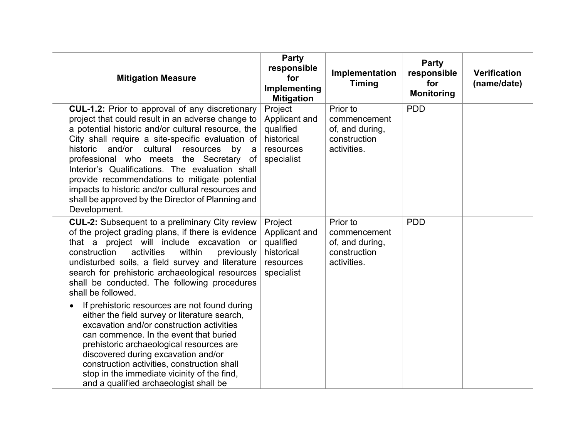| <b>Mitigation Measure</b>                                                                                                                                                                                                                                                                                                                                                                                                                                                                                                                       | Party<br>responsible<br>for<br>Implementing<br><b>Mitigation</b>               | Implementation<br><b>Timing</b>                                            | Party<br>responsible<br>for<br><b>Monitoring</b> | <b>Verification</b><br>(name/date) |
|-------------------------------------------------------------------------------------------------------------------------------------------------------------------------------------------------------------------------------------------------------------------------------------------------------------------------------------------------------------------------------------------------------------------------------------------------------------------------------------------------------------------------------------------------|--------------------------------------------------------------------------------|----------------------------------------------------------------------------|--------------------------------------------------|------------------------------------|
| <b>CUL-1.2:</b> Prior to approval of any discretionary<br>project that could result in an adverse change to<br>a potential historic and/or cultural resource, the<br>City shall require a site-specific evaluation of<br>historic and/or cultural resources by<br>a<br>professional who meets the Secretary<br>of<br>Interior's Qualifications. The evaluation shall<br>provide recommendations to mitigate potential<br>impacts to historic and/or cultural resources and<br>shall be approved by the Director of Planning and<br>Development. | Project<br>Applicant and<br>qualified<br>historical<br>resources<br>specialist | Prior to<br>commencement<br>of, and during,<br>construction<br>activities. | <b>PDD</b>                                       |                                    |
| <b>CUL-2:</b> Subsequent to a preliminary City review<br>of the project grading plans, if there is evidence<br>that a project will include excavation or<br>construction<br>activities<br>within<br>previously<br>undisturbed soils, a field survey and literature<br>search for prehistoric archaeological resources<br>shall be conducted. The following procedures<br>shall be followed.                                                                                                                                                     | Project<br>Applicant and<br>qualified<br>historical<br>resources<br>specialist | Prior to<br>commencement<br>of, and during,<br>construction<br>activities. | <b>PDD</b>                                       |                                    |
| If prehistoric resources are not found during<br>$\bullet$<br>either the field survey or literature search,<br>excavation and/or construction activities<br>can commence. In the event that buried<br>prehistoric archaeological resources are<br>discovered during excavation and/or<br>construction activities, construction shall<br>stop in the immediate vicinity of the find,<br>and a qualified archaeologist shall be                                                                                                                   |                                                                                |                                                                            |                                                  |                                    |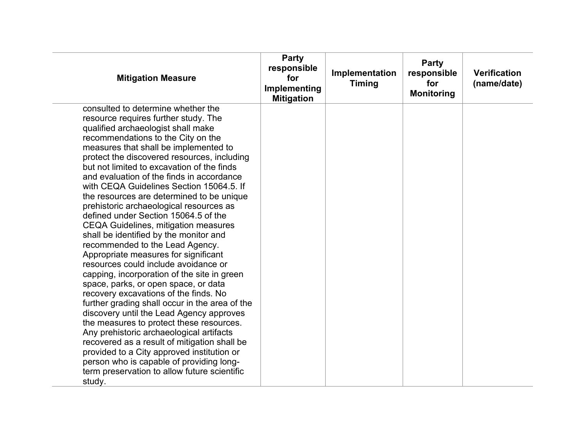| <b>Mitigation Measure</b>                                                                                                                                                                                                                                                                                                                                                                                                                                                                                                                                                                                                                                                                                                                                                                                                                                                                                                                                                                                                                                                                                                                                                                                                                                   | Party<br>responsible<br>for<br>Implementing<br><b>Mitigation</b> | Implementation<br><b>Timing</b> | <b>Party</b><br>responsible<br>for<br><b>Monitoring</b> | <b>Verification</b><br>(name/date) |
|-------------------------------------------------------------------------------------------------------------------------------------------------------------------------------------------------------------------------------------------------------------------------------------------------------------------------------------------------------------------------------------------------------------------------------------------------------------------------------------------------------------------------------------------------------------------------------------------------------------------------------------------------------------------------------------------------------------------------------------------------------------------------------------------------------------------------------------------------------------------------------------------------------------------------------------------------------------------------------------------------------------------------------------------------------------------------------------------------------------------------------------------------------------------------------------------------------------------------------------------------------------|------------------------------------------------------------------|---------------------------------|---------------------------------------------------------|------------------------------------|
| consulted to determine whether the<br>resource requires further study. The<br>qualified archaeologist shall make<br>recommendations to the City on the<br>measures that shall be implemented to<br>protect the discovered resources, including<br>but not limited to excavation of the finds<br>and evaluation of the finds in accordance<br>with CEQA Guidelines Section 15064.5. If<br>the resources are determined to be unique<br>prehistoric archaeological resources as<br>defined under Section 15064.5 of the<br><b>CEQA Guidelines, mitigation measures</b><br>shall be identified by the monitor and<br>recommended to the Lead Agency.<br>Appropriate measures for significant<br>resources could include avoidance or<br>capping, incorporation of the site in green<br>space, parks, or open space, or data<br>recovery excavations of the finds. No<br>further grading shall occur in the area of the<br>discovery until the Lead Agency approves<br>the measures to protect these resources.<br>Any prehistoric archaeological artifacts<br>recovered as a result of mitigation shall be<br>provided to a City approved institution or<br>person who is capable of providing long-<br>term preservation to allow future scientific<br>study. |                                                                  |                                 |                                                         |                                    |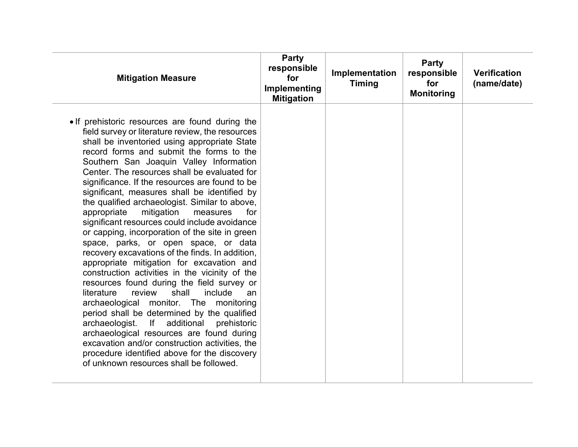| <b>Mitigation Measure</b>                                                                                                                                                                                                                                                                                                                                                                                                                                                                                                                                                                                                                                                                                                                                                                                                                                                                                                                                                                                                                                                                                                                                                                                                                      | <b>Party</b><br>responsible<br>for<br>Implementing<br><b>Mitigation</b> | Implementation<br><b>Timing</b> | Party<br>responsible<br>for<br><b>Monitoring</b> | <b>Verification</b><br>(name/date) |
|------------------------------------------------------------------------------------------------------------------------------------------------------------------------------------------------------------------------------------------------------------------------------------------------------------------------------------------------------------------------------------------------------------------------------------------------------------------------------------------------------------------------------------------------------------------------------------------------------------------------------------------------------------------------------------------------------------------------------------------------------------------------------------------------------------------------------------------------------------------------------------------------------------------------------------------------------------------------------------------------------------------------------------------------------------------------------------------------------------------------------------------------------------------------------------------------------------------------------------------------|-------------------------------------------------------------------------|---------------------------------|--------------------------------------------------|------------------------------------|
| • If prehistoric resources are found during the<br>field survey or literature review, the resources<br>shall be inventoried using appropriate State<br>record forms and submit the forms to the<br>Southern San Joaquin Valley Information<br>Center. The resources shall be evaluated for<br>significance. If the resources are found to be<br>significant, measures shall be identified by<br>the qualified archaeologist. Similar to above,<br>appropriate<br>mitigation<br>for<br>measures<br>significant resources could include avoidance<br>or capping, incorporation of the site in green<br>space, parks, or open space, or data<br>recovery excavations of the finds. In addition,<br>appropriate mitigation for excavation and<br>construction activities in the vicinity of the<br>resources found during the field survey or<br>shall<br>literature<br>review<br>include<br>an<br>archaeological monitor. The monitoring<br>period shall be determined by the qualified<br>archaeologist.<br>additional<br>$\mathsf{If}$<br>prehistoric<br>archaeological resources are found during<br>excavation and/or construction activities, the<br>procedure identified above for the discovery<br>of unknown resources shall be followed. |                                                                         |                                 |                                                  |                                    |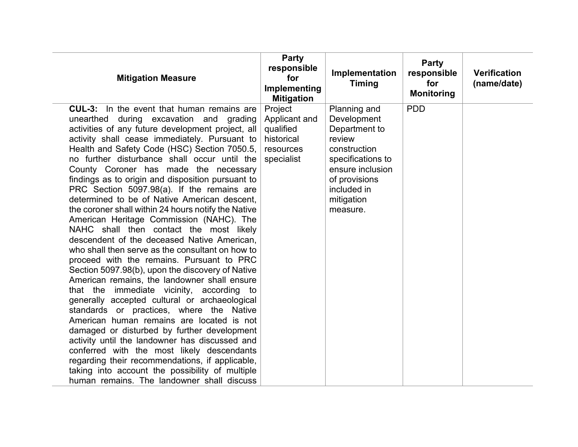| <b>Mitigation Measure</b>                                                                                                                                                                                                                                                                                                                                                                                                                                                                                                                                                                                                                                                                                                                                                                                                                                                                                                                                                                                                                                                                                                                                                                                                                                                                                                                                                                     | Party<br>responsible<br>for<br>Implementing<br><b>Mitigation</b>               | Implementation<br><b>Timing</b>                                                                                                                                           | <b>Party</b><br>responsible<br>for<br><b>Monitoring</b> | <b>Verification</b><br>(name/date) |
|-----------------------------------------------------------------------------------------------------------------------------------------------------------------------------------------------------------------------------------------------------------------------------------------------------------------------------------------------------------------------------------------------------------------------------------------------------------------------------------------------------------------------------------------------------------------------------------------------------------------------------------------------------------------------------------------------------------------------------------------------------------------------------------------------------------------------------------------------------------------------------------------------------------------------------------------------------------------------------------------------------------------------------------------------------------------------------------------------------------------------------------------------------------------------------------------------------------------------------------------------------------------------------------------------------------------------------------------------------------------------------------------------|--------------------------------------------------------------------------------|---------------------------------------------------------------------------------------------------------------------------------------------------------------------------|---------------------------------------------------------|------------------------------------|
| <b>CUL-3:</b> In the event that human remains are<br>unearthed<br>during excavation and grading<br>activities of any future development project, all<br>activity shall cease immediately. Pursuant to<br>Health and Safety Code (HSC) Section 7050.5,<br>no further disturbance shall occur until the<br>County Coroner has made the necessary<br>findings as to origin and disposition pursuant to<br>PRC Section 5097.98(a). If the remains are<br>determined to be of Native American descent,<br>the coroner shall within 24 hours notify the Native<br>American Heritage Commission (NAHC). The<br>NAHC shall then contact the most likely<br>descendent of the deceased Native American,<br>who shall then serve as the consultant on how to<br>proceed with the remains. Pursuant to PRC<br>Section 5097.98(b), upon the discovery of Native<br>American remains, the landowner shall ensure<br>that the immediate vicinity, according to<br>generally accepted cultural or archaeological<br>standards or practices, where the Native<br>American human remains are located is not<br>damaged or disturbed by further development<br>activity until the landowner has discussed and<br>conferred with the most likely descendants<br>regarding their recommendations, if applicable,<br>taking into account the possibility of multiple<br>human remains. The landowner shall discuss | Project<br>Applicant and<br>qualified<br>historical<br>resources<br>specialist | Planning and<br>Development<br>Department to<br>review<br>construction<br>specifications to<br>ensure inclusion<br>of provisions<br>included in<br>mitigation<br>measure. | <b>PDD</b>                                              |                                    |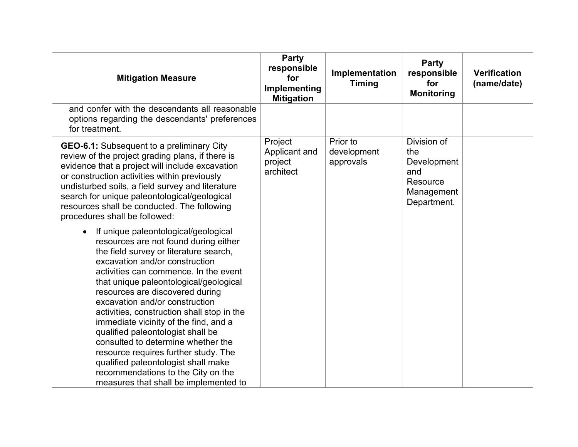| <b>Mitigation Measure</b>                                                                                                                                                                                                                                                                                                                                                                                                                                                                                                                                                                                                                         | Party<br>responsible<br>for<br>Implementing<br><b>Mitigation</b> | Implementation<br><b>Timing</b>      | <b>Party</b><br>responsible<br>for<br><b>Monitoring</b>                           | <b>Verification</b><br>(name/date) |
|---------------------------------------------------------------------------------------------------------------------------------------------------------------------------------------------------------------------------------------------------------------------------------------------------------------------------------------------------------------------------------------------------------------------------------------------------------------------------------------------------------------------------------------------------------------------------------------------------------------------------------------------------|------------------------------------------------------------------|--------------------------------------|-----------------------------------------------------------------------------------|------------------------------------|
| and confer with the descendants all reasonable<br>options regarding the descendants' preferences<br>for treatment.                                                                                                                                                                                                                                                                                                                                                                                                                                                                                                                                |                                                                  |                                      |                                                                                   |                                    |
| <b>GEO-6.1:</b> Subsequent to a preliminary City<br>review of the project grading plans, if there is<br>evidence that a project will include excavation<br>or construction activities within previously<br>undisturbed soils, a field survey and literature<br>search for unique paleontological/geological<br>resources shall be conducted. The following<br>procedures shall be followed:                                                                                                                                                                                                                                                       | Project<br>Applicant and<br>project<br>architect                 | Prior to<br>development<br>approvals | Division of<br>the<br>Development<br>and<br>Resource<br>Management<br>Department. |                                    |
| If unique paleontological/geological<br>resources are not found during either<br>the field survey or literature search,<br>excavation and/or construction<br>activities can commence. In the event<br>that unique paleontological/geological<br>resources are discovered during<br>excavation and/or construction<br>activities, construction shall stop in the<br>immediate vicinity of the find, and a<br>qualified paleontologist shall be<br>consulted to determine whether the<br>resource requires further study. The<br>qualified paleontologist shall make<br>recommendations to the City on the<br>measures that shall be implemented to |                                                                  |                                      |                                                                                   |                                    |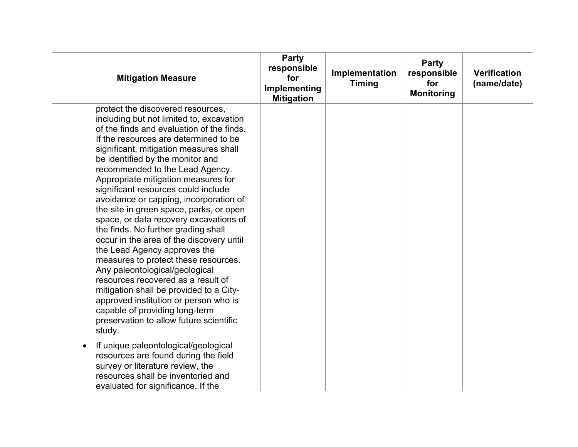| <b>Mitigation Measure</b>                                                                                                                                                                                                                                                                                                                                                                                                                                                                                                                                                                                                                                                                                                                                                                                                                                                                                       | Party<br>responsible<br>for<br>Implementing<br><b>Mitigation</b> | Implementation<br><b>Timing</b> | <b>Party</b><br>responsible<br>for<br><b>Monitoring</b> | <b>Verification</b><br>(name/date) |
|-----------------------------------------------------------------------------------------------------------------------------------------------------------------------------------------------------------------------------------------------------------------------------------------------------------------------------------------------------------------------------------------------------------------------------------------------------------------------------------------------------------------------------------------------------------------------------------------------------------------------------------------------------------------------------------------------------------------------------------------------------------------------------------------------------------------------------------------------------------------------------------------------------------------|------------------------------------------------------------------|---------------------------------|---------------------------------------------------------|------------------------------------|
| protect the discovered resources,<br>including but not limited to, excavation<br>of the finds and evaluation of the finds.<br>If the resources are determined to be<br>significant, mitigation measures shall<br>be identified by the monitor and<br>recommended to the Lead Agency.<br>Appropriate mitigation measures for<br>significant resources could include<br>avoidance or capping, incorporation of<br>the site in green space, parks, or open<br>space, or data recovery excavations of<br>the finds. No further grading shall<br>occur in the area of the discovery until<br>the Lead Agency approves the<br>measures to protect these resources.<br>Any paleontological/geological<br>resources recovered as a result of<br>mitigation shall be provided to a City-<br>approved institution or person who is<br>capable of providing long-term<br>preservation to allow future scientific<br>study. |                                                                  |                                 |                                                         |                                    |
| If unique paleontological/geological<br>resources are found during the field<br>survey or literature review, the<br>resources shall be inventoried and<br>evaluated for significance. If the                                                                                                                                                                                                                                                                                                                                                                                                                                                                                                                                                                                                                                                                                                                    |                                                                  |                                 |                                                         |                                    |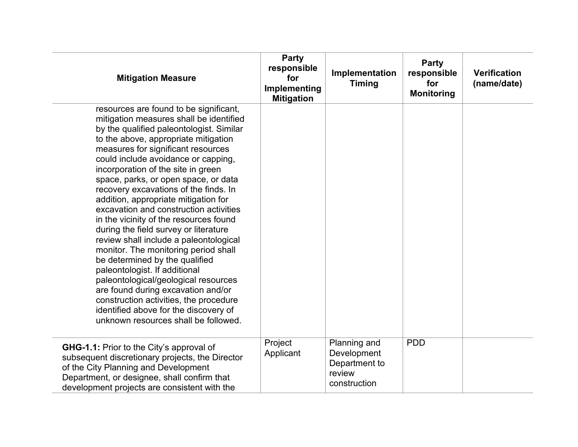| <b>Mitigation Measure</b>                                                                                                                                                                                                                                                                                                                                                                                                                                                                                                                                                                                                                                                                                                                                                                                                                                                                                    | Party<br>responsible<br>for<br>Implementing<br><b>Mitigation</b> | Implementation<br><b>Timing</b>                                        | <b>Party</b><br>responsible<br>for<br><b>Monitoring</b> | <b>Verification</b><br>(name/date) |
|--------------------------------------------------------------------------------------------------------------------------------------------------------------------------------------------------------------------------------------------------------------------------------------------------------------------------------------------------------------------------------------------------------------------------------------------------------------------------------------------------------------------------------------------------------------------------------------------------------------------------------------------------------------------------------------------------------------------------------------------------------------------------------------------------------------------------------------------------------------------------------------------------------------|------------------------------------------------------------------|------------------------------------------------------------------------|---------------------------------------------------------|------------------------------------|
| resources are found to be significant,<br>mitigation measures shall be identified<br>by the qualified paleontologist. Similar<br>to the above, appropriate mitigation<br>measures for significant resources<br>could include avoidance or capping,<br>incorporation of the site in green<br>space, parks, or open space, or data<br>recovery excavations of the finds. In<br>addition, appropriate mitigation for<br>excavation and construction activities<br>in the vicinity of the resources found<br>during the field survey or literature<br>review shall include a paleontological<br>monitor. The monitoring period shall<br>be determined by the qualified<br>paleontologist. If additional<br>paleontological/geological resources<br>are found during excavation and/or<br>construction activities, the procedure<br>identified above for the discovery of<br>unknown resources shall be followed. |                                                                  |                                                                        |                                                         |                                    |
| <b>GHG-1.1:</b> Prior to the City's approval of<br>subsequent discretionary projects, the Director<br>of the City Planning and Development<br>Department, or designee, shall confirm that<br>development projects are consistent with the                                                                                                                                                                                                                                                                                                                                                                                                                                                                                                                                                                                                                                                                    | Project<br>Applicant                                             | Planning and<br>Development<br>Department to<br>review<br>construction | <b>PDD</b>                                              |                                    |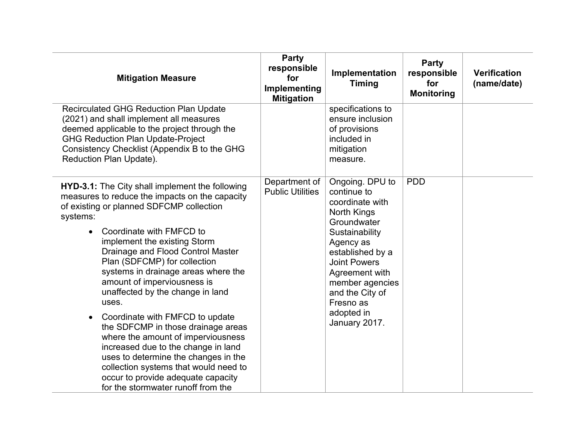| <b>Mitigation Measure</b>                                                                                                                                                                                                                                                                                                                                                                                                                                                                                                                                                                                                                                                                                                        | Party<br>responsible<br>for<br>Implementing<br><b>Mitigation</b> | Implementation<br><b>Timing</b>                                                                                                                                                                                                                               | <b>Party</b><br>responsible<br>for<br><b>Monitoring</b> | <b>Verification</b><br>(name/date) |
|----------------------------------------------------------------------------------------------------------------------------------------------------------------------------------------------------------------------------------------------------------------------------------------------------------------------------------------------------------------------------------------------------------------------------------------------------------------------------------------------------------------------------------------------------------------------------------------------------------------------------------------------------------------------------------------------------------------------------------|------------------------------------------------------------------|---------------------------------------------------------------------------------------------------------------------------------------------------------------------------------------------------------------------------------------------------------------|---------------------------------------------------------|------------------------------------|
| Recirculated GHG Reduction Plan Update<br>(2021) and shall implement all measures<br>deemed applicable to the project through the<br><b>GHG Reduction Plan Update-Project</b><br>Consistency Checklist (Appendix B to the GHG<br>Reduction Plan Update).                                                                                                                                                                                                                                                                                                                                                                                                                                                                         |                                                                  | specifications to<br>ensure inclusion<br>of provisions<br>included in<br>mitigation<br>measure.                                                                                                                                                               |                                                         |                                    |
| HYD-3.1: The City shall implement the following<br>measures to reduce the impacts on the capacity<br>of existing or planned SDFCMP collection<br>systems:<br>Coordinate with FMFCD to<br>implement the existing Storm<br>Drainage and Flood Control Master<br>Plan (SDFCMP) for collection<br>systems in drainage areas where the<br>amount of imperviousness is<br>unaffected by the change in land<br>uses.<br>Coordinate with FMFCD to update<br>the SDFCMP in those drainage areas<br>where the amount of imperviousness<br>increased due to the change in land<br>uses to determine the changes in the<br>collection systems that would need to<br>occur to provide adequate capacity<br>for the stormwater runoff from the | Department of<br><b>Public Utilities</b>                         | Ongoing. DPU to<br>continue to<br>coordinate with<br>North Kings<br>Groundwater<br>Sustainability<br>Agency as<br>established by a<br><b>Joint Powers</b><br>Agreement with<br>member agencies<br>and the City of<br>Fresno as<br>adopted in<br>January 2017. | <b>PDD</b>                                              |                                    |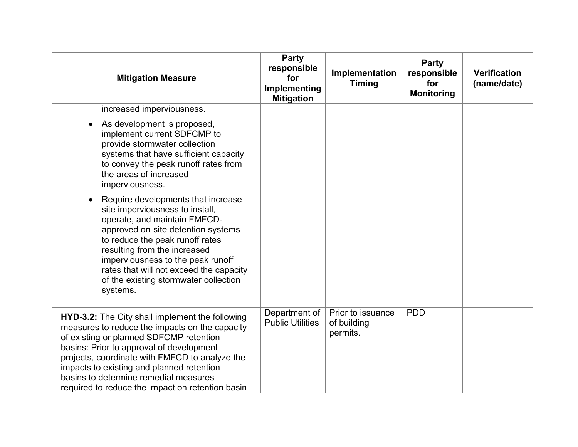| <b>Mitigation Measure</b>                                                                                                                                                                                                                                                                                                                                                                   | Party<br>responsible<br>for<br><b>Implementing</b><br><b>Mitigation</b> | Implementation<br><b>Timing</b>              | <b>Party</b><br>responsible<br>for<br><b>Monitoring</b> | <b>Verification</b><br>(name/date) |
|---------------------------------------------------------------------------------------------------------------------------------------------------------------------------------------------------------------------------------------------------------------------------------------------------------------------------------------------------------------------------------------------|-------------------------------------------------------------------------|----------------------------------------------|---------------------------------------------------------|------------------------------------|
| increased imperviousness.<br>As development is proposed,<br>implement current SDFCMP to<br>provide stormwater collection<br>systems that have sufficient capacity<br>to convey the peak runoff rates from<br>the areas of increased                                                                                                                                                         |                                                                         |                                              |                                                         |                                    |
| imperviousness.<br>Require developments that increase<br>site imperviousness to install,<br>operate, and maintain FMFCD-<br>approved on-site detention systems<br>to reduce the peak runoff rates<br>resulting from the increased<br>imperviousness to the peak runoff<br>rates that will not exceed the capacity<br>of the existing stormwater collection<br>systems.                      |                                                                         |                                              |                                                         |                                    |
| <b>HYD-3.2:</b> The City shall implement the following<br>measures to reduce the impacts on the capacity<br>of existing or planned SDFCMP retention<br>basins: Prior to approval of development<br>projects, coordinate with FMFCD to analyze the<br>impacts to existing and planned retention<br>basins to determine remedial measures<br>required to reduce the impact on retention basin | Department of<br><b>Public Utilities</b>                                | Prior to issuance<br>of building<br>permits. | <b>PDD</b>                                              |                                    |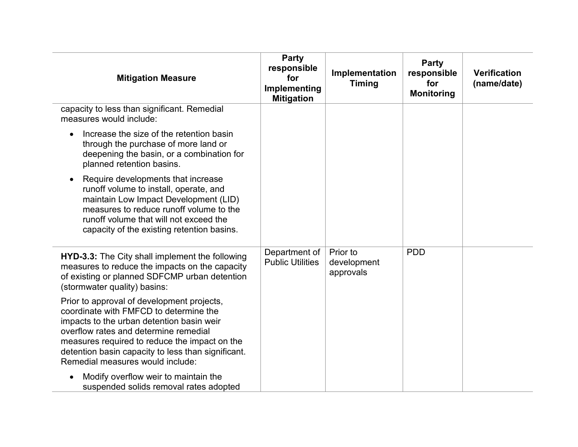| <b>Mitigation Measure</b>                                                                                                                                                                                                                                                                                             | <b>Party</b><br>responsible<br>for<br>Implementing<br><b>Mitigation</b> | Implementation<br><b>Timing</b>      | <b>Party</b><br>responsible<br>for<br><b>Monitoring</b> | <b>Verification</b><br>(name/date) |
|-----------------------------------------------------------------------------------------------------------------------------------------------------------------------------------------------------------------------------------------------------------------------------------------------------------------------|-------------------------------------------------------------------------|--------------------------------------|---------------------------------------------------------|------------------------------------|
| capacity to less than significant. Remedial<br>measures would include:                                                                                                                                                                                                                                                |                                                                         |                                      |                                                         |                                    |
| Increase the size of the retention basin<br>through the purchase of more land or<br>deepening the basin, or a combination for<br>planned retention basins.                                                                                                                                                            |                                                                         |                                      |                                                         |                                    |
| Require developments that increase<br>runoff volume to install, operate, and<br>maintain Low Impact Development (LID)<br>measures to reduce runoff volume to the<br>runoff volume that will not exceed the<br>capacity of the existing retention basins.                                                              |                                                                         |                                      |                                                         |                                    |
| <b>HYD-3.3:</b> The City shall implement the following<br>measures to reduce the impacts on the capacity<br>of existing or planned SDFCMP urban detention<br>(stormwater quality) basins:                                                                                                                             | Department of<br><b>Public Utilities</b>                                | Prior to<br>development<br>approvals | <b>PDD</b>                                              |                                    |
| Prior to approval of development projects,<br>coordinate with FMFCD to determine the<br>impacts to the urban detention basin weir<br>overflow rates and determine remedial<br>measures required to reduce the impact on the<br>detention basin capacity to less than significant.<br>Remedial measures would include: |                                                                         |                                      |                                                         |                                    |
| Modify overflow weir to maintain the<br>suspended solids removal rates adopted                                                                                                                                                                                                                                        |                                                                         |                                      |                                                         |                                    |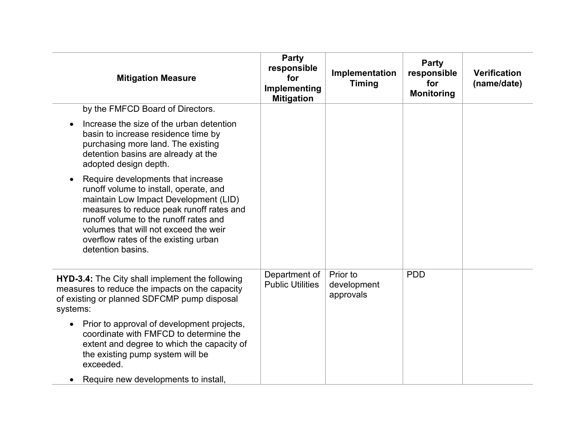| <b>Mitigation Measure</b>                                                                                                                                                                                                                                                                                                     | Party<br>responsible<br>for<br><b>Implementing</b><br><b>Mitigation</b> | Implementation<br><b>Timing</b>      | Party<br>responsible<br>for<br><b>Monitoring</b> | <b>Verification</b><br>(name/date) |
|-------------------------------------------------------------------------------------------------------------------------------------------------------------------------------------------------------------------------------------------------------------------------------------------------------------------------------|-------------------------------------------------------------------------|--------------------------------------|--------------------------------------------------|------------------------------------|
| by the FMFCD Board of Directors.                                                                                                                                                                                                                                                                                              |                                                                         |                                      |                                                  |                                    |
| Increase the size of the urban detention<br>$\bullet$<br>basin to increase residence time by<br>purchasing more land. The existing<br>detention basins are already at the<br>adopted design depth.                                                                                                                            |                                                                         |                                      |                                                  |                                    |
| Require developments that increase<br>$\bullet$<br>runoff volume to install, operate, and<br>maintain Low Impact Development (LID)<br>measures to reduce peak runoff rates and<br>runoff volume to the runoff rates and<br>volumes that will not exceed the weir<br>overflow rates of the existing urban<br>detention basins. |                                                                         |                                      |                                                  |                                    |
| <b>HYD-3.4:</b> The City shall implement the following<br>measures to reduce the impacts on the capacity<br>of existing or planned SDFCMP pump disposal<br>systems:                                                                                                                                                           | Department of<br><b>Public Utilities</b>                                | Prior to<br>development<br>approvals | <b>PDD</b>                                       |                                    |
| Prior to approval of development projects,<br>$\bullet$<br>coordinate with FMFCD to determine the<br>extent and degree to which the capacity of<br>the existing pump system will be<br>exceeded.                                                                                                                              |                                                                         |                                      |                                                  |                                    |
| Require new developments to install,<br>$\bullet$                                                                                                                                                                                                                                                                             |                                                                         |                                      |                                                  |                                    |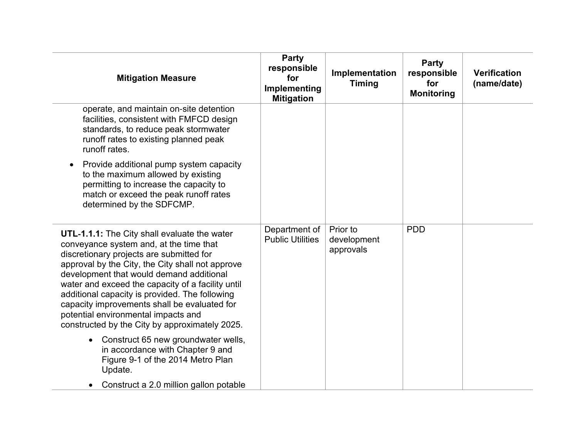| <b>Mitigation Measure</b>                                                                                                                                                                                                                                                                                                                                                                                                                                                           | <b>Party</b><br>responsible<br>for<br>Implementing<br><b>Mitigation</b> | Implementation<br><b>Timing</b>      | <b>Party</b><br>responsible<br>for<br><b>Monitoring</b> | <b>Verification</b><br>(name/date) |
|-------------------------------------------------------------------------------------------------------------------------------------------------------------------------------------------------------------------------------------------------------------------------------------------------------------------------------------------------------------------------------------------------------------------------------------------------------------------------------------|-------------------------------------------------------------------------|--------------------------------------|---------------------------------------------------------|------------------------------------|
| operate, and maintain on-site detention<br>facilities, consistent with FMFCD design<br>standards, to reduce peak stormwater<br>runoff rates to existing planned peak<br>runoff rates.                                                                                                                                                                                                                                                                                               |                                                                         |                                      |                                                         |                                    |
| Provide additional pump system capacity<br>$\bullet$<br>to the maximum allowed by existing<br>permitting to increase the capacity to<br>match or exceed the peak runoff rates<br>determined by the SDFCMP.                                                                                                                                                                                                                                                                          |                                                                         |                                      |                                                         |                                    |
| UTL-1.1.1: The City shall evaluate the water<br>conveyance system and, at the time that<br>discretionary projects are submitted for<br>approval by the City, the City shall not approve<br>development that would demand additional<br>water and exceed the capacity of a facility until<br>additional capacity is provided. The following<br>capacity improvements shall be evaluated for<br>potential environmental impacts and<br>constructed by the City by approximately 2025. | Department of<br><b>Public Utilities</b>                                | Prior to<br>development<br>approvals | <b>PDD</b>                                              |                                    |
| Construct 65 new groundwater wells,<br>$\bullet$<br>in accordance with Chapter 9 and<br>Figure 9-1 of the 2014 Metro Plan<br>Update.<br>Construct a 2.0 million gallon potable<br>$\bullet$                                                                                                                                                                                                                                                                                         |                                                                         |                                      |                                                         |                                    |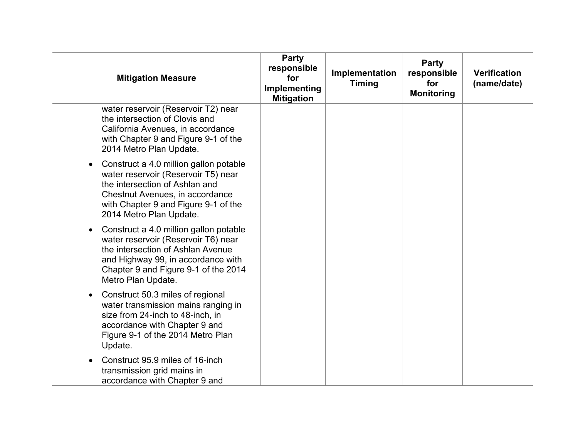| <b>Mitigation Measure</b>                                                                                                                                                                                                           | <b>Party</b><br>responsible<br>for<br>Implementing<br><b>Mitigation</b> | Implementation<br><b>Timing</b> | <b>Party</b><br>responsible<br>for<br><b>Monitoring</b> | <b>Verification</b><br>(name/date) |
|-------------------------------------------------------------------------------------------------------------------------------------------------------------------------------------------------------------------------------------|-------------------------------------------------------------------------|---------------------------------|---------------------------------------------------------|------------------------------------|
| water reservoir (Reservoir T2) near<br>the intersection of Clovis and<br>California Avenues, in accordance<br>with Chapter 9 and Figure 9-1 of the<br>2014 Metro Plan Update.                                                       |                                                                         |                                 |                                                         |                                    |
| Construct a 4.0 million gallon potable<br>$\bullet$<br>water reservoir (Reservoir T5) near<br>the intersection of Ashlan and<br>Chestnut Avenues, in accordance<br>with Chapter 9 and Figure 9-1 of the<br>2014 Metro Plan Update.  |                                                                         |                                 |                                                         |                                    |
| Construct a 4.0 million gallon potable<br>$\bullet$<br>water reservoir (Reservoir T6) near<br>the intersection of Ashlan Avenue<br>and Highway 99, in accordance with<br>Chapter 9 and Figure 9-1 of the 2014<br>Metro Plan Update. |                                                                         |                                 |                                                         |                                    |
| Construct 50.3 miles of regional<br>$\bullet$<br>water transmission mains ranging in<br>size from 24-inch to 48-inch, in<br>accordance with Chapter 9 and<br>Figure 9-1 of the 2014 Metro Plan<br>Update.                           |                                                                         |                                 |                                                         |                                    |
| Construct 95.9 miles of 16-inch<br>$\bullet$<br>transmission grid mains in<br>accordance with Chapter 9 and                                                                                                                         |                                                                         |                                 |                                                         |                                    |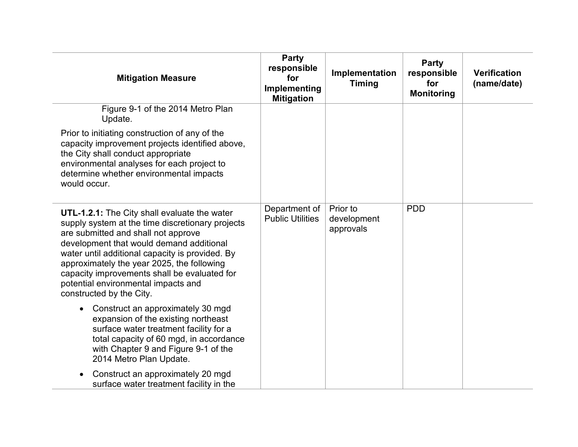| <b>Mitigation Measure</b>                                                                                                                                                                                                                                                                                                                                                                               | <b>Party</b><br>responsible<br>for<br>Implementing<br><b>Mitigation</b> | Implementation<br><b>Timing</b> | <b>Party</b><br>responsible<br>for<br><b>Monitoring</b> | <b>Verification</b><br>(name/date) |
|---------------------------------------------------------------------------------------------------------------------------------------------------------------------------------------------------------------------------------------------------------------------------------------------------------------------------------------------------------------------------------------------------------|-------------------------------------------------------------------------|---------------------------------|---------------------------------------------------------|------------------------------------|
| Figure 9-1 of the 2014 Metro Plan<br>Update.<br>Prior to initiating construction of any of the<br>capacity improvement projects identified above,<br>the City shall conduct appropriate<br>environmental analyses for each project to                                                                                                                                                                   |                                                                         |                                 |                                                         |                                    |
| determine whether environmental impacts<br>would occur.                                                                                                                                                                                                                                                                                                                                                 | Department of                                                           | Prior to                        | <b>PDD</b>                                              |                                    |
| UTL-1.2.1: The City shall evaluate the water<br>supply system at the time discretionary projects<br>are submitted and shall not approve<br>development that would demand additional<br>water until additional capacity is provided. By<br>approximately the year 2025, the following<br>capacity improvements shall be evaluated for<br>potential environmental impacts and<br>constructed by the City. | <b>Public Utilities</b>                                                 | development<br>approvals        |                                                         |                                    |
| Construct an approximately 30 mgd<br>$\bullet$<br>expansion of the existing northeast<br>surface water treatment facility for a<br>total capacity of 60 mgd, in accordance<br>with Chapter 9 and Figure 9-1 of the<br>2014 Metro Plan Update.                                                                                                                                                           |                                                                         |                                 |                                                         |                                    |
| Construct an approximately 20 mgd<br>surface water treatment facility in the                                                                                                                                                                                                                                                                                                                            |                                                                         |                                 |                                                         |                                    |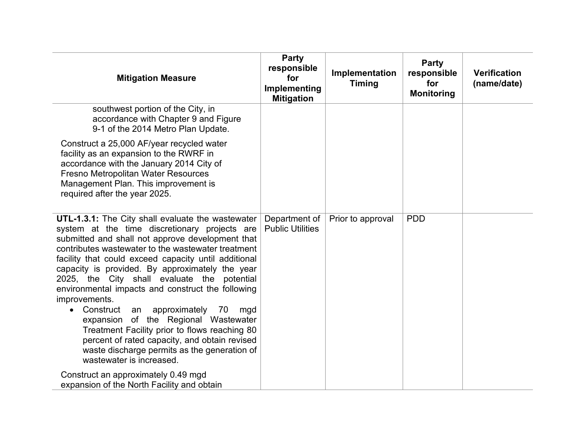| <b>Mitigation Measure</b>                                                                                                                                                                                                                                                                                                                                                                                                                                                                                                                                                                                                                                                                                        | <b>Party</b><br>responsible<br>for<br>Implementing<br><b>Mitigation</b> | Implementation<br><b>Timing</b> | <b>Party</b><br>responsible<br>for<br><b>Monitoring</b> | <b>Verification</b><br>(name/date) |
|------------------------------------------------------------------------------------------------------------------------------------------------------------------------------------------------------------------------------------------------------------------------------------------------------------------------------------------------------------------------------------------------------------------------------------------------------------------------------------------------------------------------------------------------------------------------------------------------------------------------------------------------------------------------------------------------------------------|-------------------------------------------------------------------------|---------------------------------|---------------------------------------------------------|------------------------------------|
| southwest portion of the City, in<br>accordance with Chapter 9 and Figure<br>9-1 of the 2014 Metro Plan Update.                                                                                                                                                                                                                                                                                                                                                                                                                                                                                                                                                                                                  |                                                                         |                                 |                                                         |                                    |
| Construct a 25,000 AF/year recycled water<br>facility as an expansion to the RWRF in<br>accordance with the January 2014 City of<br>Fresno Metropolitan Water Resources<br>Management Plan. This improvement is<br>required after the year 2025.                                                                                                                                                                                                                                                                                                                                                                                                                                                                 |                                                                         |                                 |                                                         |                                    |
| UTL-1.3.1: The City shall evaluate the wastewater<br>system at the time discretionary projects are<br>submitted and shall not approve development that<br>contributes wastewater to the wastewater treatment<br>facility that could exceed capacity until additional<br>capacity is provided. By approximately the year<br>2025, the City shall evaluate the potential<br>environmental impacts and construct the following<br>improvements.<br>Construct<br>approximately 70<br>an<br>mgd<br>expansion of the Regional Wastewater<br>Treatment Facility prior to flows reaching 80<br>percent of rated capacity, and obtain revised<br>waste discharge permits as the generation of<br>wastewater is increased. | Department of<br><b>Public Utilities</b>                                | Prior to approval               | <b>PDD</b>                                              |                                    |
| Construct an approximately 0.49 mgd<br>expansion of the North Facility and obtain                                                                                                                                                                                                                                                                                                                                                                                                                                                                                                                                                                                                                                |                                                                         |                                 |                                                         |                                    |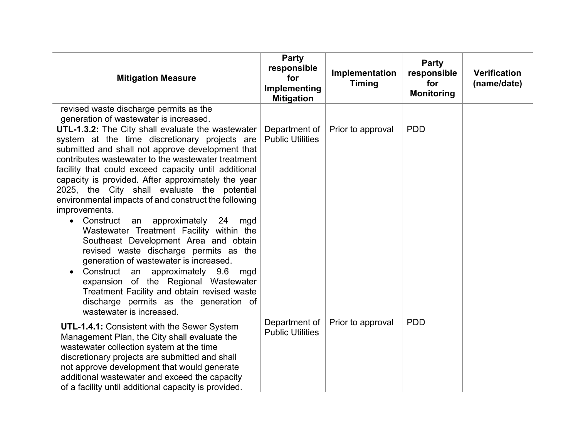| <b>Mitigation Measure</b>                                                                                                                                                                                                                                                                                                                                                                                                                                                                                                                                                                                                                                                                                                                                                                                                                                                                       | Party<br>responsible<br>for<br>Implementing<br><b>Mitigation</b> | Implementation<br><b>Timing</b> | <b>Party</b><br>responsible<br>for<br><b>Monitoring</b> | <b>Verification</b><br>(name/date) |
|-------------------------------------------------------------------------------------------------------------------------------------------------------------------------------------------------------------------------------------------------------------------------------------------------------------------------------------------------------------------------------------------------------------------------------------------------------------------------------------------------------------------------------------------------------------------------------------------------------------------------------------------------------------------------------------------------------------------------------------------------------------------------------------------------------------------------------------------------------------------------------------------------|------------------------------------------------------------------|---------------------------------|---------------------------------------------------------|------------------------------------|
| revised waste discharge permits as the<br>generation of wastewater is increased.                                                                                                                                                                                                                                                                                                                                                                                                                                                                                                                                                                                                                                                                                                                                                                                                                |                                                                  |                                 |                                                         |                                    |
| UTL-1.3.2: The City shall evaluate the wastewater<br>system at the time discretionary projects are<br>submitted and shall not approve development that<br>contributes wastewater to the wastewater treatment<br>facility that could exceed capacity until additional<br>capacity is provided. After approximately the year<br>2025, the City shall evaluate the potential<br>environmental impacts of and construct the following<br>improvements.<br>Construct<br>approximately<br>24<br>an<br>mgd<br>$\bullet$<br>Wastewater Treatment Facility within the<br>Southeast Development Area and obtain<br>revised waste discharge permits as the<br>generation of wastewater is increased.<br>Construct an approximately 9.6<br>mgd<br>expansion of the Regional Wastewater<br>Treatment Facility and obtain revised waste<br>discharge permits as the generation of<br>wastewater is increased. | Department of<br><b>Public Utilities</b>                         | Prior to approval               | <b>PDD</b>                                              |                                    |
| UTL-1.4.1: Consistent with the Sewer System<br>Management Plan, the City shall evaluate the<br>wastewater collection system at the time<br>discretionary projects are submitted and shall<br>not approve development that would generate<br>additional wastewater and exceed the capacity<br>of a facility until additional capacity is provided.                                                                                                                                                                                                                                                                                                                                                                                                                                                                                                                                               | Department of<br><b>Public Utilities</b>                         | Prior to approval               | <b>PDD</b>                                              |                                    |